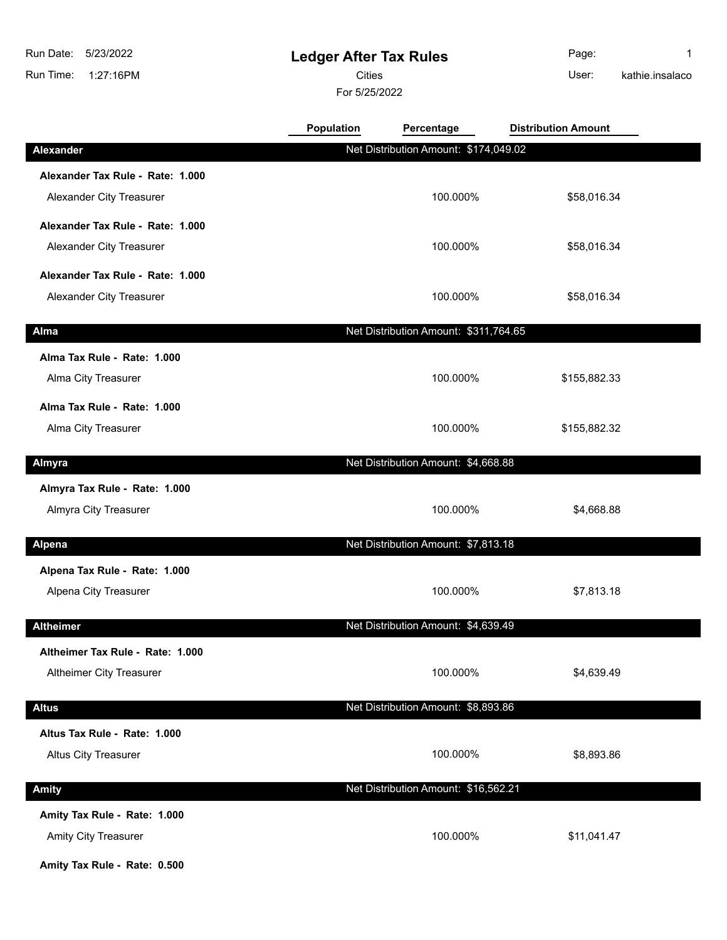I

 $\overline{\phantom{a}}$ 

 $\overline{\phantom{a}}$ 

 $\overline{\phantom{a}}$ 

## **Ledger After Tax Rules**

Cities User:

For 5/25/2022

**Population Percentage Distribution Amount** 

Page: 1 kathie.insalaco

| <b>Alexander</b>                 | Net Distribution Amount: \$174,049.02 |              |  |
|----------------------------------|---------------------------------------|--------------|--|
| Alexander Tax Rule - Rate: 1.000 |                                       |              |  |
| Alexander City Treasurer         | 100.000%                              | \$58,016.34  |  |
| Alexander Tax Rule - Rate: 1.000 |                                       |              |  |
| Alexander City Treasurer         | 100.000%                              | \$58,016.34  |  |
| Alexander Tax Rule - Rate: 1.000 |                                       |              |  |
| Alexander City Treasurer         | 100.000%                              | \$58,016.34  |  |
| Alma                             | Net Distribution Amount: \$311,764.65 |              |  |
| Alma Tax Rule - Rate: 1.000      |                                       |              |  |
| Alma City Treasurer              | 100.000%                              | \$155,882.33 |  |
| Alma Tax Rule - Rate: 1.000      |                                       |              |  |
| Alma City Treasurer              | 100.000%                              | \$155,882.32 |  |
| Almyra                           | Net Distribution Amount: \$4,668.88   |              |  |
| Almyra Tax Rule - Rate: 1.000    |                                       |              |  |
| Almyra City Treasurer            | 100.000%                              | \$4,668.88   |  |
| Alpena                           | Net Distribution Amount: \$7,813.18   |              |  |
| Alpena Tax Rule - Rate: 1.000    |                                       |              |  |
| Alpena City Treasurer            | 100.000%                              | \$7,813.18   |  |
|                                  |                                       |              |  |
| <b>Altheimer</b>                 | Net Distribution Amount: \$4,639.49   |              |  |
| Altheimer Tax Rule - Rate: 1.000 |                                       |              |  |
| Altheimer City Treasurer         | 100.000%                              | \$4,639.49   |  |
| <b>Altus</b>                     | Net Distribution Amount: \$8,893.86   |              |  |
| Altus Tax Rule - Rate: 1.000     |                                       |              |  |
| <b>Altus City Treasurer</b>      | 100.000%                              | \$8,893.86   |  |
| <b>Amity</b>                     | Net Distribution Amount: \$16,562.21  |              |  |
| Amity Tax Rule - Rate: 1.000     |                                       |              |  |
| Amity City Treasurer             | 100.000%                              | \$11,041.47  |  |
|                                  |                                       |              |  |

**Amity Tax Rule - Rate: 0.500**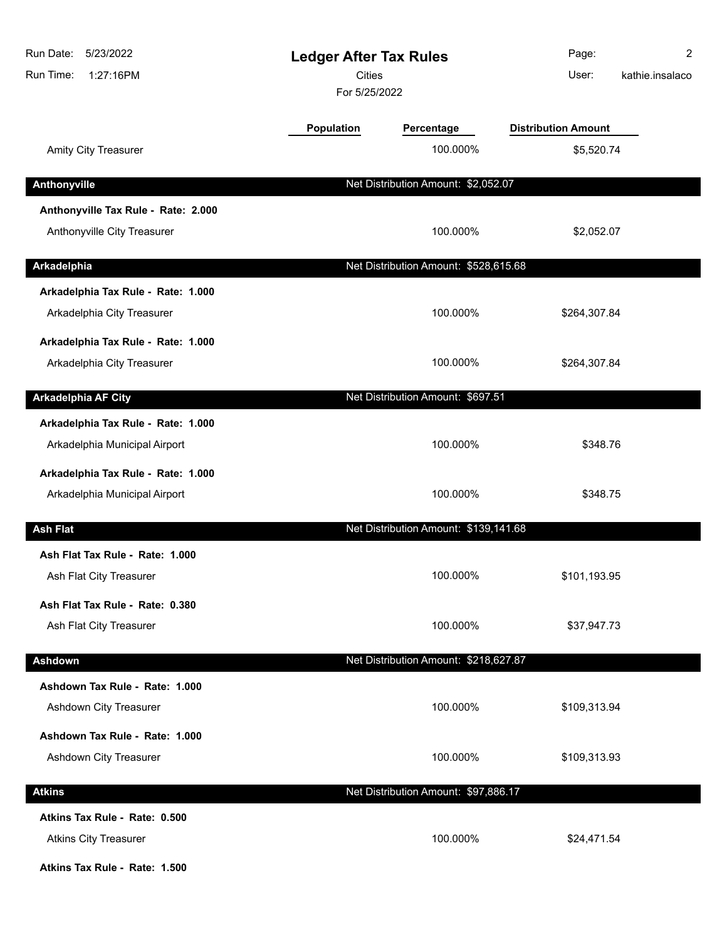| Run Date:<br>5/23/2022<br>Run Time:<br>1:27:16PM | <b>Ledger After Tax Rules</b><br><b>Cities</b><br>For 5/25/2022 |                                       | Page:<br>User:             | 2<br>kathie.insalaco |
|--------------------------------------------------|-----------------------------------------------------------------|---------------------------------------|----------------------------|----------------------|
|                                                  | <b>Population</b>                                               | Percentage                            | <b>Distribution Amount</b> |                      |
| <b>Amity City Treasurer</b>                      |                                                                 | 100.000%                              | \$5,520.74                 |                      |
| Anthonyville                                     |                                                                 | Net Distribution Amount: \$2,052.07   |                            |                      |
| Anthonyville Tax Rule - Rate: 2.000              |                                                                 |                                       |                            |                      |
| Anthonyville City Treasurer                      |                                                                 | 100.000%                              | \$2,052.07                 |                      |
| Arkadelphia                                      |                                                                 | Net Distribution Amount: \$528,615.68 |                            |                      |
| Arkadelphia Tax Rule - Rate: 1.000               |                                                                 |                                       |                            |                      |
| Arkadelphia City Treasurer                       |                                                                 | 100.000%                              | \$264,307.84               |                      |
| Arkadelphia Tax Rule - Rate: 1.000               |                                                                 |                                       |                            |                      |
| Arkadelphia City Treasurer                       |                                                                 | 100.000%                              | \$264,307.84               |                      |
| <b>Arkadelphia AF City</b>                       |                                                                 | Net Distribution Amount: \$697.51     |                            |                      |
| Arkadelphia Tax Rule - Rate: 1.000               |                                                                 |                                       |                            |                      |
| Arkadelphia Municipal Airport                    |                                                                 | 100.000%                              | \$348.76                   |                      |
| Arkadelphia Tax Rule - Rate: 1.000               |                                                                 |                                       |                            |                      |
| Arkadelphia Municipal Airport                    |                                                                 | 100.000%                              | \$348.75                   |                      |
| <b>Ash Flat</b>                                  |                                                                 | Net Distribution Amount: \$139,141.68 |                            |                      |
| Ash Flat Tax Rule - Rate: 1.000                  |                                                                 |                                       |                            |                      |
| Ash Flat City Treasurer                          |                                                                 | 100.000%                              | \$101,193.95               |                      |
| Ash Flat Tax Rule - Rate: 0.380                  |                                                                 |                                       |                            |                      |
| Ash Flat City Treasurer                          |                                                                 | 100.000%                              | \$37,947.73                |                      |
| Ashdown                                          |                                                                 | Net Distribution Amount: \$218,627.87 |                            |                      |
| Ashdown Tax Rule - Rate: 1.000                   |                                                                 |                                       |                            |                      |
| Ashdown City Treasurer                           |                                                                 | 100.000%                              | \$109,313.94               |                      |
| Ashdown Tax Rule - Rate: 1.000                   |                                                                 |                                       |                            |                      |
| Ashdown City Treasurer                           |                                                                 | 100.000%                              | \$109,313.93               |                      |
| <b>Atkins</b>                                    |                                                                 | Net Distribution Amount: \$97,886.17  |                            |                      |
| Atkins Tax Rule - Rate: 0.500                    |                                                                 |                                       |                            |                      |
| <b>Atkins City Treasurer</b>                     |                                                                 | 100.000%                              | \$24,471.54                |                      |

**Atkins Tax Rule - Rate: 1.500**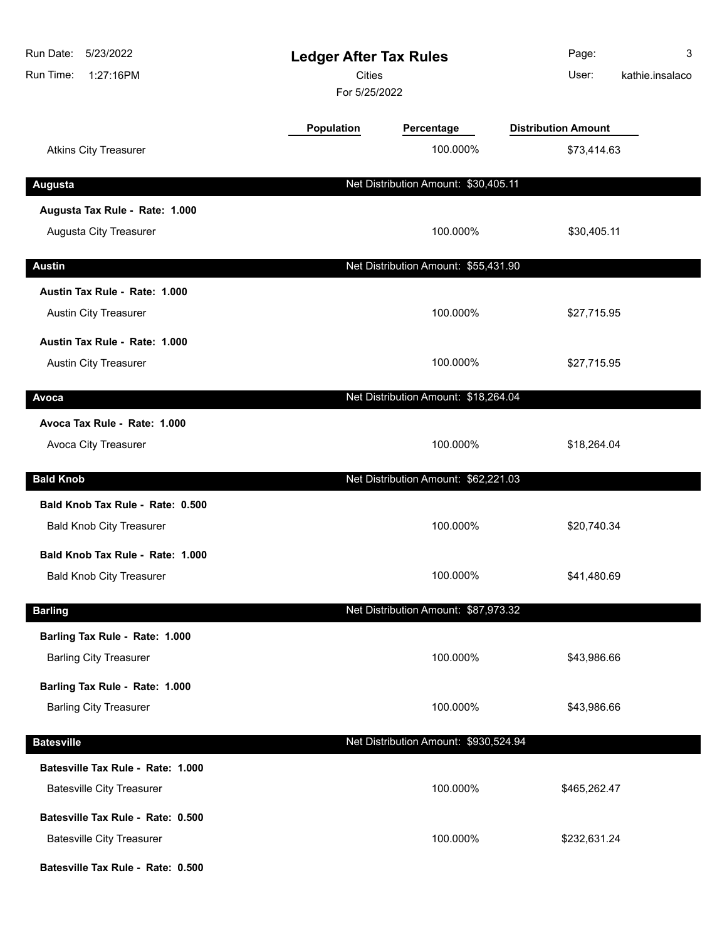| Run Date:<br>5/23/2022<br>Run Time:<br>1:27:16PM | <b>Ledger After Tax Rules</b><br><b>Cities</b><br>For 5/25/2022 |                                       | Page:<br>User:             | 3<br>kathie.insalaco |
|--------------------------------------------------|-----------------------------------------------------------------|---------------------------------------|----------------------------|----------------------|
|                                                  | Population                                                      | Percentage                            | <b>Distribution Amount</b> |                      |
| <b>Atkins City Treasurer</b>                     |                                                                 | 100.000%                              | \$73,414.63                |                      |
| <b>Augusta</b>                                   |                                                                 | Net Distribution Amount: \$30,405.11  |                            |                      |
| Augusta Tax Rule - Rate: 1.000                   |                                                                 |                                       |                            |                      |
| Augusta City Treasurer                           |                                                                 | 100.000%                              | \$30,405.11                |                      |
| <b>Austin</b>                                    |                                                                 | Net Distribution Amount: \$55,431.90  |                            |                      |
| Austin Tax Rule - Rate: 1.000                    |                                                                 |                                       |                            |                      |
| Austin City Treasurer                            |                                                                 | 100.000%                              | \$27,715.95                |                      |
| Austin Tax Rule - Rate: 1.000                    |                                                                 |                                       |                            |                      |
| Austin City Treasurer                            |                                                                 | 100.000%                              | \$27,715.95                |                      |
| Avoca                                            |                                                                 | Net Distribution Amount: \$18,264.04  |                            |                      |
| Avoca Tax Rule - Rate: 1.000                     |                                                                 |                                       |                            |                      |
| Avoca City Treasurer                             |                                                                 | 100.000%                              | \$18,264.04                |                      |
| <b>Bald Knob</b>                                 |                                                                 | Net Distribution Amount: \$62,221.03  |                            |                      |
| Bald Knob Tax Rule - Rate: 0.500                 |                                                                 |                                       |                            |                      |
| <b>Bald Knob City Treasurer</b>                  |                                                                 | 100.000%                              | \$20,740.34                |                      |
| Bald Knob Tax Rule - Rate: 1.000                 |                                                                 |                                       |                            |                      |
| <b>Bald Knob City Treasurer</b>                  |                                                                 | 100.000%                              | \$41,480.69                |                      |
| <b>Barling</b>                                   |                                                                 | Net Distribution Amount: \$87,973.32  |                            |                      |
| Barling Tax Rule - Rate: 1.000                   |                                                                 |                                       |                            |                      |
| <b>Barling City Treasurer</b>                    |                                                                 | 100.000%                              | \$43,986.66                |                      |
| Barling Tax Rule - Rate: 1.000                   |                                                                 |                                       |                            |                      |
| <b>Barling City Treasurer</b>                    |                                                                 | 100.000%                              | \$43,986.66                |                      |
| <b>Batesville</b>                                |                                                                 | Net Distribution Amount: \$930,524.94 |                            |                      |
| Batesville Tax Rule - Rate: 1.000                |                                                                 |                                       |                            |                      |
| <b>Batesville City Treasurer</b>                 |                                                                 | 100.000%                              | \$465,262.47               |                      |
| Batesville Tax Rule - Rate: 0.500                |                                                                 |                                       |                            |                      |
| <b>Batesville City Treasurer</b>                 |                                                                 | 100.000%                              | \$232,631.24               |                      |
| Batesville Tax Rule - Rate: 0.500                |                                                                 |                                       |                            |                      |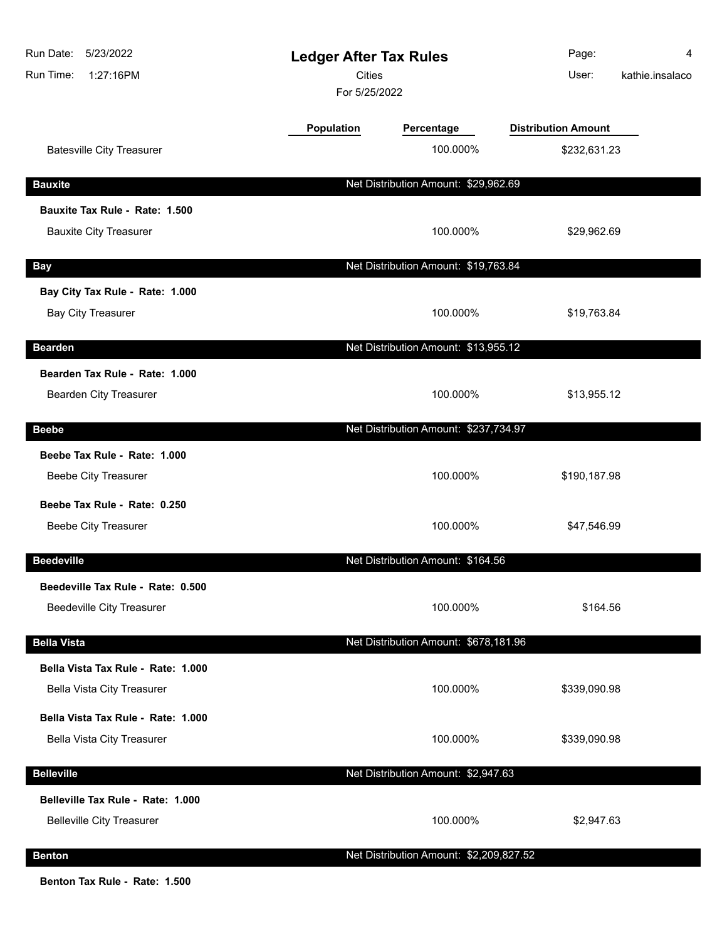| Run Date:<br>5/23/2022<br>Run Time:<br>1:27:16PM             |            | <b>Ledger After Tax Rules</b><br><b>Cities</b><br>For 5/25/2022 |                            | 4<br>kathie.insalaco |
|--------------------------------------------------------------|------------|-----------------------------------------------------------------|----------------------------|----------------------|
|                                                              | Population | Percentage                                                      | <b>Distribution Amount</b> |                      |
| <b>Batesville City Treasurer</b>                             |            | 100.000%                                                        | \$232,631.23               |                      |
| <b>Bauxite</b>                                               |            | Net Distribution Amount: \$29,962.69                            |                            |                      |
| Bauxite Tax Rule - Rate: 1.500                               |            |                                                                 |                            |                      |
| <b>Bauxite City Treasurer</b>                                |            | 100.000%                                                        | \$29,962.69                |                      |
| <b>Bay</b>                                                   |            | Net Distribution Amount: \$19,763.84                            |                            |                      |
| Bay City Tax Rule - Rate: 1.000<br><b>Bay City Treasurer</b> |            | 100.000%                                                        | \$19,763.84                |                      |
| <b>Bearden</b>                                               |            | Net Distribution Amount: \$13,955.12                            |                            |                      |
| Bearden Tax Rule - Rate: 1.000<br>Bearden City Treasurer     |            | 100.000%                                                        | \$13,955.12                |                      |
|                                                              |            |                                                                 |                            |                      |
| <b>Beebe</b>                                                 |            | Net Distribution Amount: \$237,734.97                           |                            |                      |
| Beebe Tax Rule - Rate: 1.000<br><b>Beebe City Treasurer</b>  |            | 100.000%                                                        | \$190,187.98               |                      |
| Beebe Tax Rule - Rate: 0.250                                 |            |                                                                 |                            |                      |
| <b>Beebe City Treasurer</b>                                  |            | 100.000%                                                        | \$47,546.99                |                      |
| <b>Beedeville</b>                                            |            | Net Distribution Amount: \$164.56                               |                            |                      |
| Beedeville Tax Rule - Rate: 0.500                            |            |                                                                 |                            |                      |
| <b>Beedeville City Treasurer</b>                             |            | 100.000%                                                        | \$164.56                   |                      |
| <b>Bella Vista</b>                                           |            | Net Distribution Amount: \$678,181.96                           |                            |                      |
| Bella Vista Tax Rule - Rate: 1.000                           |            |                                                                 |                            |                      |
| <b>Bella Vista City Treasurer</b>                            |            | 100.000%                                                        | \$339,090.98               |                      |
| Bella Vista Tax Rule - Rate: 1.000                           |            |                                                                 |                            |                      |
| Bella Vista City Treasurer                                   |            | 100.000%                                                        | \$339,090.98               |                      |
| <b>Belleville</b>                                            |            | Net Distribution Amount: \$2,947.63                             |                            |                      |
| Belleville Tax Rule - Rate: 1.000                            |            |                                                                 |                            |                      |
| <b>Belleville City Treasurer</b>                             |            | 100.000%                                                        | \$2,947.63                 |                      |
| <b>Benton</b>                                                |            | Net Distribution Amount: \$2,209,827.52                         |                            |                      |

**Benton Tax Rule - Rate: 1.500**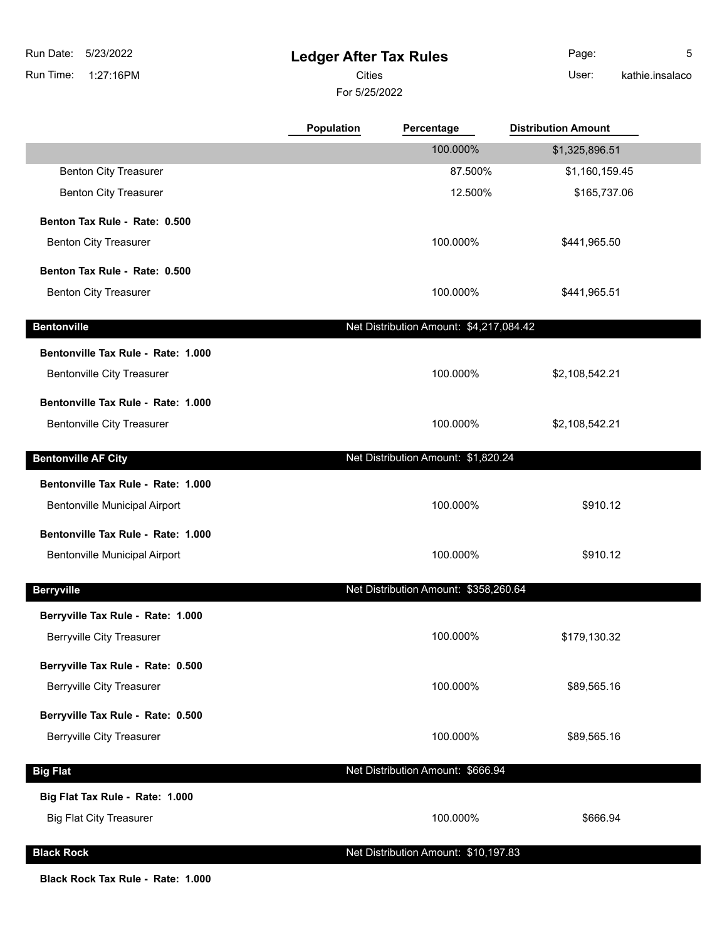## **Ledger After Tax Rules**

For 5/25/2022 Cities **User:** 

Page: 5 kathie.insalaco

|                                      | <b>Population</b> | Percentage                              | <b>Distribution Amount</b> |  |
|--------------------------------------|-------------------|-----------------------------------------|----------------------------|--|
|                                      |                   | 100.000%                                | \$1,325,896.51             |  |
| <b>Benton City Treasurer</b>         |                   | 87.500%                                 | \$1,160,159.45             |  |
| <b>Benton City Treasurer</b>         |                   | 12.500%                                 | \$165,737.06               |  |
| Benton Tax Rule - Rate: 0.500        |                   |                                         |                            |  |
| <b>Benton City Treasurer</b>         |                   | 100.000%                                | \$441,965.50               |  |
| Benton Tax Rule - Rate: 0.500        |                   |                                         |                            |  |
| <b>Benton City Treasurer</b>         |                   | 100.000%                                | \$441,965.51               |  |
| <b>Bentonville</b>                   |                   | Net Distribution Amount: \$4,217,084.42 |                            |  |
| Bentonville Tax Rule - Rate: 1.000   |                   |                                         |                            |  |
| <b>Bentonville City Treasurer</b>    |                   | 100.000%                                | \$2,108,542.21             |  |
| Bentonville Tax Rule - Rate: 1.000   |                   |                                         |                            |  |
| <b>Bentonville City Treasurer</b>    |                   | 100.000%                                | \$2,108,542.21             |  |
| <b>Bentonville AF City</b>           |                   | Net Distribution Amount: \$1,820.24     |                            |  |
| Bentonville Tax Rule - Rate: 1.000   |                   |                                         |                            |  |
| <b>Bentonville Municipal Airport</b> |                   | 100.000%                                | \$910.12                   |  |
| Bentonville Tax Rule - Rate: 1.000   |                   |                                         |                            |  |
| <b>Bentonville Municipal Airport</b> |                   | 100.000%                                | \$910.12                   |  |
| <b>Berryville</b>                    |                   | Net Distribution Amount: \$358,260.64   |                            |  |
| Berryville Tax Rule - Rate: 1.000    |                   |                                         |                            |  |
| <b>Berryville City Treasurer</b>     |                   | 100.000%                                | \$179,130.32               |  |
| Berryville Tax Rule - Rate: 0.500    |                   |                                         |                            |  |
| <b>Berryville City Treasurer</b>     |                   | 100.000%                                | \$89,565.16                |  |
| Berryville Tax Rule - Rate: 0.500    |                   |                                         |                            |  |
| <b>Berryville City Treasurer</b>     |                   | 100.000%                                | \$89,565.16                |  |
| <b>Big Flat</b>                      |                   | Net Distribution Amount: \$666.94       |                            |  |
| Big Flat Tax Rule - Rate: 1.000      |                   |                                         |                            |  |
| <b>Big Flat City Treasurer</b>       |                   | 100.000%                                | \$666.94                   |  |
| <b>Black Rock</b>                    |                   | Net Distribution Amount: \$10,197.83    |                            |  |

**Black Rock Tax Rule - Rate: 1.000**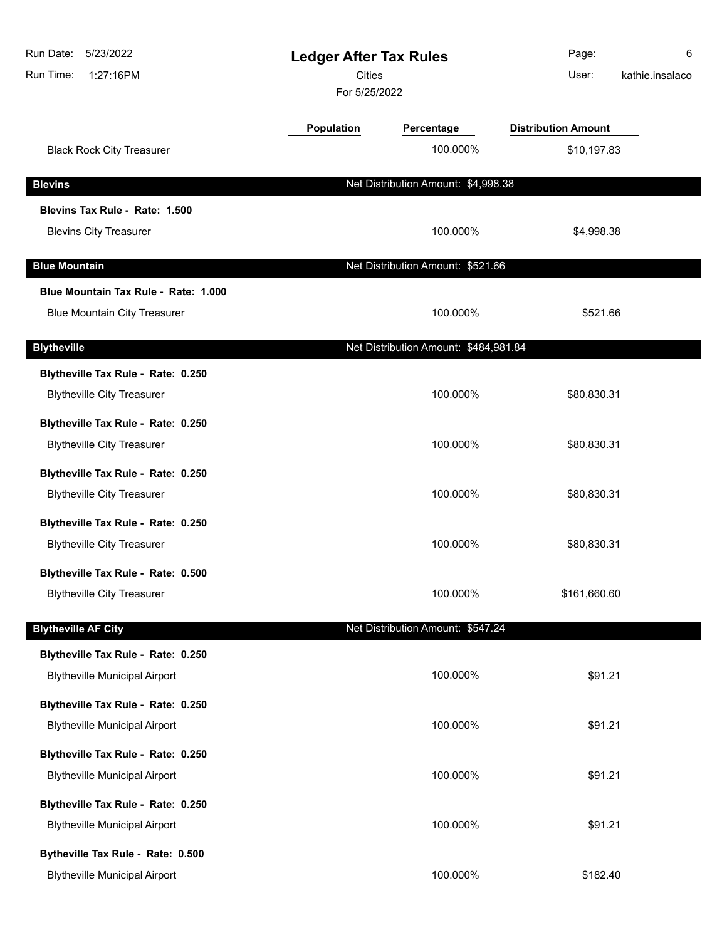| Run Date:<br>5/23/2022<br>Run Time:<br>1:27:16PM | <b>Ledger After Tax Rules</b><br><b>Cities</b><br>For 5/25/2022 |                                       | Page:<br>User:             | 6<br>kathie.insalaco |
|--------------------------------------------------|-----------------------------------------------------------------|---------------------------------------|----------------------------|----------------------|
|                                                  | <b>Population</b>                                               | Percentage                            | <b>Distribution Amount</b> |                      |
| <b>Black Rock City Treasurer</b>                 |                                                                 | 100.000%                              | \$10,197.83                |                      |
| <b>Blevins</b>                                   |                                                                 | Net Distribution Amount: \$4,998.38   |                            |                      |
| Blevins Tax Rule - Rate: 1.500                   |                                                                 |                                       |                            |                      |
| <b>Blevins City Treasurer</b>                    |                                                                 | 100.000%                              | \$4,998.38                 |                      |
| <b>Blue Mountain</b>                             |                                                                 | Net Distribution Amount: \$521.66     |                            |                      |
| Blue Mountain Tax Rule - Rate: 1.000             |                                                                 |                                       |                            |                      |
| <b>Blue Mountain City Treasurer</b>              |                                                                 | 100.000%                              | \$521.66                   |                      |
| <b>Blytheville</b>                               |                                                                 | Net Distribution Amount: \$484,981.84 |                            |                      |
| Blytheville Tax Rule - Rate: 0.250               |                                                                 |                                       |                            |                      |
| <b>Blytheville City Treasurer</b>                |                                                                 | 100.000%                              | \$80,830.31                |                      |
| Blytheville Tax Rule - Rate: 0.250               |                                                                 |                                       |                            |                      |
| <b>Blytheville City Treasurer</b>                |                                                                 | 100.000%                              | \$80,830.31                |                      |
| Blytheville Tax Rule - Rate: 0.250               |                                                                 |                                       |                            |                      |
| <b>Blytheville City Treasurer</b>                |                                                                 | 100.000%                              | \$80,830.31                |                      |
| Blytheville Tax Rule - Rate: 0.250               |                                                                 |                                       |                            |                      |
| <b>Blytheville City Treasurer</b>                |                                                                 | 100.000%                              | \$80,830.31                |                      |
| Blytheville Tax Rule - Rate: 0.500               |                                                                 |                                       |                            |                      |
| <b>Blytheville City Treasurer</b>                |                                                                 | 100.000%                              | \$161,660.60               |                      |
| <b>Blytheville AF City</b>                       |                                                                 | Net Distribution Amount: \$547.24     |                            |                      |
| Blytheville Tax Rule - Rate: 0.250               |                                                                 |                                       |                            |                      |
| <b>Blytheville Municipal Airport</b>             |                                                                 | 100.000%                              | \$91.21                    |                      |
| Blytheville Tax Rule - Rate: 0.250               |                                                                 |                                       |                            |                      |
| <b>Blytheville Municipal Airport</b>             |                                                                 | 100.000%                              | \$91.21                    |                      |
| Blytheville Tax Rule - Rate: 0.250               |                                                                 |                                       |                            |                      |
| <b>Blytheville Municipal Airport</b>             |                                                                 | 100.000%                              | \$91.21                    |                      |
| Blytheville Tax Rule - Rate: 0.250               |                                                                 |                                       |                            |                      |
| <b>Blytheville Municipal Airport</b>             |                                                                 | 100.000%                              | \$91.21                    |                      |
| Bytheville Tax Rule - Rate: 0.500                |                                                                 |                                       |                            |                      |
| <b>Blytheville Municipal Airport</b>             |                                                                 | 100.000%                              | \$182.40                   |                      |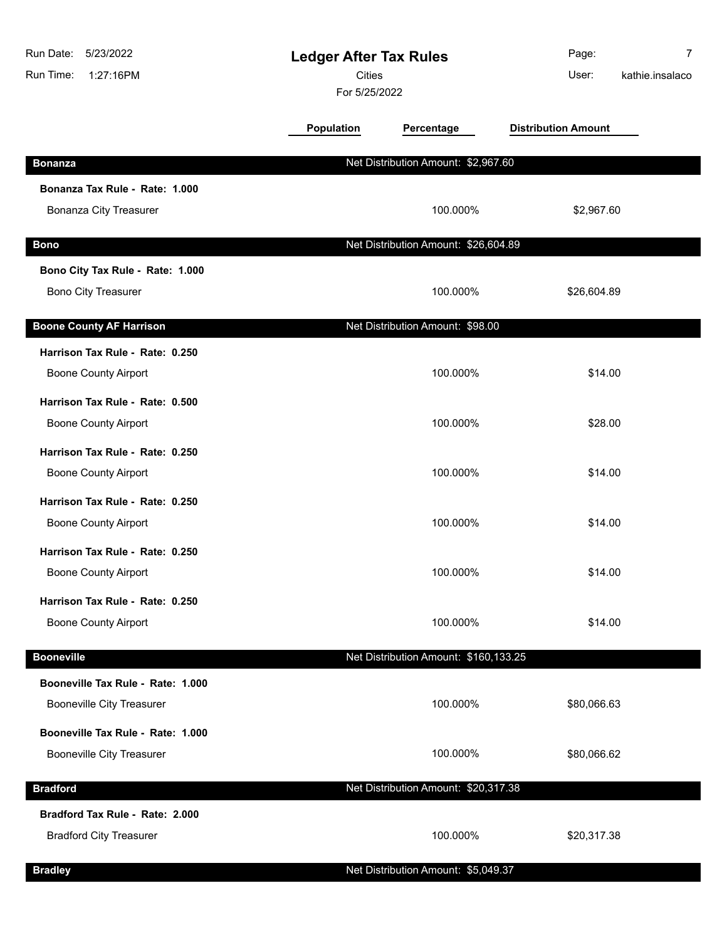| 5/23/2022<br>Run Date:<br>Run Time:<br>1:27:16PM | <b>Ledger After Tax Rules</b><br>Cities<br>For 5/25/2022 |                                       | Page:<br>User:             | 7<br>kathie.insalaco |
|--------------------------------------------------|----------------------------------------------------------|---------------------------------------|----------------------------|----------------------|
|                                                  | Population                                               | Percentage                            | <b>Distribution Amount</b> |                      |
| <b>Bonanza</b>                                   |                                                          | Net Distribution Amount: \$2,967.60   |                            |                      |
| Bonanza Tax Rule - Rate: 1.000                   |                                                          |                                       |                            |                      |
| <b>Bonanza City Treasurer</b>                    |                                                          | 100.000%                              | \$2,967.60                 |                      |
| <b>Bono</b>                                      |                                                          | Net Distribution Amount: \$26,604.89  |                            |                      |
| Bono City Tax Rule - Rate: 1.000                 |                                                          |                                       |                            |                      |
| <b>Bono City Treasurer</b>                       |                                                          | 100.000%                              | \$26,604.89                |                      |
| <b>Boone County AF Harrison</b>                  |                                                          | Net Distribution Amount: \$98.00      |                            |                      |
| Harrison Tax Rule - Rate: 0.250                  |                                                          |                                       |                            |                      |
| <b>Boone County Airport</b>                      |                                                          | 100.000%                              | \$14.00                    |                      |
| Harrison Tax Rule - Rate: 0.500                  |                                                          |                                       |                            |                      |
| <b>Boone County Airport</b>                      |                                                          | 100.000%                              | \$28.00                    |                      |
| Harrison Tax Rule - Rate: 0.250                  |                                                          |                                       |                            |                      |
| <b>Boone County Airport</b>                      |                                                          | 100.000%                              | \$14.00                    |                      |
| Harrison Tax Rule - Rate: 0.250                  |                                                          |                                       |                            |                      |
| <b>Boone County Airport</b>                      |                                                          | 100.000%                              | \$14.00                    |                      |
| Harrison Tax Rule - Rate: 0.250                  |                                                          |                                       |                            |                      |
| <b>Boone County Airport</b>                      |                                                          | 100.000%                              | \$14.00                    |                      |
| Harrison Tax Rule - Rate: 0.250                  |                                                          |                                       |                            |                      |
| <b>Boone County Airport</b>                      |                                                          | 100.000%                              | \$14.00                    |                      |
| <b>Booneville</b>                                |                                                          | Net Distribution Amount: \$160,133.25 |                            |                      |
| Booneville Tax Rule - Rate: 1.000                |                                                          |                                       |                            |                      |
| <b>Booneville City Treasurer</b>                 |                                                          | 100.000%                              | \$80,066.63                |                      |
| Booneville Tax Rule - Rate: 1.000                |                                                          |                                       |                            |                      |
| <b>Booneville City Treasurer</b>                 |                                                          | 100.000%                              | \$80,066.62                |                      |
| <b>Bradford</b>                                  |                                                          | Net Distribution Amount: \$20,317.38  |                            |                      |
| Bradford Tax Rule - Rate: 2.000                  |                                                          |                                       |                            |                      |
| <b>Bradford City Treasurer</b>                   |                                                          | 100.000%                              | \$20,317.38                |                      |
| <b>Bradley</b>                                   |                                                          | Net Distribution Amount: \$5,049.37   |                            |                      |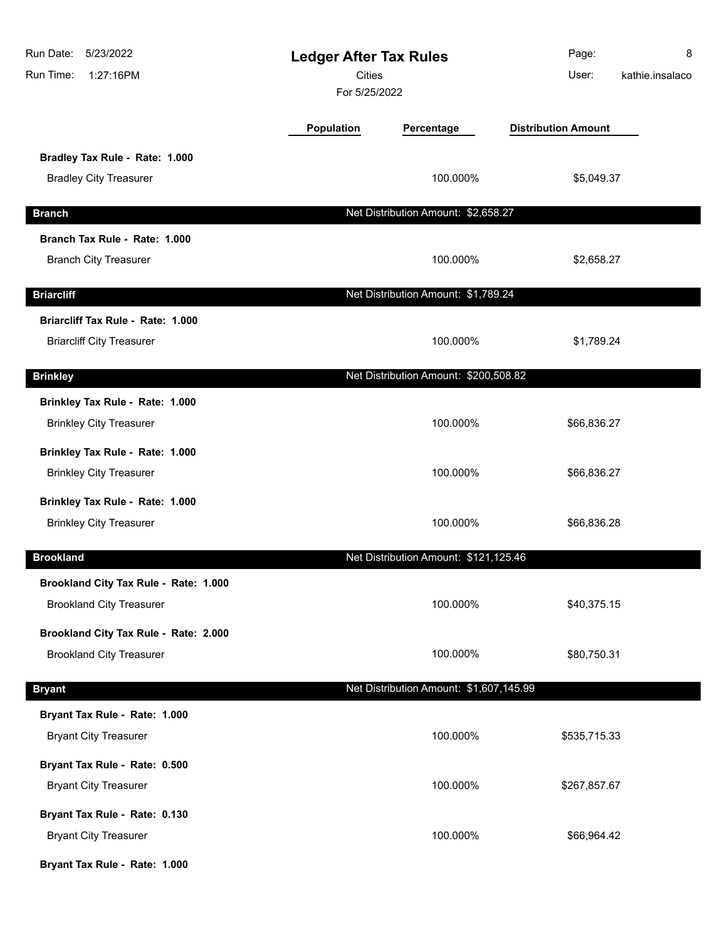| Run Date:<br>5/23/2022<br>Run Time:<br>1:27:16PM | <b>Ledger After Tax Rules</b><br><b>Cities</b><br>For 5/25/2022 |                                         | Page:<br>User:             | 8<br>kathie.insalaco |
|--------------------------------------------------|-----------------------------------------------------------------|-----------------------------------------|----------------------------|----------------------|
|                                                  | Population                                                      | Percentage                              | <b>Distribution Amount</b> |                      |
| Bradley Tax Rule - Rate: 1.000                   |                                                                 |                                         |                            |                      |
| <b>Bradley City Treasurer</b>                    |                                                                 | 100.000%                                | \$5,049.37                 |                      |
| <b>Branch</b>                                    |                                                                 | Net Distribution Amount: \$2,658.27     |                            |                      |
| Branch Tax Rule - Rate: 1.000                    |                                                                 |                                         |                            |                      |
| <b>Branch City Treasurer</b>                     |                                                                 | 100.000%                                | \$2,658.27                 |                      |
| <b>Briarcliff</b>                                |                                                                 | Net Distribution Amount: \$1,789.24     |                            |                      |
| Briarcliff Tax Rule - Rate: 1.000                |                                                                 |                                         |                            |                      |
| <b>Briarcliff City Treasurer</b>                 |                                                                 | 100.000%                                | \$1,789.24                 |                      |
| <b>Brinkley</b>                                  |                                                                 | Net Distribution Amount: \$200,508.82   |                            |                      |
| Brinkley Tax Rule - Rate: 1.000                  |                                                                 |                                         |                            |                      |
| <b>Brinkley City Treasurer</b>                   |                                                                 | 100.000%                                | \$66,836.27                |                      |
| Brinkley Tax Rule - Rate: 1.000                  |                                                                 |                                         |                            |                      |
| <b>Brinkley City Treasurer</b>                   |                                                                 | 100.000%                                | \$66,836.27                |                      |
| Brinkley Tax Rule - Rate: 1.000                  |                                                                 |                                         |                            |                      |
| <b>Brinkley City Treasurer</b>                   |                                                                 | 100.000%                                | \$66,836.28                |                      |
| <b>Brookland</b>                                 |                                                                 | Net Distribution Amount: \$121,125.46   |                            |                      |
| Brookland City Tax Rule - Rate: 1.000            |                                                                 |                                         |                            |                      |
| <b>Brookland City Treasurer</b>                  |                                                                 | 100.000%                                | \$40,375.15                |                      |
| Brookland City Tax Rule - Rate: 2.000            |                                                                 |                                         |                            |                      |
| <b>Brookland City Treasurer</b>                  |                                                                 | 100.000%                                | \$80,750.31                |                      |
| <b>Bryant</b>                                    |                                                                 | Net Distribution Amount: \$1,607,145.99 |                            |                      |
| Bryant Tax Rule - Rate: 1.000                    |                                                                 |                                         |                            |                      |
| <b>Bryant City Treasurer</b>                     |                                                                 | 100.000%                                | \$535,715.33               |                      |
| Bryant Tax Rule - Rate: 0.500                    |                                                                 |                                         |                            |                      |
| <b>Bryant City Treasurer</b>                     |                                                                 | 100.000%                                | \$267,857.67               |                      |
| Bryant Tax Rule - Rate: 0.130                    |                                                                 |                                         |                            |                      |
| <b>Bryant City Treasurer</b>                     |                                                                 | 100.000%                                | \$66,964.42                |                      |
| Bryant Tax Rule - Rate: 1.000                    |                                                                 |                                         |                            |                      |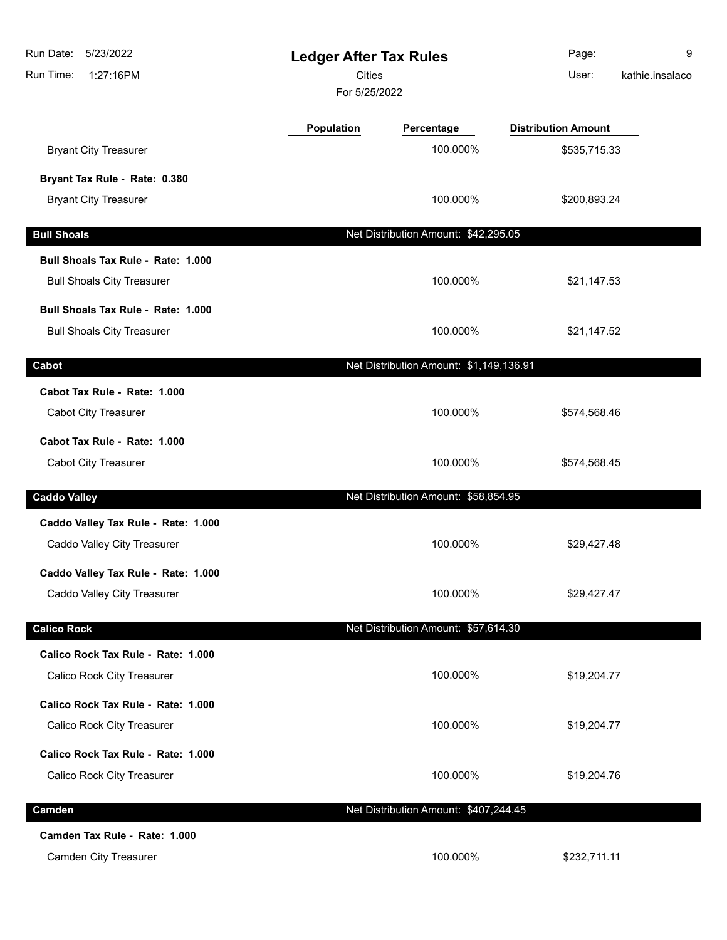| Run Date:<br>5/23/2022<br>Run Time:<br>1:27:16PM | <b>Ledger After Tax Rules</b><br><b>Cities</b><br>For 5/25/2022 |                                         | Page:<br>User:             | 9<br>kathie.insalaco |
|--------------------------------------------------|-----------------------------------------------------------------|-----------------------------------------|----------------------------|----------------------|
|                                                  | Population                                                      | Percentage                              | <b>Distribution Amount</b> |                      |
| <b>Bryant City Treasurer</b>                     |                                                                 | 100.000%                                | \$535,715.33               |                      |
| Bryant Tax Rule - Rate: 0.380                    |                                                                 |                                         |                            |                      |
| <b>Bryant City Treasurer</b>                     |                                                                 | 100.000%                                | \$200,893.24               |                      |
| <b>Bull Shoals</b>                               |                                                                 | Net Distribution Amount: \$42,295.05    |                            |                      |
| Bull Shoals Tax Rule - Rate: 1.000               |                                                                 |                                         |                            |                      |
| <b>Bull Shoals City Treasurer</b>                |                                                                 | 100.000%                                | \$21,147.53                |                      |
| Bull Shoals Tax Rule - Rate: 1.000               |                                                                 |                                         |                            |                      |
| <b>Bull Shoals City Treasurer</b>                |                                                                 | 100.000%                                | \$21,147.52                |                      |
| Cabot                                            |                                                                 | Net Distribution Amount: \$1,149,136.91 |                            |                      |
| Cabot Tax Rule - Rate: 1.000                     |                                                                 |                                         |                            |                      |
| Cabot City Treasurer                             |                                                                 | 100.000%                                | \$574,568.46               |                      |
| Cabot Tax Rule - Rate: 1.000                     |                                                                 |                                         |                            |                      |
| Cabot City Treasurer                             |                                                                 | 100.000%                                | \$574,568.45               |                      |
| <b>Caddo Valley</b>                              |                                                                 | Net Distribution Amount: \$58,854.95    |                            |                      |
| Caddo Valley Tax Rule - Rate: 1.000              |                                                                 |                                         |                            |                      |
| Caddo Valley City Treasurer                      |                                                                 | 100.000%                                | \$29,427.48                |                      |
| Caddo Valley Tax Rule - Rate: 1.000              |                                                                 |                                         |                            |                      |
| Caddo Valley City Treasurer                      |                                                                 | 100.000%                                | \$29,427.47                |                      |
| <b>Calico Rock</b>                               |                                                                 | Net Distribution Amount: \$57,614.30    |                            |                      |
| Calico Rock Tax Rule - Rate: 1.000               |                                                                 |                                         |                            |                      |
| Calico Rock City Treasurer                       |                                                                 | 100.000%                                | \$19,204.77                |                      |
| Calico Rock Tax Rule - Rate: 1.000               |                                                                 |                                         |                            |                      |
| Calico Rock City Treasurer                       |                                                                 | 100.000%                                | \$19,204.77                |                      |
| Calico Rock Tax Rule - Rate: 1.000               |                                                                 |                                         |                            |                      |
| Calico Rock City Treasurer                       |                                                                 | 100.000%                                | \$19,204.76                |                      |
| Camden                                           |                                                                 | Net Distribution Amount: \$407,244.45   |                            |                      |
| Camden Tax Rule - Rate: 1.000                    |                                                                 |                                         |                            |                      |
| <b>Camden City Treasurer</b>                     |                                                                 | 100.000%                                | \$232,711.11               |                      |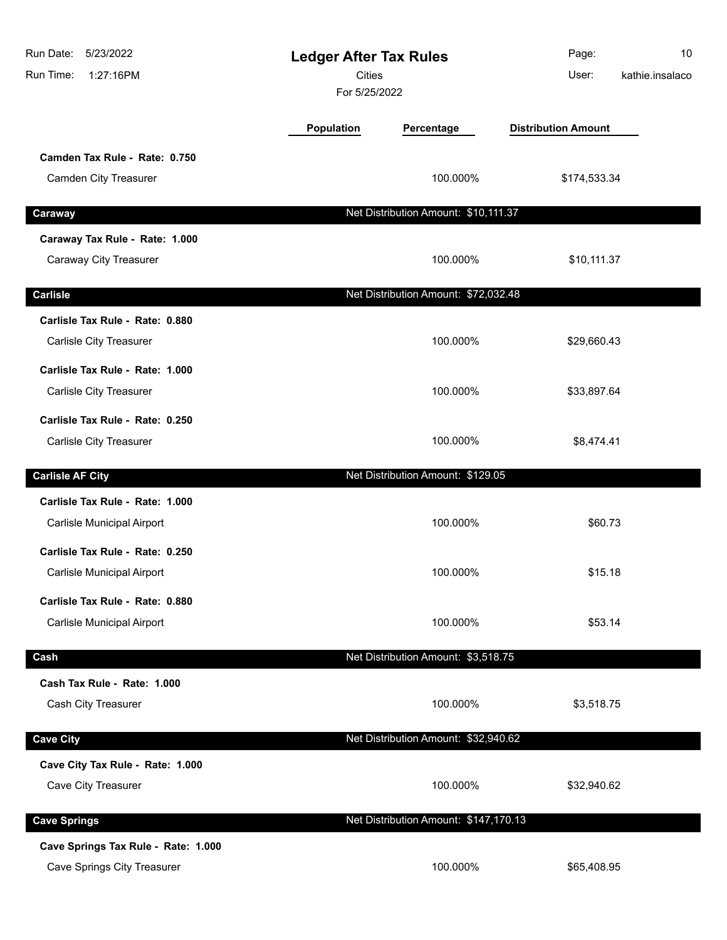| Run Date:<br>5/23/2022<br>Run Time:<br>1:27:16PM | <b>Ledger After Tax Rules</b><br><b>Cities</b><br>For 5/25/2022 |                                       | Page:<br>User:             | 10<br>kathie.insalaco |
|--------------------------------------------------|-----------------------------------------------------------------|---------------------------------------|----------------------------|-----------------------|
|                                                  | Population                                                      | Percentage                            | <b>Distribution Amount</b> |                       |
| Camden Tax Rule - Rate: 0.750                    |                                                                 | 100.000%                              |                            |                       |
| Camden City Treasurer                            |                                                                 |                                       | \$174,533.34               |                       |
| Caraway                                          |                                                                 | Net Distribution Amount: \$10,111.37  |                            |                       |
| Caraway Tax Rule - Rate: 1.000                   |                                                                 |                                       |                            |                       |
| Caraway City Treasurer                           |                                                                 | 100.000%                              | \$10,111.37                |                       |
| <b>Carlisle</b>                                  |                                                                 | Net Distribution Amount: \$72,032.48  |                            |                       |
| Carlisle Tax Rule - Rate: 0.880                  |                                                                 |                                       |                            |                       |
| Carlisle City Treasurer                          |                                                                 | 100.000%                              | \$29,660.43                |                       |
| Carlisle Tax Rule - Rate: 1.000                  |                                                                 |                                       |                            |                       |
| Carlisle City Treasurer                          |                                                                 | 100.000%                              | \$33,897.64                |                       |
| Carlisle Tax Rule - Rate: 0.250                  |                                                                 |                                       |                            |                       |
| Carlisle City Treasurer                          |                                                                 | 100.000%                              | \$8,474.41                 |                       |
| <b>Carlisle AF City</b>                          |                                                                 | Net Distribution Amount: \$129.05     |                            |                       |
| Carlisle Tax Rule - Rate: 1.000                  |                                                                 |                                       |                            |                       |
| Carlisle Municipal Airport                       |                                                                 | 100.000%                              | \$60.73                    |                       |
| Carlisle Tax Rule - Rate: 0.250                  |                                                                 |                                       |                            |                       |
| Carlisle Municipal Airport                       |                                                                 | 100.000%                              | \$15.18                    |                       |
| Carlisle Tax Rule - Rate: 0.880                  |                                                                 |                                       |                            |                       |
| <b>Carlisle Municipal Airport</b>                |                                                                 | 100.000%                              | \$53.14                    |                       |
| Cash                                             |                                                                 | Net Distribution Amount: \$3,518.75   |                            |                       |
| Cash Tax Rule - Rate: 1.000                      |                                                                 |                                       |                            |                       |
| Cash City Treasurer                              |                                                                 | 100.000%                              | \$3,518.75                 |                       |
| <b>Cave City</b>                                 |                                                                 | Net Distribution Amount: \$32,940.62  |                            |                       |
| Cave City Tax Rule - Rate: 1.000                 |                                                                 |                                       |                            |                       |
| Cave City Treasurer                              |                                                                 | 100.000%                              | \$32,940.62                |                       |
| <b>Cave Springs</b>                              |                                                                 | Net Distribution Amount: \$147,170.13 |                            |                       |
| Cave Springs Tax Rule - Rate: 1.000              |                                                                 |                                       |                            |                       |
| <b>Cave Springs City Treasurer</b>               |                                                                 | 100.000%                              | \$65,408.95                |                       |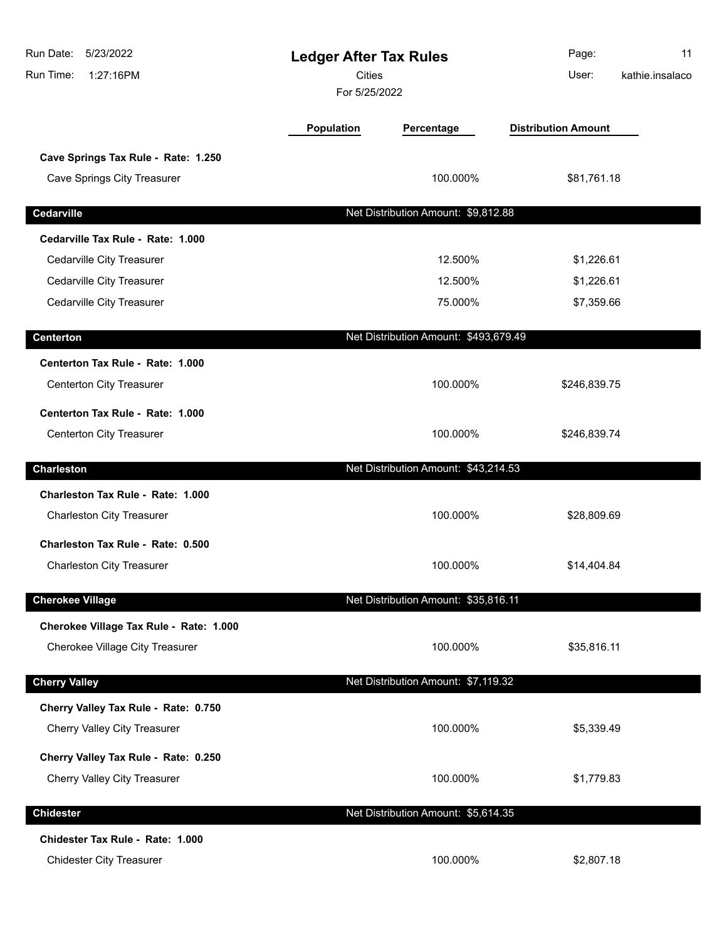| Run Date:<br>5/23/2022<br>Run Time:<br>1:27:16PM | <b>Ledger After Tax Rules</b><br><b>Cities</b><br>For 5/25/2022 |                                       | Page:<br>User:             | 11<br>kathie.insalaco |
|--------------------------------------------------|-----------------------------------------------------------------|---------------------------------------|----------------------------|-----------------------|
|                                                  | <b>Population</b>                                               | Percentage                            | <b>Distribution Amount</b> |                       |
| Cave Springs Tax Rule - Rate: 1.250              |                                                                 |                                       |                            |                       |
| <b>Cave Springs City Treasurer</b>               |                                                                 | 100.000%                              | \$81,761.18                |                       |
| Cedarville                                       |                                                                 | Net Distribution Amount: \$9,812.88   |                            |                       |
| Cedarville Tax Rule - Rate: 1.000                |                                                                 |                                       |                            |                       |
| Cedarville City Treasurer                        |                                                                 | 12.500%                               | \$1,226.61                 |                       |
| Cedarville City Treasurer                        |                                                                 | 12.500%                               | \$1,226.61                 |                       |
| Cedarville City Treasurer                        |                                                                 | 75.000%                               | \$7,359.66                 |                       |
| <b>Centerton</b>                                 |                                                                 | Net Distribution Amount: \$493,679.49 |                            |                       |
| Centerton Tax Rule - Rate: 1.000                 |                                                                 |                                       |                            |                       |
| Centerton City Treasurer                         |                                                                 | 100.000%                              | \$246,839.75               |                       |
| Centerton Tax Rule - Rate: 1.000                 |                                                                 |                                       |                            |                       |
| <b>Centerton City Treasurer</b>                  |                                                                 | 100.000%                              | \$246,839.74               |                       |
| <b>Charleston</b>                                |                                                                 | Net Distribution Amount: \$43,214.53  |                            |                       |
| Charleston Tax Rule - Rate: 1.000                |                                                                 |                                       |                            |                       |
| <b>Charleston City Treasurer</b>                 |                                                                 | 100.000%                              | \$28,809.69                |                       |
| <b>Charleston Tax Rule - Rate: 0.500</b>         |                                                                 |                                       |                            |                       |
| <b>Charleston City Treasurer</b>                 |                                                                 | 100.000%                              | \$14,404.84                |                       |
| <b>Cherokee Village</b>                          |                                                                 | Net Distribution Amount: \$35,816.11  |                            |                       |
| Cherokee Village Tax Rule - Rate: 1.000          |                                                                 |                                       |                            |                       |
| Cherokee Village City Treasurer                  |                                                                 | 100.000%                              | \$35,816.11                |                       |
| <b>Cherry Valley</b>                             |                                                                 | Net Distribution Amount: \$7,119.32   |                            |                       |
| Cherry Valley Tax Rule - Rate: 0.750             |                                                                 |                                       |                            |                       |
| <b>Cherry Valley City Treasurer</b>              |                                                                 | 100.000%                              | \$5,339.49                 |                       |
| Cherry Valley Tax Rule - Rate: 0.250             |                                                                 |                                       |                            |                       |
| <b>Cherry Valley City Treasurer</b>              |                                                                 | 100.000%                              | \$1,779.83                 |                       |
| <b>Chidester</b>                                 |                                                                 | Net Distribution Amount: \$5,614.35   |                            |                       |
| Chidester Tax Rule - Rate: 1.000                 |                                                                 |                                       |                            |                       |
| <b>Chidester City Treasurer</b>                  |                                                                 | 100.000%                              | \$2,807.18                 |                       |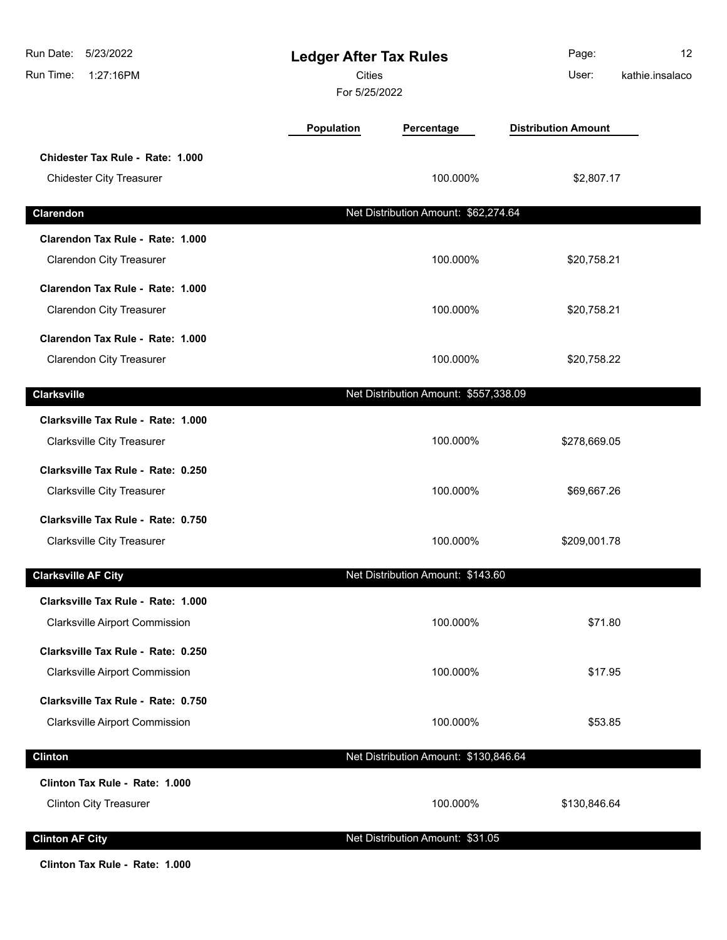| Run Date:<br>5/23/2022<br>Run Time:<br>1:27:16PM                            | <b>Ledger After Tax Rules</b><br><b>Cities</b><br>For 5/25/2022 |                                       | Page:<br>User:             | 12<br>kathie.insalaco |
|-----------------------------------------------------------------------------|-----------------------------------------------------------------|---------------------------------------|----------------------------|-----------------------|
|                                                                             | Population                                                      | Percentage                            | <b>Distribution Amount</b> |                       |
| Chidester Tax Rule - Rate: 1.000<br><b>Chidester City Treasurer</b>         |                                                                 | 100.000%                              | \$2,807.17                 |                       |
| Clarendon                                                                   |                                                                 | Net Distribution Amount: \$62,274.64  |                            |                       |
| Clarendon Tax Rule - Rate: 1.000<br><b>Clarendon City Treasurer</b>         |                                                                 | 100.000%                              | \$20,758.21                |                       |
| Clarendon Tax Rule - Rate: 1.000<br><b>Clarendon City Treasurer</b>         |                                                                 | 100.000%                              | \$20,758.21                |                       |
| Clarendon Tax Rule - Rate: 1.000<br><b>Clarendon City Treasurer</b>         |                                                                 | 100.000%                              | \$20,758.22                |                       |
| <b>Clarksville</b>                                                          |                                                                 | Net Distribution Amount: \$557,338.09 |                            |                       |
| Clarksville Tax Rule - Rate: 1.000<br><b>Clarksville City Treasurer</b>     |                                                                 | 100.000%                              | \$278,669.05               |                       |
| Clarksville Tax Rule - Rate: 0.250<br><b>Clarksville City Treasurer</b>     |                                                                 | 100.000%                              | \$69,667.26                |                       |
| Clarksville Tax Rule - Rate: 0.750<br><b>Clarksville City Treasurer</b>     |                                                                 | 100.000%                              | \$209,001.78               |                       |
| <b>Clarksville AF City</b>                                                  |                                                                 | Net Distribution Amount: \$143.60     |                            |                       |
| Clarksville Tax Rule - Rate: 1.000<br><b>Clarksville Airport Commission</b> |                                                                 | 100.000%                              | \$71.80                    |                       |
| Clarksville Tax Rule - Rate: 0.250<br><b>Clarksville Airport Commission</b> |                                                                 | 100.000%                              | \$17.95                    |                       |
| Clarksville Tax Rule - Rate: 0.750<br><b>Clarksville Airport Commission</b> |                                                                 | 100.000%                              | \$53.85                    |                       |
| <b>Clinton</b>                                                              |                                                                 | Net Distribution Amount: \$130,846.64 |                            |                       |
| Clinton Tax Rule - Rate: 1.000<br><b>Clinton City Treasurer</b>             |                                                                 | 100.000%                              | \$130,846.64               |                       |
| <b>Clinton AF City</b>                                                      |                                                                 | Net Distribution Amount: \$31.05      |                            |                       |
| Clinton Tax Rule - Rate: 1.000                                              |                                                                 |                                       |                            |                       |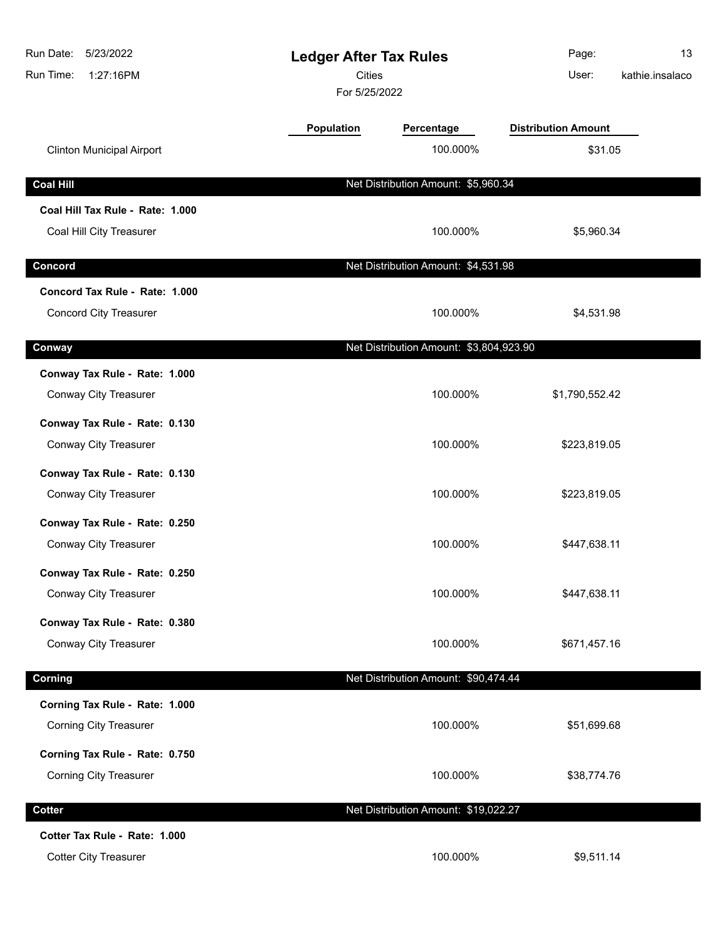| Run Date:<br>5/23/2022<br>Run Time:<br>1:27:16PM | <b>Ledger After Tax Rules</b><br>Cities<br>For 5/25/2022 |                                         | Page:<br>User:             | 13<br>kathie.insalaco |
|--------------------------------------------------|----------------------------------------------------------|-----------------------------------------|----------------------------|-----------------------|
|                                                  | Population                                               | Percentage                              | <b>Distribution Amount</b> |                       |
| <b>Clinton Municipal Airport</b>                 |                                                          | 100.000%                                | \$31.05                    |                       |
| <b>Coal Hill</b>                                 |                                                          | Net Distribution Amount: \$5,960.34     |                            |                       |
| Coal Hill Tax Rule - Rate: 1.000                 |                                                          |                                         |                            |                       |
| Coal Hill City Treasurer                         |                                                          | 100.000%                                | \$5,960.34                 |                       |
| Concord                                          |                                                          | Net Distribution Amount: \$4,531.98     |                            |                       |
| Concord Tax Rule - Rate: 1.000                   |                                                          |                                         |                            |                       |
| <b>Concord City Treasurer</b>                    |                                                          | 100.000%                                | \$4,531.98                 |                       |
| Conway                                           |                                                          | Net Distribution Amount: \$3,804,923.90 |                            |                       |
| Conway Tax Rule - Rate: 1.000                    |                                                          |                                         |                            |                       |
| Conway City Treasurer                            |                                                          | 100.000%                                | \$1,790,552.42             |                       |
| Conway Tax Rule - Rate: 0.130                    |                                                          |                                         |                            |                       |
| Conway City Treasurer                            |                                                          | 100.000%                                | \$223,819.05               |                       |
| Conway Tax Rule - Rate: 0.130                    |                                                          |                                         |                            |                       |
| Conway City Treasurer                            |                                                          | 100.000%                                | \$223,819.05               |                       |
| Conway Tax Rule - Rate: 0.250                    |                                                          |                                         |                            |                       |
| Conway City Treasurer                            |                                                          | 100.000%                                | \$447,638.11               |                       |
| Conway Tax Rule - Rate: 0.250                    |                                                          |                                         |                            |                       |
| Conway City Treasurer                            |                                                          | 100.000%                                | \$447,638.11               |                       |
| Conway Tax Rule - Rate: 0.380                    |                                                          |                                         |                            |                       |
| Conway City Treasurer                            |                                                          | 100.000%                                | \$671,457.16               |                       |
| Corning                                          |                                                          | Net Distribution Amount: \$90,474.44    |                            |                       |
| Corning Tax Rule - Rate: 1.000                   |                                                          |                                         |                            |                       |
| <b>Corning City Treasurer</b>                    |                                                          | 100.000%                                | \$51,699.68                |                       |
| Corning Tax Rule - Rate: 0.750                   |                                                          |                                         |                            |                       |
| <b>Corning City Treasurer</b>                    |                                                          | 100.000%                                | \$38,774.76                |                       |
| <b>Cotter</b>                                    |                                                          | Net Distribution Amount: \$19,022.27    |                            |                       |
| Cotter Tax Rule - Rate: 1.000                    |                                                          |                                         |                            |                       |
| <b>Cotter City Treasurer</b>                     |                                                          | 100.000%                                | \$9,511.14                 |                       |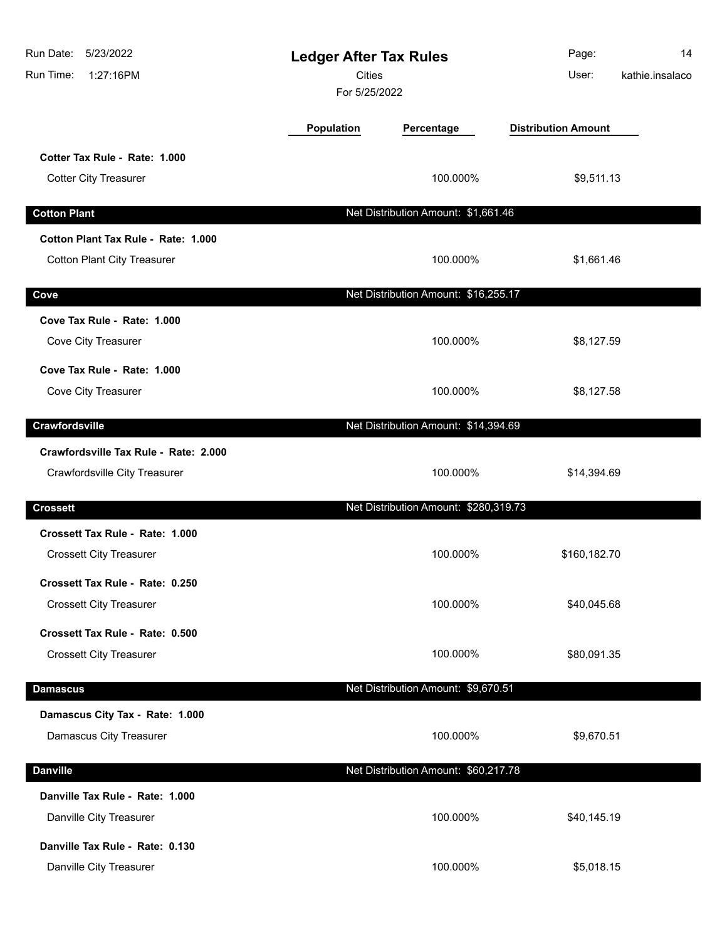| Run Date:<br>5/23/2022<br>Run Time:<br>1:27:16PM                          | <b>Ledger After Tax Rules</b><br><b>Cities</b><br>For 5/25/2022 |                                       | Page:<br>User:             | 14<br>kathie.insalaco |
|---------------------------------------------------------------------------|-----------------------------------------------------------------|---------------------------------------|----------------------------|-----------------------|
|                                                                           | Population                                                      | Percentage                            | <b>Distribution Amount</b> |                       |
| Cotter Tax Rule - Rate: 1.000<br><b>Cotter City Treasurer</b>             |                                                                 | 100.000%                              | \$9,511.13                 |                       |
| <b>Cotton Plant</b>                                                       |                                                                 | Net Distribution Amount: \$1,661.46   |                            |                       |
| Cotton Plant Tax Rule - Rate: 1.000<br><b>Cotton Plant City Treasurer</b> |                                                                 | 100.000%                              | \$1,661.46                 |                       |
| Cove                                                                      |                                                                 | Net Distribution Amount: \$16,255.17  |                            |                       |
| Cove Tax Rule - Rate: 1.000<br>Cove City Treasurer                        |                                                                 | 100.000%                              | \$8,127.59                 |                       |
| Cove Tax Rule - Rate: 1.000<br>Cove City Treasurer                        |                                                                 | 100.000%                              | \$8,127.58                 |                       |
| Crawfordsville                                                            |                                                                 | Net Distribution Amount: \$14,394.69  |                            |                       |
| Crawfordsville Tax Rule - Rate: 2.000<br>Crawfordsville City Treasurer    |                                                                 | 100.000%                              | \$14,394.69                |                       |
| <b>Crossett</b>                                                           |                                                                 | Net Distribution Amount: \$280,319.73 |                            |                       |
| Crossett Tax Rule - Rate: 1.000<br><b>Crossett City Treasurer</b>         |                                                                 | 100.000%                              | \$160,182.70               |                       |
| Crossett Tax Rule - Rate: 0.250<br><b>Crossett City Treasurer</b>         |                                                                 | 100.000%                              | \$40,045.68                |                       |
| Crossett Tax Rule - Rate: 0.500<br><b>Crossett City Treasurer</b>         |                                                                 | 100.000%                              | \$80,091.35                |                       |
| <b>Damascus</b>                                                           |                                                                 | Net Distribution Amount: \$9,670.51   |                            |                       |
| Damascus City Tax - Rate: 1.000<br>Damascus City Treasurer                |                                                                 | 100.000%                              | \$9,670.51                 |                       |
| <b>Danville</b>                                                           |                                                                 | Net Distribution Amount: \$60,217.78  |                            |                       |
| Danville Tax Rule - Rate: 1.000<br>Danville City Treasurer                |                                                                 | 100.000%                              | \$40,145.19                |                       |
| Danville Tax Rule - Rate: 0.130<br>Danville City Treasurer                |                                                                 | 100.000%                              | \$5,018.15                 |                       |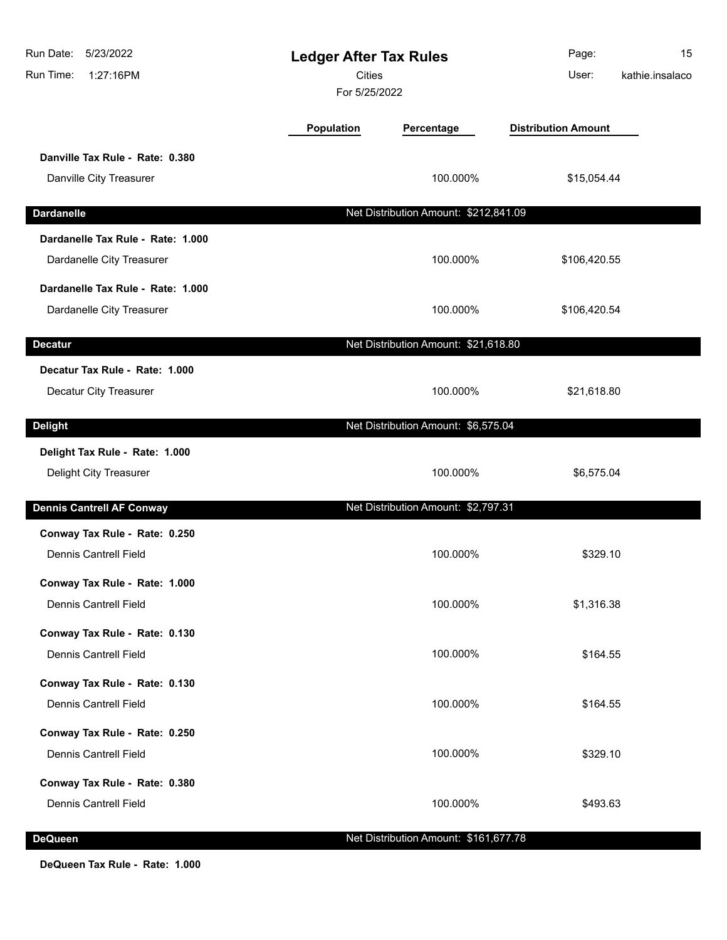| Run Date:<br>5/23/2022<br>Run Time:<br>1:27:16PM | <b>Ledger After Tax Rules</b><br><b>Cities</b><br>For 5/25/2022 |                                       | Page:<br>User:             | 15<br>kathie.insalaco |
|--------------------------------------------------|-----------------------------------------------------------------|---------------------------------------|----------------------------|-----------------------|
|                                                  | <b>Population</b>                                               | Percentage                            | <b>Distribution Amount</b> |                       |
| Danville Tax Rule - Rate: 0.380                  |                                                                 |                                       |                            |                       |
| Danville City Treasurer                          |                                                                 | 100.000%                              | \$15,054.44                |                       |
| <b>Dardanelle</b>                                |                                                                 | Net Distribution Amount: \$212,841.09 |                            |                       |
| Dardanelle Tax Rule - Rate: 1.000                |                                                                 |                                       |                            |                       |
| Dardanelle City Treasurer                        |                                                                 | 100.000%                              | \$106,420.55               |                       |
| Dardanelle Tax Rule - Rate: 1.000                |                                                                 |                                       |                            |                       |
| Dardanelle City Treasurer                        |                                                                 | 100.000%                              | \$106,420.54               |                       |
| <b>Decatur</b>                                   |                                                                 | Net Distribution Amount: \$21,618.80  |                            |                       |
| Decatur Tax Rule - Rate: 1.000                   |                                                                 |                                       |                            |                       |
| Decatur City Treasurer                           |                                                                 | 100.000%                              | \$21,618.80                |                       |
| <b>Delight</b>                                   |                                                                 | Net Distribution Amount: \$6,575.04   |                            |                       |
| Delight Tax Rule - Rate: 1.000                   |                                                                 |                                       |                            |                       |
| Delight City Treasurer                           |                                                                 | 100.000%                              | \$6,575.04                 |                       |
| <b>Dennis Cantrell AF Conway</b>                 |                                                                 | Net Distribution Amount: \$2,797.31   |                            |                       |
| Conway Tax Rule - Rate: 0.250                    |                                                                 |                                       |                            |                       |
| <b>Dennis Cantrell Field</b>                     |                                                                 | 100.000%                              | \$329.10                   |                       |
| Conway Tax Rule - Rate: 1.000                    |                                                                 |                                       |                            |                       |
| <b>Dennis Cantrell Field</b>                     |                                                                 | 100.000%                              | \$1,316.38                 |                       |
| Conway Tax Rule - Rate: 0.130                    |                                                                 |                                       |                            |                       |
| <b>Dennis Cantrell Field</b>                     |                                                                 | 100.000%                              | \$164.55                   |                       |
| Conway Tax Rule - Rate: 0.130                    |                                                                 |                                       |                            |                       |
| <b>Dennis Cantrell Field</b>                     |                                                                 | 100.000%                              | \$164.55                   |                       |
| Conway Tax Rule - Rate: 0.250                    |                                                                 |                                       |                            |                       |
| <b>Dennis Cantrell Field</b>                     |                                                                 | 100.000%                              | \$329.10                   |                       |
| Conway Tax Rule - Rate: 0.380                    |                                                                 |                                       |                            |                       |
| <b>Dennis Cantrell Field</b>                     |                                                                 | 100.000%                              | \$493.63                   |                       |
| <b>DeQueen</b>                                   |                                                                 | Net Distribution Amount: \$161,677.78 |                            |                       |

**DeQueen Tax Rule - Rate: 1.000**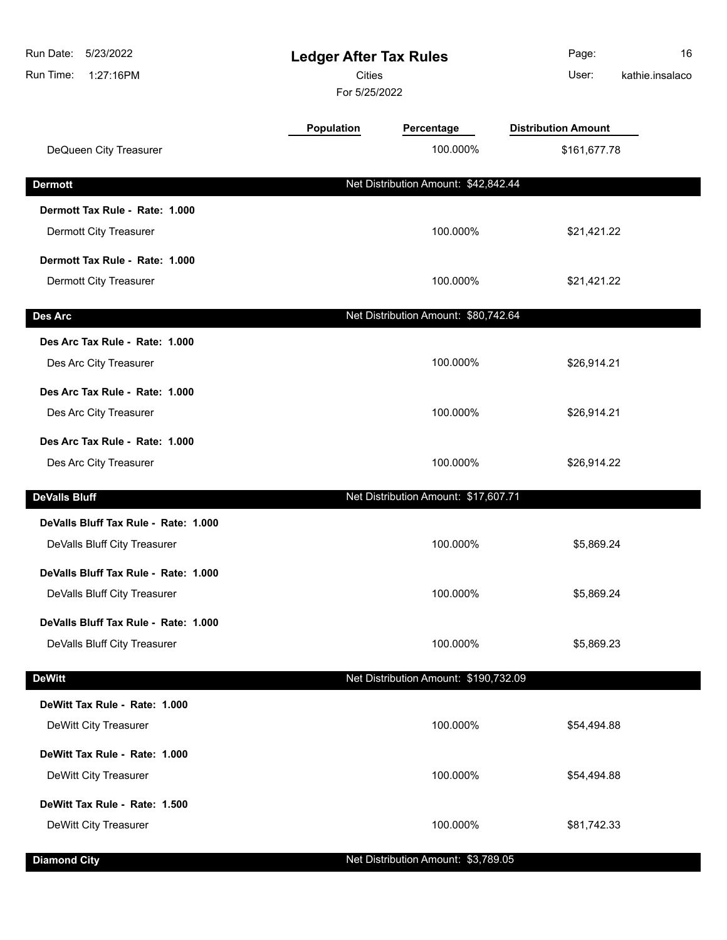| 5/23/2022<br>Run Date:<br>Run Time:<br>1:27:16PM |                   | <b>Ledger After Tax Rules</b><br><b>Cities</b><br>For 5/25/2022 |                            | 16<br>kathie.insalaco |
|--------------------------------------------------|-------------------|-----------------------------------------------------------------|----------------------------|-----------------------|
|                                                  | <b>Population</b> | Percentage                                                      | <b>Distribution Amount</b> |                       |
| DeQueen City Treasurer                           |                   | 100.000%                                                        | \$161,677.78               |                       |
| <b>Dermott</b>                                   |                   | Net Distribution Amount: \$42,842.44                            |                            |                       |
| Dermott Tax Rule - Rate: 1.000                   |                   |                                                                 |                            |                       |
| Dermott City Treasurer                           |                   | 100.000%                                                        | \$21,421.22                |                       |
| Dermott Tax Rule - Rate: 1.000                   |                   |                                                                 |                            |                       |
| <b>Dermott City Treasurer</b>                    |                   | 100.000%                                                        | \$21,421.22                |                       |
| Des Arc                                          |                   | Net Distribution Amount: \$80,742.64                            |                            |                       |
| Des Arc Tax Rule - Rate: 1.000                   |                   |                                                                 |                            |                       |
| Des Arc City Treasurer                           |                   | 100.000%                                                        | \$26,914.21                |                       |
| Des Arc Tax Rule - Rate: 1.000                   |                   |                                                                 |                            |                       |
| Des Arc City Treasurer                           |                   | 100.000%                                                        | \$26,914.21                |                       |
| Des Arc Tax Rule - Rate: 1.000                   |                   |                                                                 |                            |                       |
| Des Arc City Treasurer                           |                   | 100.000%                                                        | \$26,914.22                |                       |
| <b>DeValls Bluff</b>                             |                   | Net Distribution Amount: \$17,607.71                            |                            |                       |
| DeValls Bluff Tax Rule - Rate: 1.000             |                   |                                                                 |                            |                       |
| DeValls Bluff City Treasurer                     |                   | 100.000%                                                        | \$5,869.24                 |                       |
| DeValls Bluff Tax Rule - Rate: 1.000             |                   |                                                                 |                            |                       |
| DeValls Bluff City Treasurer                     |                   | 100.000%                                                        | \$5,869.24                 |                       |
| DeValls Bluff Tax Rule - Rate: 1.000             |                   |                                                                 |                            |                       |
| DeValls Bluff City Treasurer                     |                   | 100.000%                                                        | \$5,869.23                 |                       |
| <b>DeWitt</b>                                    |                   | Net Distribution Amount: \$190,732.09                           |                            |                       |
| DeWitt Tax Rule - Rate: 1.000                    |                   |                                                                 |                            |                       |
| DeWitt City Treasurer                            |                   | 100.000%                                                        | \$54,494.88                |                       |
| DeWitt Tax Rule - Rate: 1.000                    |                   |                                                                 |                            |                       |
| DeWitt City Treasurer                            |                   | 100.000%                                                        | \$54,494.88                |                       |
| DeWitt Tax Rule - Rate: 1.500                    |                   |                                                                 |                            |                       |
| DeWitt City Treasurer                            |                   | 100.000%                                                        | \$81,742.33                |                       |
| <b>Diamond City</b>                              |                   | Net Distribution Amount: \$3,789.05                             |                            |                       |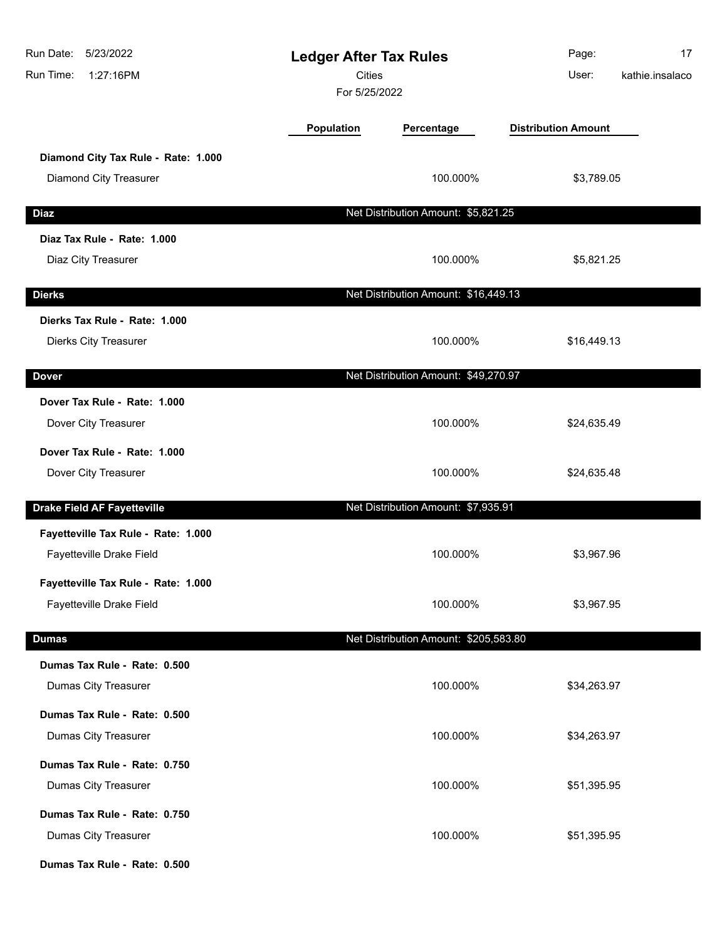| Run Date:<br>5/23/2022<br>1:27:16PM<br>Run Time: | <b>Ledger After Tax Rules</b><br><b>Cities</b><br>For 5/25/2022 |                                       | Page:<br>User:             | 17<br>kathie.insalaco |
|--------------------------------------------------|-----------------------------------------------------------------|---------------------------------------|----------------------------|-----------------------|
|                                                  | <b>Population</b>                                               | Percentage                            | <b>Distribution Amount</b> |                       |
| Diamond City Tax Rule - Rate: 1.000              |                                                                 |                                       |                            |                       |
| Diamond City Treasurer                           |                                                                 | 100.000%                              | \$3,789.05                 |                       |
| <b>Diaz</b>                                      |                                                                 | Net Distribution Amount: \$5,821.25   |                            |                       |
| Diaz Tax Rule - Rate: 1.000                      |                                                                 |                                       |                            |                       |
| Diaz City Treasurer                              |                                                                 | 100.000%                              | \$5,821.25                 |                       |
| <b>Dierks</b>                                    |                                                                 | Net Distribution Amount: \$16,449.13  |                            |                       |
| Dierks Tax Rule - Rate: 1.000                    |                                                                 |                                       |                            |                       |
| Dierks City Treasurer                            |                                                                 | 100.000%                              | \$16,449.13                |                       |
| <b>Dover</b>                                     |                                                                 | Net Distribution Amount: \$49,270.97  |                            |                       |
| Dover Tax Rule - Rate: 1.000                     |                                                                 |                                       |                            |                       |
| Dover City Treasurer                             |                                                                 | 100.000%                              | \$24,635.49                |                       |
| Dover Tax Rule - Rate: 1.000                     |                                                                 |                                       |                            |                       |
| Dover City Treasurer                             |                                                                 | 100.000%                              | \$24,635.48                |                       |
| <b>Drake Field AF Fayetteville</b>               |                                                                 | Net Distribution Amount: \$7,935.91   |                            |                       |
| Fayetteville Tax Rule - Rate: 1.000              |                                                                 |                                       |                            |                       |
| Fayetteville Drake Field                         |                                                                 | 100.000%                              | \$3,967.96                 |                       |
| Fayetteville Tax Rule - Rate: 1.000              |                                                                 |                                       |                            |                       |
| Fayetteville Drake Field                         |                                                                 | 100.000%                              | \$3,967.95                 |                       |
| <b>Dumas</b>                                     |                                                                 | Net Distribution Amount: \$205,583.80 |                            |                       |
| Dumas Tax Rule - Rate: 0.500                     |                                                                 |                                       |                            |                       |
| Dumas City Treasurer                             |                                                                 | 100.000%                              | \$34,263.97                |                       |
| Dumas Tax Rule - Rate: 0.500                     |                                                                 |                                       |                            |                       |
| Dumas City Treasurer                             |                                                                 | 100.000%                              | \$34,263.97                |                       |
| Dumas Tax Rule - Rate: 0.750                     |                                                                 |                                       |                            |                       |
| Dumas City Treasurer                             |                                                                 | 100.000%                              | \$51,395.95                |                       |
| Dumas Tax Rule - Rate: 0.750                     |                                                                 |                                       |                            |                       |
| Dumas City Treasurer                             |                                                                 | 100.000%                              | \$51,395.95                |                       |
| Dumas Tax Rule - Rate: 0.500                     |                                                                 |                                       |                            |                       |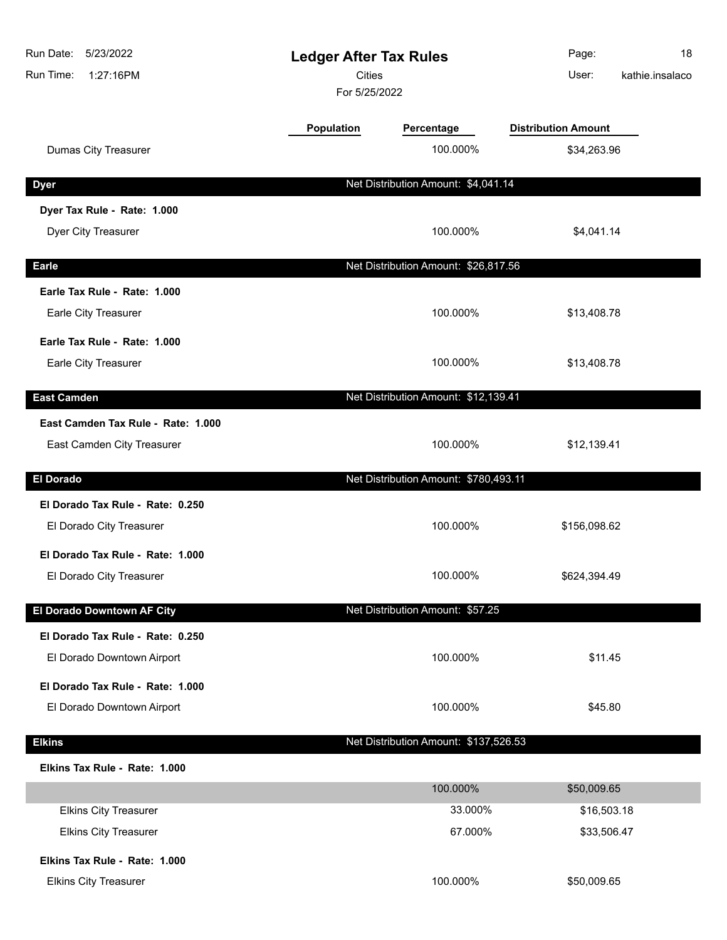| Run Date:<br>5/23/2022<br>Run Time:<br>1:27:16PM | <b>Ledger After Tax Rules</b><br><b>Cities</b><br>For 5/25/2022 |                                       | Page:<br>18<br>kathie.insalaco<br>User: |
|--------------------------------------------------|-----------------------------------------------------------------|---------------------------------------|-----------------------------------------|
|                                                  | <b>Population</b>                                               | Percentage                            | <b>Distribution Amount</b>              |
| <b>Dumas City Treasurer</b>                      |                                                                 | 100.000%                              | \$34,263.96                             |
| <b>Dyer</b>                                      |                                                                 | Net Distribution Amount: \$4,041.14   |                                         |
| Dyer Tax Rule - Rate: 1.000                      |                                                                 |                                       |                                         |
| Dyer City Treasurer                              |                                                                 | 100.000%                              | \$4,041.14                              |
| <b>Earle</b>                                     |                                                                 | Net Distribution Amount: \$26,817.56  |                                         |
| Earle Tax Rule - Rate: 1.000                     |                                                                 |                                       |                                         |
| Earle City Treasurer                             |                                                                 | 100.000%                              | \$13,408.78                             |
| Earle Tax Rule - Rate: 1.000                     |                                                                 |                                       |                                         |
| Earle City Treasurer                             |                                                                 | 100.000%                              | \$13,408.78                             |
| <b>East Camden</b>                               |                                                                 | Net Distribution Amount: \$12,139.41  |                                         |
| East Camden Tax Rule - Rate: 1.000               |                                                                 |                                       |                                         |
| East Camden City Treasurer                       |                                                                 | 100.000%                              | \$12,139.41                             |
| <b>El Dorado</b>                                 |                                                                 | Net Distribution Amount: \$780,493.11 |                                         |
| El Dorado Tax Rule - Rate: 0.250                 |                                                                 |                                       |                                         |
| El Dorado City Treasurer                         |                                                                 | 100.000%                              | \$156,098.62                            |
| El Dorado Tax Rule - Rate: 1.000                 |                                                                 |                                       |                                         |
| El Dorado City Treasurer                         |                                                                 | 100.000%                              | \$624,394.49                            |
| El Dorado Downtown AF City                       |                                                                 | Net Distribution Amount: \$57.25      |                                         |
| El Dorado Tax Rule - Rate: 0.250                 |                                                                 |                                       |                                         |
| El Dorado Downtown Airport                       |                                                                 | 100.000%                              | \$11.45                                 |
| El Dorado Tax Rule - Rate: 1.000                 |                                                                 |                                       |                                         |
| El Dorado Downtown Airport                       |                                                                 | 100.000%                              | \$45.80                                 |
| <b>Elkins</b>                                    |                                                                 | Net Distribution Amount: \$137,526.53 |                                         |
| Elkins Tax Rule - Rate: 1.000                    |                                                                 |                                       |                                         |
|                                                  |                                                                 | 100.000%                              | \$50,009.65                             |
| <b>Elkins City Treasurer</b>                     |                                                                 | 33.000%                               | \$16,503.18                             |
| <b>Elkins City Treasurer</b>                     |                                                                 | 67.000%                               | \$33,506.47                             |
| Elkins Tax Rule - Rate: 1.000                    |                                                                 |                                       |                                         |
| <b>Elkins City Treasurer</b>                     |                                                                 | 100.000%                              | \$50,009.65                             |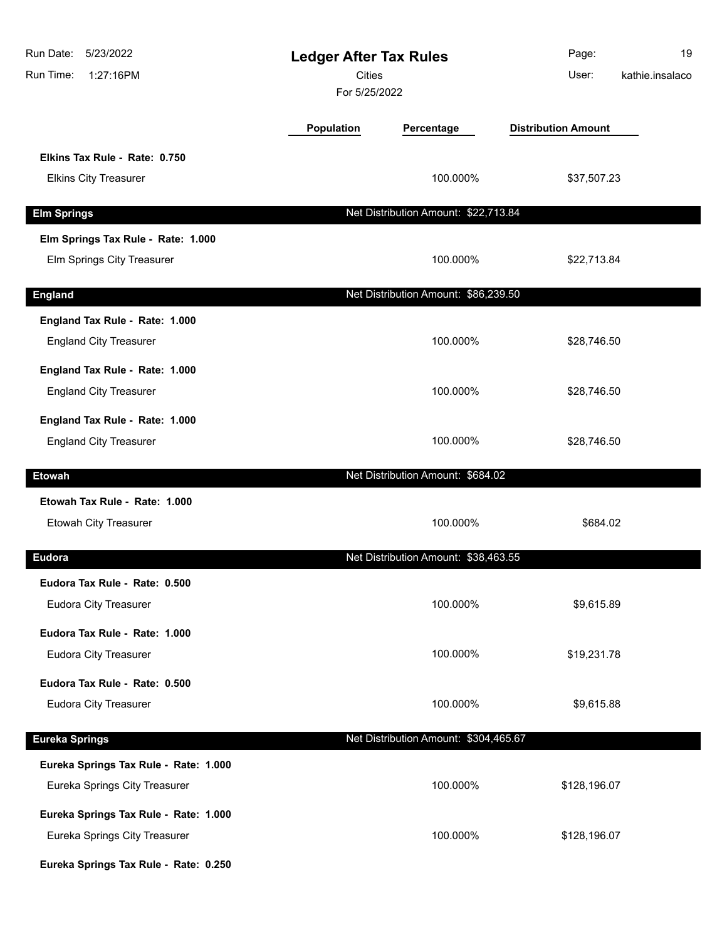| Run Date:<br>5/23/2022<br>Run Time:<br>1:27:16PM                                                                | <b>Ledger After Tax Rules</b><br><b>Cities</b><br>For 5/25/2022 |                                       | Page:<br>User:             | 19<br>kathie.insalaco |
|-----------------------------------------------------------------------------------------------------------------|-----------------------------------------------------------------|---------------------------------------|----------------------------|-----------------------|
|                                                                                                                 | <b>Population</b>                                               | Percentage                            | <b>Distribution Amount</b> |                       |
| Elkins Tax Rule - Rate: 0.750<br><b>Elkins City Treasurer</b>                                                   |                                                                 | 100.000%                              | \$37,507.23                |                       |
| <b>Elm Springs</b>                                                                                              |                                                                 | Net Distribution Amount: \$22,713.84  |                            |                       |
| Elm Springs Tax Rule - Rate: 1.000<br>Elm Springs City Treasurer                                                |                                                                 | 100.000%                              | \$22,713.84                |                       |
| <b>England</b>                                                                                                  |                                                                 | Net Distribution Amount: \$86,239.50  |                            |                       |
| England Tax Rule - Rate: 1.000<br><b>England City Treasurer</b>                                                 |                                                                 | 100.000%                              | \$28,746.50                |                       |
| England Tax Rule - Rate: 1.000<br><b>England City Treasurer</b>                                                 |                                                                 | 100.000%                              | \$28,746.50                |                       |
| England Tax Rule - Rate: 1.000<br><b>England City Treasurer</b>                                                 |                                                                 | 100.000%                              | \$28,746.50                |                       |
| <b>Etowah</b>                                                                                                   |                                                                 | Net Distribution Amount: \$684.02     |                            |                       |
| Etowah Tax Rule - Rate: 1.000<br>Etowah City Treasurer                                                          |                                                                 | 100.000%                              | \$684.02                   |                       |
| Eudora                                                                                                          |                                                                 | Net Distribution Amount: \$38,463.55  |                            |                       |
| Eudora Tax Rule - Rate: 0.500<br>Eudora City Treasurer                                                          |                                                                 | 100.000%                              | \$9,615.89                 |                       |
| Eudora Tax Rule - Rate: 1.000<br><b>Eudora City Treasurer</b>                                                   |                                                                 | 100.000%                              | \$19,231.78                |                       |
| Eudora Tax Rule - Rate: 0.500<br>Eudora City Treasurer                                                          |                                                                 | 100.000%                              | \$9,615.88                 |                       |
| <b>Eureka Springs</b>                                                                                           |                                                                 | Net Distribution Amount: \$304,465.67 |                            |                       |
| Eureka Springs Tax Rule - Rate: 1.000<br>Eureka Springs City Treasurer                                          |                                                                 | 100.000%                              | \$128,196.07               |                       |
| Eureka Springs Tax Rule - Rate: 1.000<br>Eureka Springs City Treasurer<br>Eureka Springs Tax Rule - Rate: 0.250 |                                                                 | 100.000%                              | \$128,196.07               |                       |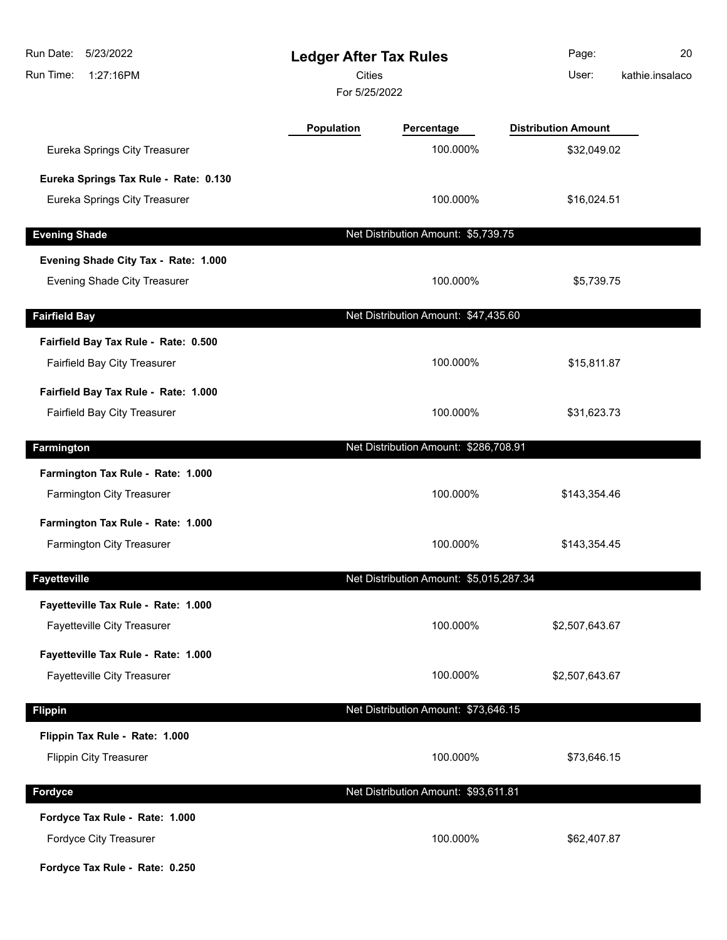| 5/23/2022<br>Run Date:<br>Run Time:<br>1:27:16PM | <b>Ledger After Tax Rules</b><br><b>Cities</b><br>For 5/25/2022 |                                         | Page:<br>User:             | 20<br>kathie.insalaco |
|--------------------------------------------------|-----------------------------------------------------------------|-----------------------------------------|----------------------------|-----------------------|
|                                                  | Population                                                      | Percentage                              | <b>Distribution Amount</b> |                       |
| Eureka Springs City Treasurer                    |                                                                 | 100.000%                                | \$32,049.02                |                       |
| Eureka Springs Tax Rule - Rate: 0.130            |                                                                 |                                         |                            |                       |
| Eureka Springs City Treasurer                    |                                                                 | 100.000%                                | \$16,024.51                |                       |
| <b>Evening Shade</b>                             |                                                                 | Net Distribution Amount: \$5,739.75     |                            |                       |
| Evening Shade City Tax - Rate: 1.000             |                                                                 |                                         |                            |                       |
| Evening Shade City Treasurer                     |                                                                 | 100.000%                                | \$5,739.75                 |                       |
| <b>Fairfield Bay</b>                             |                                                                 | Net Distribution Amount: \$47,435.60    |                            |                       |
| Fairfield Bay Tax Rule - Rate: 0.500             |                                                                 |                                         |                            |                       |
| Fairfield Bay City Treasurer                     |                                                                 | 100.000%                                | \$15,811.87                |                       |
| Fairfield Bay Tax Rule - Rate: 1.000             |                                                                 |                                         |                            |                       |
| Fairfield Bay City Treasurer                     |                                                                 | 100.000%                                | \$31,623.73                |                       |
| Farmington                                       |                                                                 | Net Distribution Amount: \$286,708.91   |                            |                       |
| Farmington Tax Rule - Rate: 1.000                |                                                                 |                                         |                            |                       |
| Farmington City Treasurer                        |                                                                 | 100.000%                                | \$143,354.46               |                       |
| Farmington Tax Rule - Rate: 1.000                |                                                                 |                                         |                            |                       |
| Farmington City Treasurer                        |                                                                 | 100.000%                                | \$143,354.45               |                       |
| <b>Fayetteville</b>                              |                                                                 | Net Distribution Amount: \$5,015,287.34 |                            |                       |
| Fayetteville Tax Rule - Rate: 1.000              |                                                                 |                                         |                            |                       |
| Fayetteville City Treasurer                      |                                                                 | 100.000%                                | \$2,507,643.67             |                       |
| Fayetteville Tax Rule - Rate: 1.000              |                                                                 |                                         |                            |                       |
| <b>Fayetteville City Treasurer</b>               |                                                                 | 100.000%                                | \$2,507,643.67             |                       |
| <b>Flippin</b>                                   |                                                                 | Net Distribution Amount: \$73,646.15    |                            |                       |
| Flippin Tax Rule - Rate: 1.000                   |                                                                 |                                         |                            |                       |
| <b>Flippin City Treasurer</b>                    |                                                                 | 100.000%                                | \$73,646.15                |                       |
| Fordyce                                          |                                                                 | Net Distribution Amount: \$93,611.81    |                            |                       |
| Fordyce Tax Rule - Rate: 1.000                   |                                                                 |                                         |                            |                       |
| Fordyce City Treasurer                           |                                                                 | 100.000%                                | \$62,407.87                |                       |
| Fordyce Tax Rule - Rate: 0.250                   |                                                                 |                                         |                            |                       |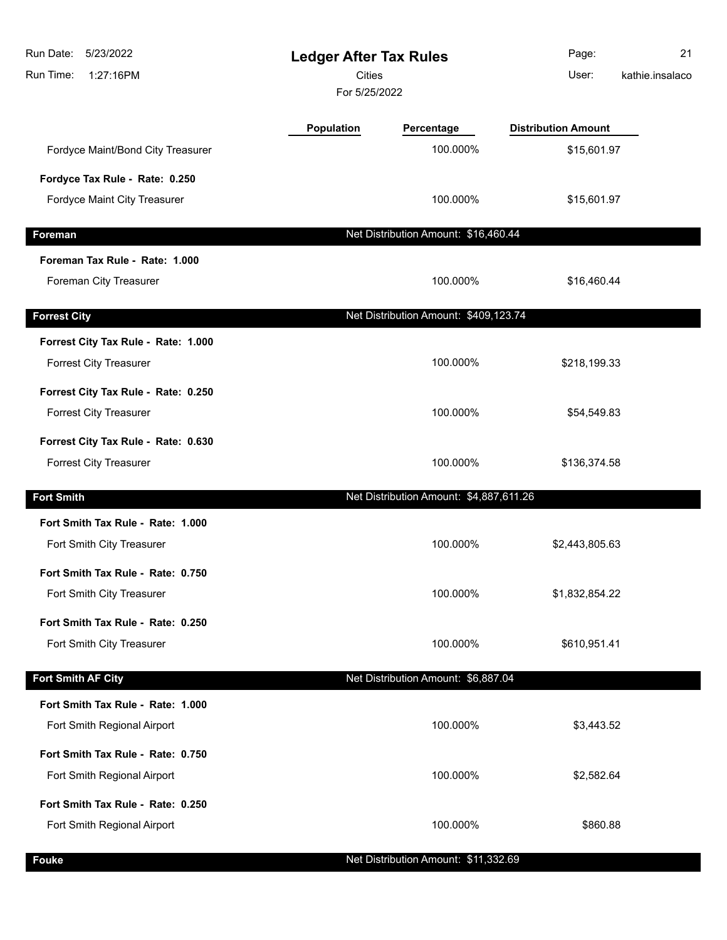| Run Date:<br>5/23/2022<br>Run Time:<br>1:27:16PM | <b>Ledger After Tax Rules</b><br>Cities<br>For 5/25/2022 |                                         | Page:<br>User:             | 21<br>kathie.insalaco |
|--------------------------------------------------|----------------------------------------------------------|-----------------------------------------|----------------------------|-----------------------|
|                                                  | <b>Population</b>                                        | Percentage                              | <b>Distribution Amount</b> |                       |
| Fordyce Maint/Bond City Treasurer                |                                                          | 100.000%                                | \$15,601.97                |                       |
| Fordyce Tax Rule - Rate: 0.250                   |                                                          |                                         |                            |                       |
| Fordyce Maint City Treasurer                     |                                                          | 100.000%                                | \$15,601.97                |                       |
| Foreman                                          |                                                          | Net Distribution Amount: \$16,460.44    |                            |                       |
| Foreman Tax Rule - Rate: 1.000                   |                                                          |                                         |                            |                       |
| Foreman City Treasurer                           |                                                          | 100.000%                                | \$16,460.44                |                       |
| <b>Forrest City</b>                              |                                                          | Net Distribution Amount: \$409,123.74   |                            |                       |
| Forrest City Tax Rule - Rate: 1.000              |                                                          |                                         |                            |                       |
| <b>Forrest City Treasurer</b>                    |                                                          | 100.000%                                | \$218,199.33               |                       |
| Forrest City Tax Rule - Rate: 0.250              |                                                          |                                         |                            |                       |
| <b>Forrest City Treasurer</b>                    |                                                          | 100.000%                                | \$54,549.83                |                       |
| Forrest City Tax Rule - Rate: 0.630              |                                                          |                                         |                            |                       |
| <b>Forrest City Treasurer</b>                    |                                                          | 100.000%                                | \$136,374.58               |                       |
| <b>Fort Smith</b>                                |                                                          | Net Distribution Amount: \$4,887,611.26 |                            |                       |
| Fort Smith Tax Rule - Rate: 1.000                |                                                          |                                         |                            |                       |
| Fort Smith City Treasurer                        |                                                          | 100.000%                                | \$2,443,805.63             |                       |
| Fort Smith Tax Rule - Rate: 0.750                |                                                          |                                         |                            |                       |
| Fort Smith City Treasurer                        |                                                          | 100.000%                                | \$1,832,854.22             |                       |
| Fort Smith Tax Rule - Rate: 0.250                |                                                          |                                         |                            |                       |
| Fort Smith City Treasurer                        |                                                          | 100.000%                                | \$610,951.41               |                       |
| Fort Smith AF City                               |                                                          | Net Distribution Amount: \$6,887.04     |                            |                       |
| Fort Smith Tax Rule - Rate: 1.000                |                                                          |                                         |                            |                       |
| Fort Smith Regional Airport                      |                                                          | 100.000%                                | \$3,443.52                 |                       |
| Fort Smith Tax Rule - Rate: 0.750                |                                                          |                                         |                            |                       |
| Fort Smith Regional Airport                      |                                                          | 100.000%                                | \$2,582.64                 |                       |
| Fort Smith Tax Rule - Rate: 0.250                |                                                          |                                         |                            |                       |
| Fort Smith Regional Airport                      |                                                          | 100.000%                                | \$860.88                   |                       |
|                                                  |                                                          |                                         |                            |                       |

**Fouke Fouke Fouke Net Distribution Amount: \$11,332.69**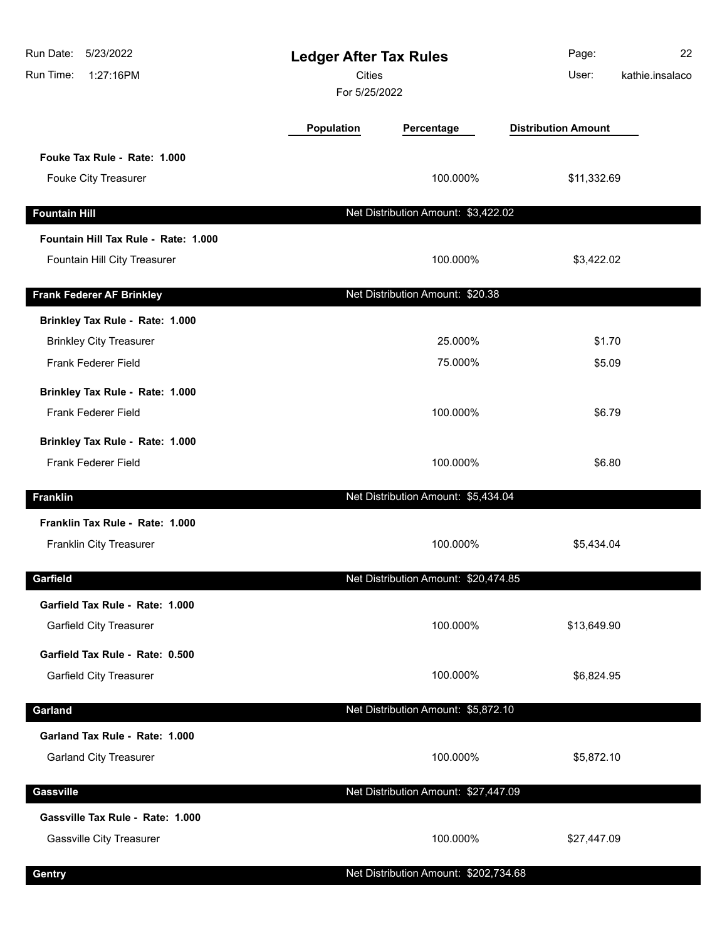| Run Date:<br>5/23/2022<br>Run Time:<br>1:27:16PM                  | <b>Ledger After Tax Rules</b><br><b>Cities</b><br>For 5/25/2022 |                                       | Page:<br>User:             | 22<br>kathie.insalaco |
|-------------------------------------------------------------------|-----------------------------------------------------------------|---------------------------------------|----------------------------|-----------------------|
|                                                                   | Population                                                      | Percentage                            | <b>Distribution Amount</b> |                       |
| Fouke Tax Rule - Rate: 1.000                                      |                                                                 |                                       |                            |                       |
| Fouke City Treasurer                                              |                                                                 | 100.000%                              | \$11,332.69                |                       |
| <b>Fountain Hill</b>                                              |                                                                 | Net Distribution Amount: \$3,422.02   |                            |                       |
| Fountain Hill Tax Rule - Rate: 1.000                              |                                                                 |                                       |                            |                       |
| Fountain Hill City Treasurer                                      |                                                                 | 100.000%                              | \$3,422.02                 |                       |
| <b>Frank Federer AF Brinkley</b>                                  |                                                                 | Net Distribution Amount: \$20.38      |                            |                       |
| Brinkley Tax Rule - Rate: 1.000                                   |                                                                 |                                       |                            |                       |
| <b>Brinkley City Treasurer</b>                                    |                                                                 | 25.000%                               | \$1.70                     |                       |
| Frank Federer Field                                               |                                                                 | 75.000%                               | \$5.09                     |                       |
| Brinkley Tax Rule - Rate: 1.000                                   |                                                                 |                                       |                            |                       |
| Frank Federer Field                                               |                                                                 | 100.000%                              | \$6.79                     |                       |
| Brinkley Tax Rule - Rate: 1.000                                   |                                                                 |                                       |                            |                       |
| Frank Federer Field                                               |                                                                 | 100.000%                              | \$6.80                     |                       |
| <b>Franklin</b>                                                   |                                                                 | Net Distribution Amount: \$5,434.04   |                            |                       |
| Franklin Tax Rule - Rate: 1.000                                   |                                                                 |                                       |                            |                       |
| Franklin City Treasurer                                           |                                                                 | 100.000%                              | \$5,434.04                 |                       |
|                                                                   |                                                                 |                                       |                            |                       |
| Garfield                                                          |                                                                 | Net Distribution Amount: \$20,474.85  |                            |                       |
| Garfield Tax Rule - Rate: 1.000<br><b>Garfield City Treasurer</b> |                                                                 | 100.000%                              | \$13,649.90                |                       |
|                                                                   |                                                                 |                                       |                            |                       |
| Garfield Tax Rule - Rate: 0.500                                   |                                                                 |                                       |                            |                       |
| <b>Garfield City Treasurer</b>                                    |                                                                 | 100.000%                              | \$6,824.95                 |                       |
| Garland                                                           |                                                                 | Net Distribution Amount: \$5,872.10   |                            |                       |
| Garland Tax Rule - Rate: 1.000                                    |                                                                 |                                       |                            |                       |
| <b>Garland City Treasurer</b>                                     |                                                                 | 100.000%                              | \$5,872.10                 |                       |
| <b>Gassville</b>                                                  |                                                                 | Net Distribution Amount: \$27,447.09  |                            |                       |
| Gassville Tax Rule - Rate: 1.000                                  |                                                                 |                                       |                            |                       |
| <b>Gassville City Treasurer</b>                                   |                                                                 | 100.000%                              | \$27,447.09                |                       |
| Gentry                                                            |                                                                 | Net Distribution Amount: \$202,734.68 |                            |                       |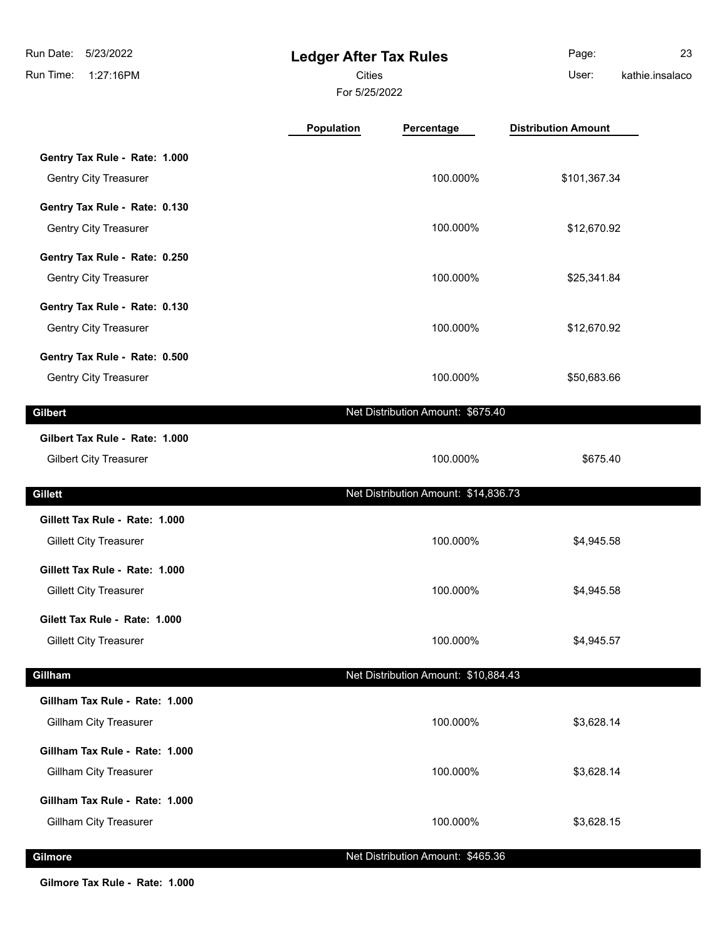**Ledger After Tax Rules** Run Time: 1:27:16PM 5/23/2022 Run Date: For 5/25/2022 Cities User: Page: 23 kathie.insalaco **Population Percentage Distribution Amount**

|                                | . .Pulution<br>"                     |              |  |
|--------------------------------|--------------------------------------|--------------|--|
| Gentry Tax Rule - Rate: 1.000  |                                      |              |  |
| <b>Gentry City Treasurer</b>   | 100.000%                             | \$101,367.34 |  |
| Gentry Tax Rule - Rate: 0.130  |                                      |              |  |
| <b>Gentry City Treasurer</b>   | 100.000%                             | \$12,670.92  |  |
| Gentry Tax Rule - Rate: 0.250  |                                      |              |  |
| <b>Gentry City Treasurer</b>   | 100.000%                             | \$25,341.84  |  |
| Gentry Tax Rule - Rate: 0.130  |                                      |              |  |
| <b>Gentry City Treasurer</b>   | 100.000%                             | \$12,670.92  |  |
| Gentry Tax Rule - Rate: 0.500  |                                      |              |  |
| <b>Gentry City Treasurer</b>   | 100.000%                             | \$50,683.66  |  |
| Gilbert                        | Net Distribution Amount: \$675.40    |              |  |
| Gilbert Tax Rule - Rate: 1.000 |                                      |              |  |
| <b>Gilbert City Treasurer</b>  | 100.000%                             | \$675.40     |  |
|                                |                                      |              |  |
| Gillett                        | Net Distribution Amount: \$14,836.73 |              |  |
| Gillett Tax Rule - Rate: 1.000 |                                      |              |  |
| <b>Gillett City Treasurer</b>  | 100.000%                             | \$4,945.58   |  |
| Gillett Tax Rule - Rate: 1.000 |                                      |              |  |
| <b>Gillett City Treasurer</b>  | 100.000%                             | \$4,945.58   |  |
| Gilett Tax Rule - Rate: 1.000  |                                      |              |  |
| <b>Gillett City Treasurer</b>  | 100.000%                             | \$4,945.57   |  |
| Gillham                        | Net Distribution Amount: \$10,884.43 |              |  |
| Gillham Tax Rule - Rate: 1.000 |                                      |              |  |
| <b>Gillham City Treasurer</b>  | 100.000%                             | \$3,628.14   |  |
| Gillham Tax Rule - Rate: 1.000 |                                      |              |  |
| <b>Gillham City Treasurer</b>  | 100.000%                             | \$3,628.14   |  |
| Gillham Tax Rule - Rate: 1.000 |                                      |              |  |
| <b>Gillham City Treasurer</b>  | 100.000%                             | \$3,628.15   |  |

### **Gilmore Community Community Community Community Community Community Community Community Community Community Community Community Community Community Community Community Community Community Community Community Community C**

**Gilmore Tax Rule - Rate: 1.000**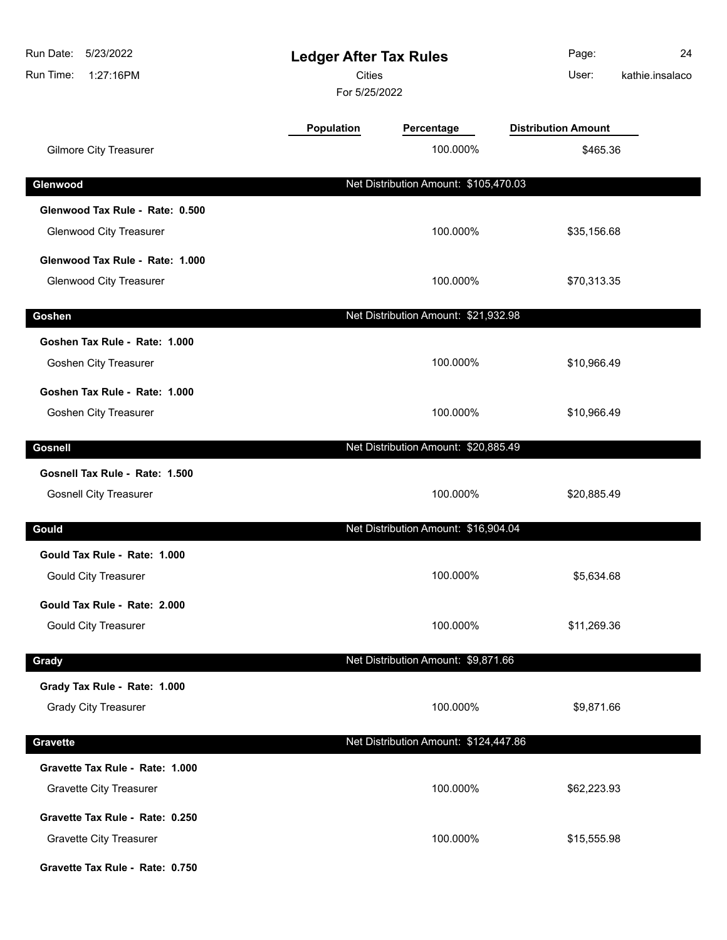| Run Date:<br>5/23/2022<br>1:27:16PM<br>Run Time: | <b>Ledger After Tax Rules</b><br>Cities<br>For 5/25/2022 |                                       | Page:<br>User:             | 24<br>kathie.insalaco |
|--------------------------------------------------|----------------------------------------------------------|---------------------------------------|----------------------------|-----------------------|
|                                                  | Population                                               | Percentage                            | <b>Distribution Amount</b> |                       |
| <b>Gilmore City Treasurer</b>                    |                                                          | 100.000%                              | \$465.36                   |                       |
| Glenwood                                         |                                                          | Net Distribution Amount: \$105,470.03 |                            |                       |
| Glenwood Tax Rule - Rate: 0.500                  |                                                          |                                       |                            |                       |
| <b>Glenwood City Treasurer</b>                   |                                                          | 100.000%                              | \$35,156.68                |                       |
| Glenwood Tax Rule - Rate: 1.000                  |                                                          |                                       |                            |                       |
| <b>Glenwood City Treasurer</b>                   |                                                          | 100.000%                              | \$70,313.35                |                       |
| Goshen                                           |                                                          | Net Distribution Amount: \$21,932.98  |                            |                       |
| Goshen Tax Rule - Rate: 1.000                    |                                                          |                                       |                            |                       |
| Goshen City Treasurer                            |                                                          | 100.000%                              | \$10,966.49                |                       |
| Goshen Tax Rule - Rate: 1.000                    |                                                          |                                       |                            |                       |
| <b>Goshen City Treasurer</b>                     |                                                          | 100.000%                              | \$10,966.49                |                       |
| <b>Gosnell</b>                                   |                                                          | Net Distribution Amount: \$20,885.49  |                            |                       |
| Gosnell Tax Rule - Rate: 1.500                   |                                                          |                                       |                            |                       |
| <b>Gosnell City Treasurer</b>                    |                                                          | 100.000%                              | \$20,885.49                |                       |
| Gould                                            |                                                          | Net Distribution Amount: \$16,904.04  |                            |                       |
| Gould Tax Rule - Rate: 1.000                     |                                                          |                                       |                            |                       |
| <b>Gould City Treasurer</b>                      |                                                          | 100.000%                              | \$5,634.68                 |                       |
| Gould Tax Rule - Rate: 2.000                     |                                                          |                                       |                            |                       |
| <b>Gould City Treasurer</b>                      |                                                          | 100.000%                              | \$11,269.36                |                       |
| Grady                                            |                                                          | Net Distribution Amount: \$9,871.66   |                            |                       |
| Grady Tax Rule - Rate: 1.000                     |                                                          |                                       |                            |                       |
| <b>Grady City Treasurer</b>                      |                                                          | 100.000%                              | \$9,871.66                 |                       |
| <b>Gravette</b>                                  |                                                          | Net Distribution Amount: \$124,447.86 |                            |                       |
| Gravette Tax Rule - Rate: 1.000                  |                                                          |                                       |                            |                       |
| <b>Gravette City Treasurer</b>                   |                                                          | 100.000%                              | \$62,223.93                |                       |
| Gravette Tax Rule - Rate: 0.250                  |                                                          |                                       |                            |                       |
| <b>Gravette City Treasurer</b>                   |                                                          | 100.000%                              | \$15,555.98                |                       |
| Gravette Tax Rule - Rate: 0.750                  |                                                          |                                       |                            |                       |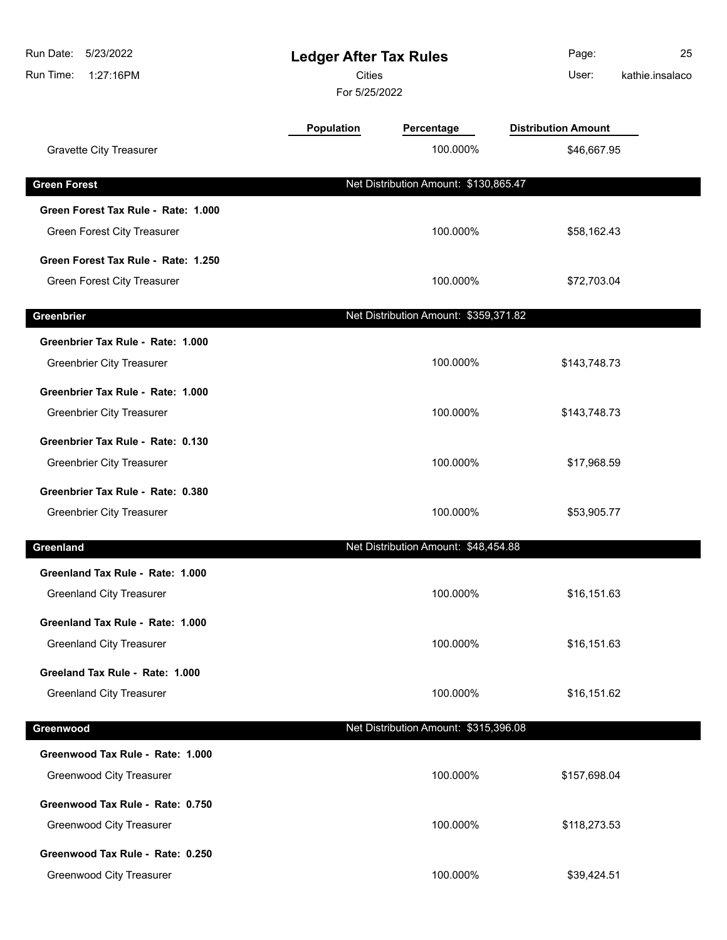| Run Date:<br>5/23/2022<br>1:27:16PM<br>Run Time: | <b>Ledger After Tax Rules</b><br><b>Cities</b><br>For 5/25/2022 |                                       | Page:<br>User:             | 25<br>kathie.insalaco |
|--------------------------------------------------|-----------------------------------------------------------------|---------------------------------------|----------------------------|-----------------------|
|                                                  | <b>Population</b>                                               | Percentage                            | <b>Distribution Amount</b> |                       |
| <b>Gravette City Treasurer</b>                   |                                                                 | 100.000%                              | \$46,667.95                |                       |
| <b>Green Forest</b>                              |                                                                 | Net Distribution Amount: \$130,865.47 |                            |                       |
| Green Forest Tax Rule - Rate: 1.000              |                                                                 |                                       |                            |                       |
| Green Forest City Treasurer                      |                                                                 | 100.000%                              | \$58,162.43                |                       |
| Green Forest Tax Rule - Rate: 1.250              |                                                                 |                                       |                            |                       |
| <b>Green Forest City Treasurer</b>               |                                                                 | 100.000%                              | \$72,703.04                |                       |
| Greenbrier                                       |                                                                 | Net Distribution Amount: \$359,371.82 |                            |                       |
| Greenbrier Tax Rule - Rate: 1.000                |                                                                 |                                       |                            |                       |
| <b>Greenbrier City Treasurer</b>                 |                                                                 | 100.000%                              | \$143,748.73               |                       |
| Greenbrier Tax Rule - Rate: 1.000                |                                                                 |                                       |                            |                       |
| <b>Greenbrier City Treasurer</b>                 |                                                                 | 100.000%                              | \$143,748.73               |                       |
| Greenbrier Tax Rule - Rate: 0.130                |                                                                 |                                       |                            |                       |
| <b>Greenbrier City Treasurer</b>                 |                                                                 | 100.000%                              | \$17,968.59                |                       |
| Greenbrier Tax Rule - Rate: 0.380                |                                                                 |                                       |                            |                       |
| <b>Greenbrier City Treasurer</b>                 |                                                                 | 100.000%                              | \$53,905.77                |                       |
| Greenland                                        |                                                                 | Net Distribution Amount: \$48,454.88  |                            |                       |
| Greenland Tax Rule - Rate: 1.000                 |                                                                 |                                       |                            |                       |
| <b>Greenland City Treasurer</b>                  |                                                                 | 100.000%                              | \$16,151.63                |                       |
| Greenland Tax Rule - Rate: 1.000                 |                                                                 |                                       |                            |                       |
| <b>Greenland City Treasurer</b>                  |                                                                 | 100.000%                              | \$16,151.63                |                       |
| Greeland Tax Rule - Rate: 1.000                  |                                                                 |                                       |                            |                       |
| <b>Greenland City Treasurer</b>                  |                                                                 | 100.000%                              | \$16,151.62                |                       |
| Greenwood                                        |                                                                 | Net Distribution Amount: \$315,396.08 |                            |                       |
| Greenwood Tax Rule - Rate: 1.000                 |                                                                 |                                       |                            |                       |
| <b>Greenwood City Treasurer</b>                  |                                                                 | 100.000%                              | \$157,698.04               |                       |
| Greenwood Tax Rule - Rate: 0.750                 |                                                                 |                                       |                            |                       |
| Greenwood City Treasurer                         |                                                                 | 100.000%                              | \$118,273.53               |                       |
| Greenwood Tax Rule - Rate: 0.250                 |                                                                 |                                       |                            |                       |
| <b>Greenwood City Treasurer</b>                  |                                                                 | 100.000%                              | \$39,424.51                |                       |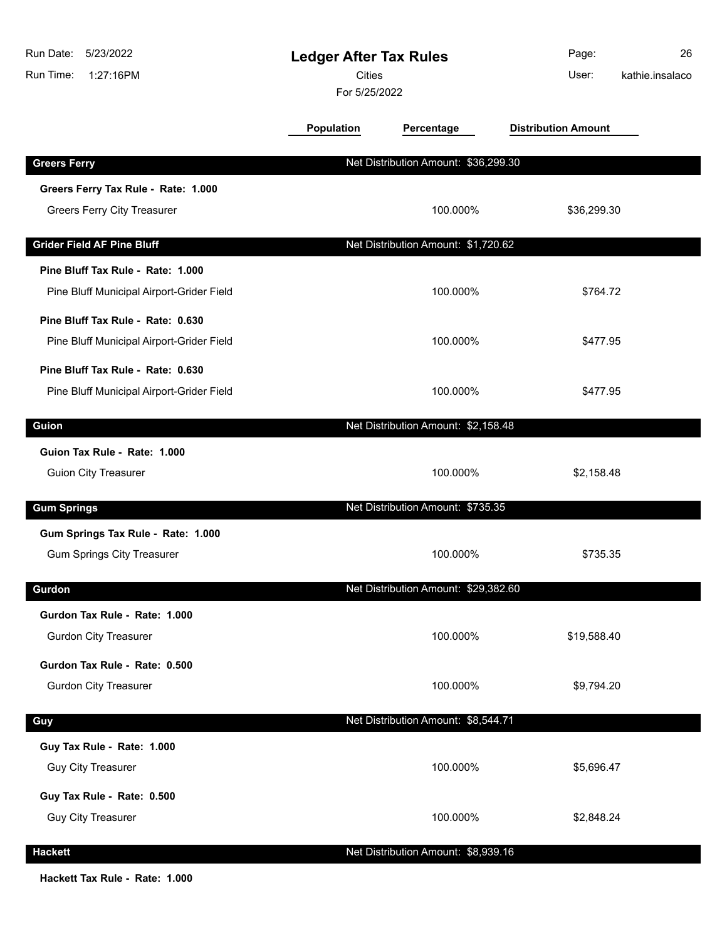| Run Date:<br>5/23/2022<br>Run Time:<br>1:27:16PM                               | <b>Ledger After Tax Rules</b><br><b>Cities</b><br>For 5/25/2022 |                                      | Page:<br>User:             | 26<br>kathie.insalaco |
|--------------------------------------------------------------------------------|-----------------------------------------------------------------|--------------------------------------|----------------------------|-----------------------|
|                                                                                | Population                                                      | Percentage                           | <b>Distribution Amount</b> |                       |
| <b>Greers Ferry</b>                                                            |                                                                 | Net Distribution Amount: \$36,299.30 |                            |                       |
| Greers Ferry Tax Rule - Rate: 1.000<br><b>Greers Ferry City Treasurer</b>      |                                                                 | 100.000%                             | \$36,299.30                |                       |
| <b>Grider Field AF Pine Bluff</b>                                              |                                                                 | Net Distribution Amount: \$1,720.62  |                            |                       |
| Pine Bluff Tax Rule - Rate: 1.000<br>Pine Bluff Municipal Airport-Grider Field |                                                                 | 100.000%                             | \$764.72                   |                       |
| Pine Bluff Tax Rule - Rate: 0.630<br>Pine Bluff Municipal Airport-Grider Field |                                                                 | 100.000%                             | \$477.95                   |                       |
| Pine Bluff Tax Rule - Rate: 0.630<br>Pine Bluff Municipal Airport-Grider Field |                                                                 | 100.000%                             | \$477.95                   |                       |
| Guion                                                                          |                                                                 | Net Distribution Amount: \$2,158.48  |                            |                       |
| Guion Tax Rule - Rate: 1.000<br><b>Guion City Treasurer</b>                    |                                                                 | 100.000%                             | \$2,158.48                 |                       |
| <b>Gum Springs</b>                                                             |                                                                 | Net Distribution Amount: \$735.35    |                            |                       |
| Gum Springs Tax Rule - Rate: 1.000<br><b>Gum Springs City Treasurer</b>        |                                                                 | 100.000%                             | \$735.35                   |                       |
| Gurdon                                                                         |                                                                 | Net Distribution Amount: \$29,382.60 |                            |                       |
| Gurdon Tax Rule - Rate: 1.000<br><b>Gurdon City Treasurer</b>                  |                                                                 | 100.000%                             | \$19,588.40                |                       |
| Gurdon Tax Rule - Rate: 0.500<br><b>Gurdon City Treasurer</b>                  |                                                                 | 100.000%                             | \$9,794.20                 |                       |
| Guy                                                                            |                                                                 | Net Distribution Amount: \$8,544.71  |                            |                       |
| Guy Tax Rule - Rate: 1.000<br><b>Guy City Treasurer</b>                        |                                                                 | 100.000%                             | \$5,696.47                 |                       |
| Guy Tax Rule - Rate: 0.500<br><b>Guy City Treasurer</b>                        |                                                                 | 100.000%                             | \$2,848.24                 |                       |
| <b>Hackett</b>                                                                 |                                                                 | Net Distribution Amount: \$8,939.16  |                            |                       |

**Hackett Tax Rule - Rate: 1.000**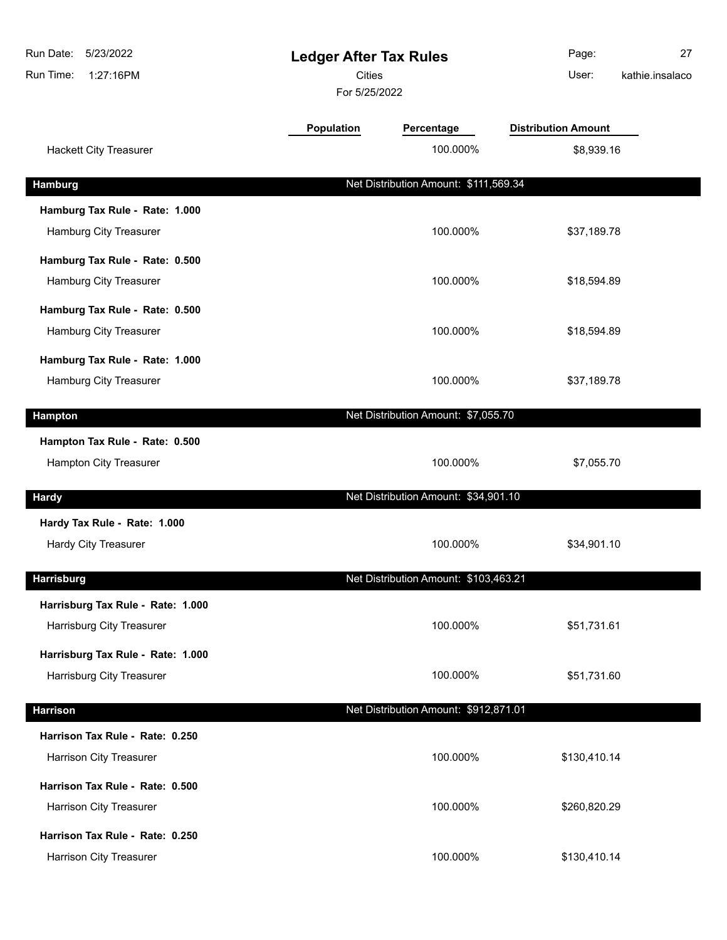| Run Date:<br>5/23/2022<br>Run Time:<br>1:27:16PM           |            | <b>Ledger After Tax Rules</b><br><b>Cities</b><br>For 5/25/2022 |                            |  |
|------------------------------------------------------------|------------|-----------------------------------------------------------------|----------------------------|--|
|                                                            | Population | Percentage                                                      | <b>Distribution Amount</b> |  |
| <b>Hackett City Treasurer</b>                              |            | 100.000%                                                        | \$8,939.16                 |  |
| <b>Hamburg</b>                                             |            | Net Distribution Amount: \$111,569.34                           |                            |  |
| Hamburg Tax Rule - Rate: 1.000                             |            |                                                                 |                            |  |
| Hamburg City Treasurer                                     |            | 100.000%                                                        | \$37,189.78                |  |
| Hamburg Tax Rule - Rate: 0.500                             |            |                                                                 |                            |  |
| Hamburg City Treasurer                                     |            | 100.000%                                                        | \$18,594.89                |  |
| Hamburg Tax Rule - Rate: 0.500                             |            |                                                                 |                            |  |
| Hamburg City Treasurer                                     |            | 100.000%                                                        | \$18,594.89                |  |
| Hamburg Tax Rule - Rate: 1.000                             |            |                                                                 |                            |  |
| Hamburg City Treasurer                                     |            | 100.000%                                                        | \$37,189.78                |  |
| <b>Hampton</b>                                             |            | Net Distribution Amount: \$7,055.70                             |                            |  |
| Hampton Tax Rule - Rate: 0.500                             |            |                                                                 |                            |  |
| Hampton City Treasurer                                     |            | 100.000%                                                        | \$7,055.70                 |  |
| <b>Hardy</b>                                               |            | Net Distribution Amount: \$34,901.10                            |                            |  |
| Hardy Tax Rule - Rate: 1.000                               |            |                                                                 |                            |  |
| <b>Hardy City Treasurer</b>                                |            | 100.000%                                                        | \$34,901.10                |  |
| <b>Harrisburg</b>                                          |            | Net Distribution Amount: \$103,463.21                           |                            |  |
| Harrisburg Tax Rule - Rate: 1.000                          |            |                                                                 |                            |  |
| <b>Harrisburg City Treasurer</b>                           |            | 100.000%                                                        | \$51,731.61                |  |
| Harrisburg Tax Rule - Rate: 1.000                          |            |                                                                 |                            |  |
| Harrisburg City Treasurer                                  |            | 100.000%                                                        | \$51,731.60                |  |
|                                                            |            |                                                                 |                            |  |
| <b>Harrison</b>                                            |            | Net Distribution Amount: \$912,871.01                           |                            |  |
| Harrison Tax Rule - Rate: 0.250<br>Harrison City Treasurer |            | 100.000%                                                        | \$130,410.14               |  |
|                                                            |            |                                                                 |                            |  |
| Harrison Tax Rule - Rate: 0.500<br>Harrison City Treasurer |            | 100.000%                                                        | \$260,820.29               |  |
|                                                            |            |                                                                 |                            |  |
| Harrison Tax Rule - Rate: 0.250<br>Harrison City Treasurer |            | 100.000%                                                        | \$130,410.14               |  |
|                                                            |            |                                                                 |                            |  |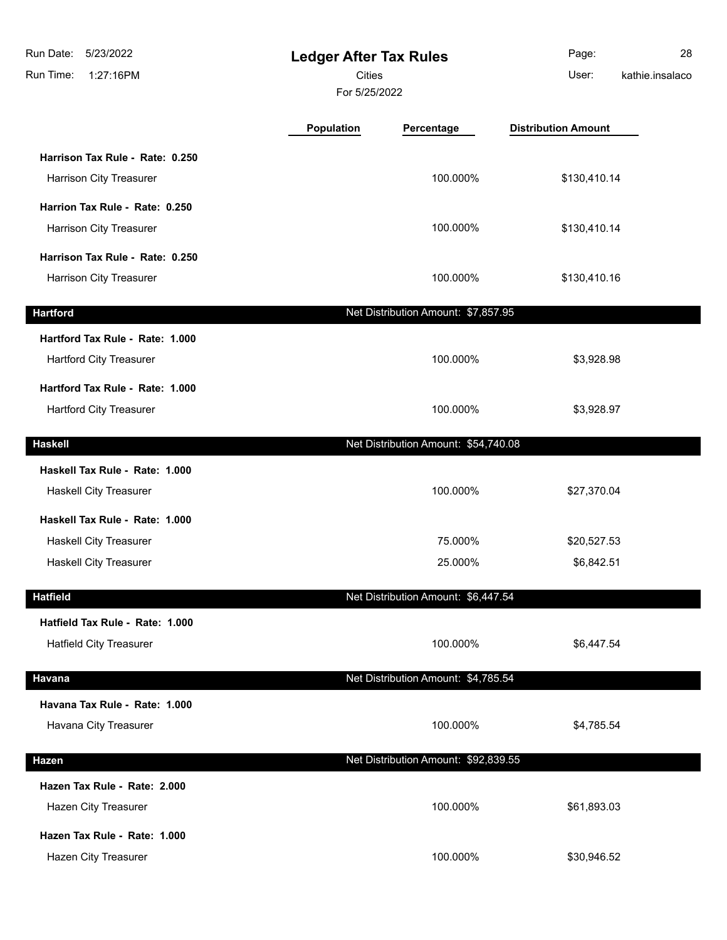| Run Date:<br>5/23/2022<br>1:27:16PM<br>Run Time: | <b>Ledger After Tax Rules</b><br><b>Cities</b><br>For 5/25/2022 |                                      | Page:<br>User:             | 28<br>kathie.insalaco |
|--------------------------------------------------|-----------------------------------------------------------------|--------------------------------------|----------------------------|-----------------------|
|                                                  | Population                                                      | Percentage                           | <b>Distribution Amount</b> |                       |
| Harrison Tax Rule - Rate: 0.250                  |                                                                 |                                      |                            |                       |
| Harrison City Treasurer                          |                                                                 | 100.000%                             | \$130,410.14               |                       |
| Harrion Tax Rule - Rate: 0.250                   |                                                                 |                                      |                            |                       |
| Harrison City Treasurer                          |                                                                 | 100.000%                             | \$130,410.14               |                       |
| Harrison Tax Rule - Rate: 0.250                  |                                                                 |                                      |                            |                       |
| Harrison City Treasurer                          |                                                                 | 100.000%                             | \$130,410.16               |                       |
| <b>Hartford</b>                                  |                                                                 | Net Distribution Amount: \$7,857.95  |                            |                       |
| Hartford Tax Rule - Rate: 1.000                  |                                                                 |                                      |                            |                       |
| Hartford City Treasurer                          |                                                                 | 100.000%                             | \$3,928.98                 |                       |
| Hartford Tax Rule - Rate: 1.000                  |                                                                 |                                      |                            |                       |
| Hartford City Treasurer                          |                                                                 | 100.000%                             | \$3,928.97                 |                       |
| <b>Haskell</b>                                   |                                                                 | Net Distribution Amount: \$54,740.08 |                            |                       |
| Haskell Tax Rule - Rate: 1.000                   |                                                                 |                                      |                            |                       |
| Haskell City Treasurer                           |                                                                 | 100.000%                             | \$27,370.04                |                       |
| Haskell Tax Rule - Rate: 1.000                   |                                                                 |                                      |                            |                       |
| <b>Haskell City Treasurer</b>                    |                                                                 | 75.000%                              | \$20,527.53                |                       |
| <b>Haskell City Treasurer</b>                    |                                                                 | 25.000%                              | \$6,842.51                 |                       |
| <b>Hatfield</b>                                  |                                                                 | Net Distribution Amount: \$6,447.54  |                            |                       |
| Hatfield Tax Rule - Rate: 1.000                  |                                                                 |                                      |                            |                       |
| <b>Hatfield City Treasurer</b>                   |                                                                 | 100.000%                             | \$6,447.54                 |                       |
| <b>Havana</b>                                    |                                                                 | Net Distribution Amount: \$4,785.54  |                            |                       |
| Havana Tax Rule - Rate: 1.000                    |                                                                 |                                      |                            |                       |
| Havana City Treasurer                            |                                                                 | 100.000%                             | \$4,785.54                 |                       |
| Hazen                                            |                                                                 | Net Distribution Amount: \$92,839.55 |                            |                       |
| Hazen Tax Rule - Rate: 2.000                     |                                                                 |                                      |                            |                       |
| Hazen City Treasurer                             |                                                                 | 100.000%                             | \$61,893.03                |                       |
| Hazen Tax Rule - Rate: 1.000                     |                                                                 |                                      |                            |                       |
| Hazen City Treasurer                             |                                                                 | 100.000%                             | \$30,946.52                |                       |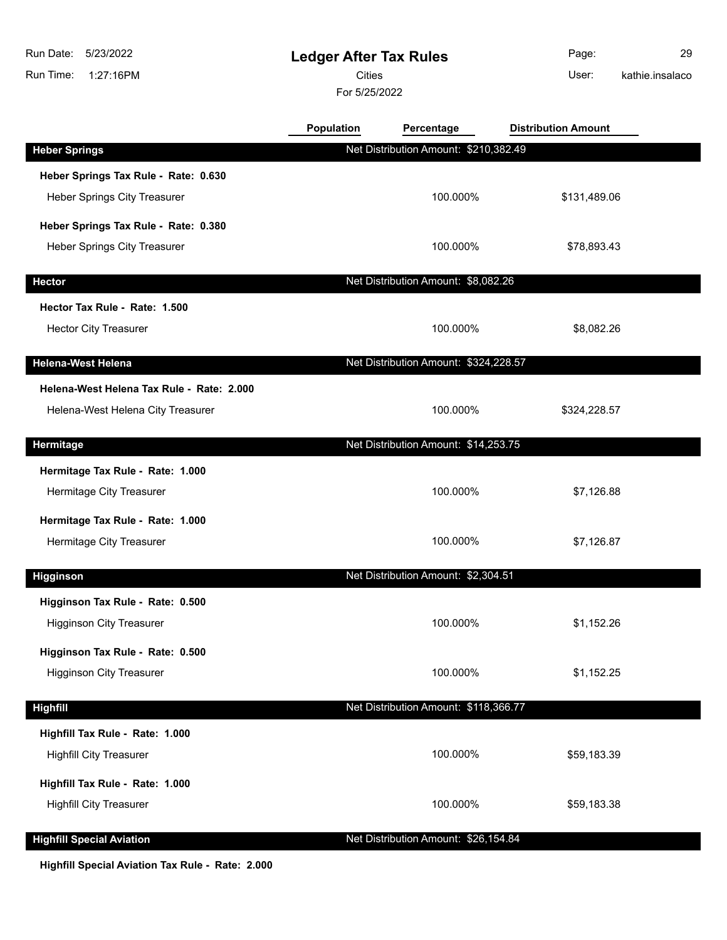## **Ledger After Tax Rules**

Cities **User:** 

For 5/25/2022

Page: 29 kathie.insalaco

|                                           | Population | Percentage                            | <b>Distribution Amount</b> |  |
|-------------------------------------------|------------|---------------------------------------|----------------------------|--|
| <b>Heber Springs</b>                      |            | Net Distribution Amount: \$210,382.49 |                            |  |
| Heber Springs Tax Rule - Rate: 0.630      |            |                                       |                            |  |
| <b>Heber Springs City Treasurer</b>       |            | 100.000%                              | \$131,489.06               |  |
| Heber Springs Tax Rule - Rate: 0.380      |            |                                       |                            |  |
| Heber Springs City Treasurer              |            | 100.000%                              | \$78,893.43                |  |
| <b>Hector</b>                             |            | Net Distribution Amount: \$8,082.26   |                            |  |
| Hector Tax Rule - Rate: 1.500             |            |                                       |                            |  |
| <b>Hector City Treasurer</b>              |            | 100.000%                              | \$8,082.26                 |  |
|                                           |            |                                       |                            |  |
| <b>Helena-West Helena</b>                 |            | Net Distribution Amount: \$324,228.57 |                            |  |
| Helena-West Helena Tax Rule - Rate: 2.000 |            |                                       |                            |  |
| Helena-West Helena City Treasurer         |            | 100.000%                              | \$324,228.57               |  |
| Hermitage                                 |            | Net Distribution Amount: \$14,253.75  |                            |  |
| Hermitage Tax Rule - Rate: 1.000          |            |                                       |                            |  |
| Hermitage City Treasurer                  |            | 100.000%                              | \$7,126.88                 |  |
| Hermitage Tax Rule - Rate: 1.000          |            |                                       |                            |  |
| Hermitage City Treasurer                  |            | 100.000%                              | \$7,126.87                 |  |
|                                           |            |                                       |                            |  |
| <b>Higginson</b>                          |            | Net Distribution Amount: \$2,304.51   |                            |  |
| Higginson Tax Rule - Rate: 0.500          |            |                                       |                            |  |
| <b>Higginson City Treasurer</b>           |            | 100.000%                              | \$1,152.26                 |  |
| Higginson Tax Rule - Rate: 0.500          |            |                                       |                            |  |
| <b>Higginson City Treasurer</b>           |            | 100.000%                              | \$1,152.25                 |  |
| <b>Highfill</b>                           |            | Net Distribution Amount: \$118,366.77 |                            |  |
| Highfill Tax Rule - Rate: 1.000           |            |                                       |                            |  |
| <b>Highfill City Treasurer</b>            |            | 100.000%                              | \$59,183.39                |  |
| Highfill Tax Rule - Rate: 1.000           |            |                                       |                            |  |
| <b>Highfill City Treasurer</b>            |            | 100.000%                              | \$59,183.38                |  |
|                                           |            |                                       |                            |  |
| <b>Highfill Special Aviation</b>          |            | Net Distribution Amount: \$26,154.84  |                            |  |

**Highfill Special Aviation Tax Rule - Rate: 2.000**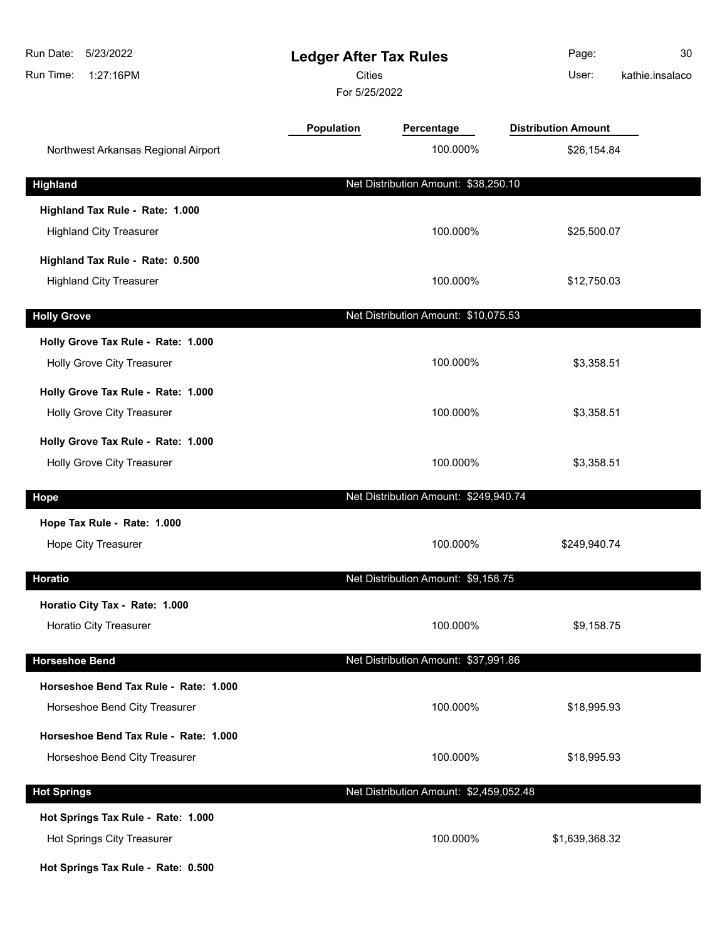| Run Date:<br>5/23/2022<br>Run Time:<br>1:27:16PM | <b>Ledger After Tax Rules</b><br><b>Cities</b><br>For 5/25/2022 |                                         | Page:<br>User:             | 30<br>kathie.insalaco |
|--------------------------------------------------|-----------------------------------------------------------------|-----------------------------------------|----------------------------|-----------------------|
|                                                  | <b>Population</b>                                               | Percentage                              | <b>Distribution Amount</b> |                       |
| Northwest Arkansas Regional Airport              |                                                                 | 100.000%                                | \$26,154.84                |                       |
| <b>Highland</b>                                  |                                                                 | Net Distribution Amount: \$38,250.10    |                            |                       |
| Highland Tax Rule - Rate: 1.000                  |                                                                 |                                         |                            |                       |
| <b>Highland City Treasurer</b>                   |                                                                 | 100.000%                                | \$25,500.07                |                       |
| Highland Tax Rule - Rate: 0.500                  |                                                                 |                                         |                            |                       |
| <b>Highland City Treasurer</b>                   |                                                                 | 100.000%                                | \$12,750.03                |                       |
| <b>Holly Grove</b>                               |                                                                 | Net Distribution Amount: \$10,075.53    |                            |                       |
| Holly Grove Tax Rule - Rate: 1.000               |                                                                 |                                         |                            |                       |
| Holly Grove City Treasurer                       |                                                                 | 100.000%                                | \$3,358.51                 |                       |
| Holly Grove Tax Rule - Rate: 1.000               |                                                                 |                                         |                            |                       |
| Holly Grove City Treasurer                       |                                                                 | 100.000%                                | \$3,358.51                 |                       |
| Holly Grove Tax Rule - Rate: 1.000               |                                                                 |                                         |                            |                       |
| Holly Grove City Treasurer                       |                                                                 | 100.000%                                | \$3,358.51                 |                       |
| Hope                                             |                                                                 | Net Distribution Amount: \$249,940.74   |                            |                       |
| Hope Tax Rule - Rate: 1.000                      |                                                                 |                                         |                            |                       |
| Hope City Treasurer                              |                                                                 | 100.000%                                | \$249,940.74               |                       |
| <b>Horatio</b>                                   |                                                                 | Net Distribution Amount: \$9,158.75     |                            |                       |
| Horatio City Tax - Rate: 1.000                   |                                                                 |                                         |                            |                       |
| Horatio City Treasurer                           |                                                                 | 100.000%                                | \$9,158.75                 |                       |
| <b>Horseshoe Bend</b>                            |                                                                 | Net Distribution Amount: \$37,991.86    |                            |                       |
| Horseshoe Bend Tax Rule - Rate: 1.000            |                                                                 |                                         |                            |                       |
| Horseshoe Bend City Treasurer                    |                                                                 | 100.000%                                | \$18,995.93                |                       |
| Horseshoe Bend Tax Rule - Rate: 1.000            |                                                                 |                                         |                            |                       |
| Horseshoe Bend City Treasurer                    |                                                                 | 100.000%                                | \$18,995.93                |                       |
| <b>Hot Springs</b>                               |                                                                 | Net Distribution Amount: \$2,459,052.48 |                            |                       |
| Hot Springs Tax Rule - Rate: 1.000               |                                                                 |                                         |                            |                       |
| Hot Springs City Treasurer                       |                                                                 | 100.000%                                | \$1,639,368.32             |                       |
| Hot Springs Tax Rule - Rate: 0.500               |                                                                 |                                         |                            |                       |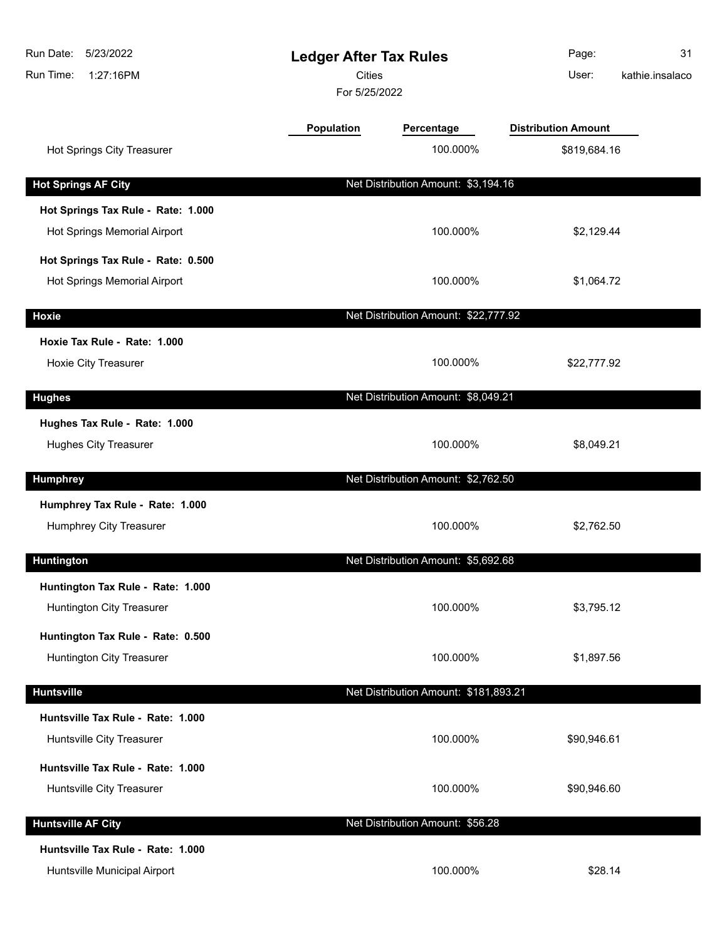| Run Date:<br>5/23/2022<br>1:27:16PM<br>Run Time: | <b>Ledger After Tax Rules</b><br><b>Cities</b><br>For 5/25/2022 |                                       | Page:<br>User:             | 31<br>kathie.insalaco |
|--------------------------------------------------|-----------------------------------------------------------------|---------------------------------------|----------------------------|-----------------------|
|                                                  | <b>Population</b>                                               | Percentage                            | <b>Distribution Amount</b> |                       |
| Hot Springs City Treasurer                       |                                                                 | 100.000%                              | \$819,684.16               |                       |
| <b>Hot Springs AF City</b>                       |                                                                 | Net Distribution Amount: \$3,194.16   |                            |                       |
| Hot Springs Tax Rule - Rate: 1.000               |                                                                 |                                       |                            |                       |
| Hot Springs Memorial Airport                     |                                                                 | 100.000%                              | \$2,129.44                 |                       |
| Hot Springs Tax Rule - Rate: 0.500               |                                                                 |                                       |                            |                       |
| Hot Springs Memorial Airport                     |                                                                 | 100.000%                              | \$1,064.72                 |                       |
| <b>Hoxie</b>                                     |                                                                 | Net Distribution Amount: \$22,777.92  |                            |                       |
| Hoxie Tax Rule - Rate: 1.000                     |                                                                 |                                       |                            |                       |
| <b>Hoxie City Treasurer</b>                      |                                                                 | 100.000%                              | \$22,777.92                |                       |
| <b>Hughes</b>                                    |                                                                 | Net Distribution Amount: \$8,049.21   |                            |                       |
| Hughes Tax Rule - Rate: 1.000                    |                                                                 |                                       |                            |                       |
| <b>Hughes City Treasurer</b>                     |                                                                 | 100.000%                              | \$8,049.21                 |                       |
| <b>Humphrey</b>                                  |                                                                 | Net Distribution Amount: \$2,762.50   |                            |                       |
| Humphrey Tax Rule - Rate: 1.000                  |                                                                 |                                       |                            |                       |
| Humphrey City Treasurer                          |                                                                 | 100.000%                              | \$2,762.50                 |                       |
| <b>Huntington</b>                                |                                                                 | Net Distribution Amount: \$5,692.68   |                            |                       |
| Huntington Tax Rule - Rate: 1.000                |                                                                 |                                       |                            |                       |
| Huntington City Treasurer                        |                                                                 | 100.000%                              | \$3,795.12                 |                       |
| Huntington Tax Rule - Rate: 0.500                |                                                                 |                                       |                            |                       |
| Huntington City Treasurer                        |                                                                 | 100.000%                              | \$1,897.56                 |                       |
| <b>Huntsville</b>                                |                                                                 | Net Distribution Amount: \$181,893.21 |                            |                       |
| Huntsville Tax Rule - Rate: 1.000                |                                                                 |                                       |                            |                       |
| Huntsville City Treasurer                        |                                                                 | 100.000%                              | \$90,946.61                |                       |
| Huntsville Tax Rule - Rate: 1.000                |                                                                 |                                       |                            |                       |
| Huntsville City Treasurer                        |                                                                 | 100.000%                              | \$90,946.60                |                       |
| <b>Huntsville AF City</b>                        |                                                                 | Net Distribution Amount: \$56.28      |                            |                       |
| Huntsville Tax Rule - Rate: 1.000                |                                                                 |                                       |                            |                       |
| Huntsville Municipal Airport                     |                                                                 | 100.000%                              | \$28.14                    |                       |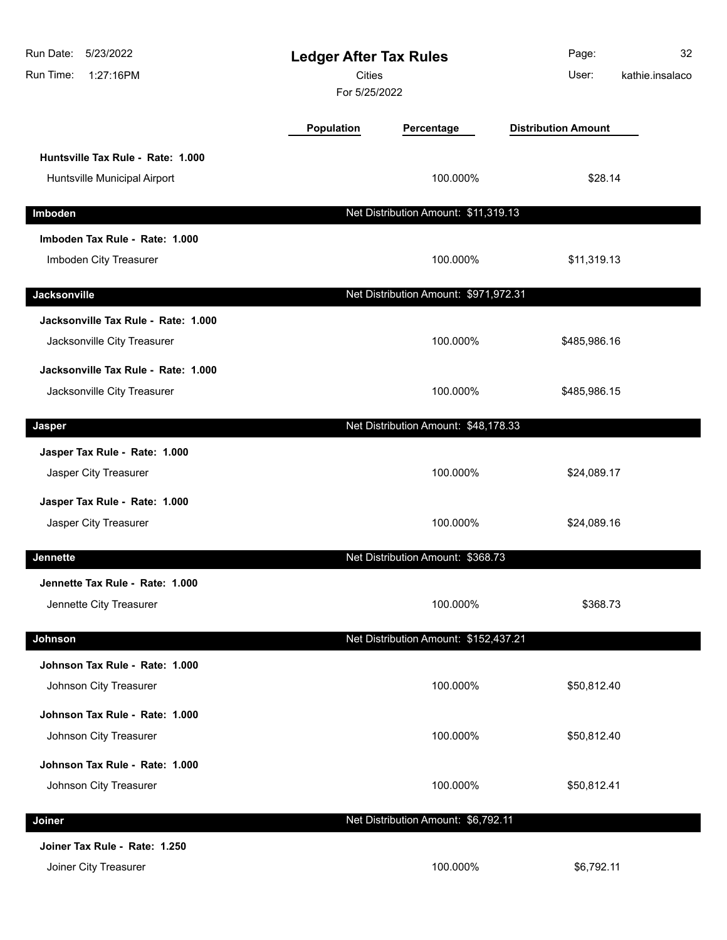| Run Date:<br>5/23/2022<br>Run Time:<br>1:27:16PM                   | <b>Ledger After Tax Rules</b><br><b>Cities</b><br>For 5/25/2022 |                                       | Page:<br>User:             | 32<br>kathie.insalaco |
|--------------------------------------------------------------------|-----------------------------------------------------------------|---------------------------------------|----------------------------|-----------------------|
|                                                                    | Population                                                      | Percentage                            | <b>Distribution Amount</b> |                       |
| Huntsville Tax Rule - Rate: 1.000<br>Huntsville Municipal Airport  |                                                                 | 100.000%                              | \$28.14                    |                       |
| Imboden                                                            |                                                                 | Net Distribution Amount: \$11,319.13  |                            |                       |
| Imboden Tax Rule - Rate: 1.000<br>Imboden City Treasurer           |                                                                 | 100.000%                              | \$11,319.13                |                       |
| Jacksonville                                                       |                                                                 | Net Distribution Amount: \$971,972.31 |                            |                       |
| Jacksonville Tax Rule - Rate: 1.000<br>Jacksonville City Treasurer |                                                                 | 100.000%                              | \$485,986.16               |                       |
| Jacksonville Tax Rule - Rate: 1.000<br>Jacksonville City Treasurer |                                                                 | 100.000%                              | \$485,986.15               |                       |
| Jasper                                                             |                                                                 | Net Distribution Amount: \$48,178.33  |                            |                       |
| Jasper Tax Rule - Rate: 1.000<br>Jasper City Treasurer             |                                                                 | 100.000%                              | \$24,089.17                |                       |
| Jasper Tax Rule - Rate: 1.000<br>Jasper City Treasurer             |                                                                 | 100.000%                              | \$24,089.16                |                       |
| <b>Jennette</b>                                                    |                                                                 | Net Distribution Amount: \$368.73     |                            |                       |
| Jennette Tax Rule - Rate: 1.000<br>Jennette City Treasurer         |                                                                 | 100.000%                              | \$368.73                   |                       |
| Johnson                                                            |                                                                 | Net Distribution Amount: \$152,437.21 |                            |                       |
| Johnson Tax Rule - Rate: 1.000<br>Johnson City Treasurer           |                                                                 | 100.000%                              | \$50,812.40                |                       |
| Johnson Tax Rule - Rate: 1.000<br>Johnson City Treasurer           |                                                                 | 100.000%                              | \$50,812.40                |                       |
| Johnson Tax Rule - Rate: 1.000<br>Johnson City Treasurer           |                                                                 | 100.000%                              | \$50,812.41                |                       |
| Joiner                                                             |                                                                 | Net Distribution Amount: \$6,792.11   |                            |                       |
| Joiner Tax Rule - Rate: 1.250<br>Joiner City Treasurer             |                                                                 | 100.000%                              | \$6,792.11                 |                       |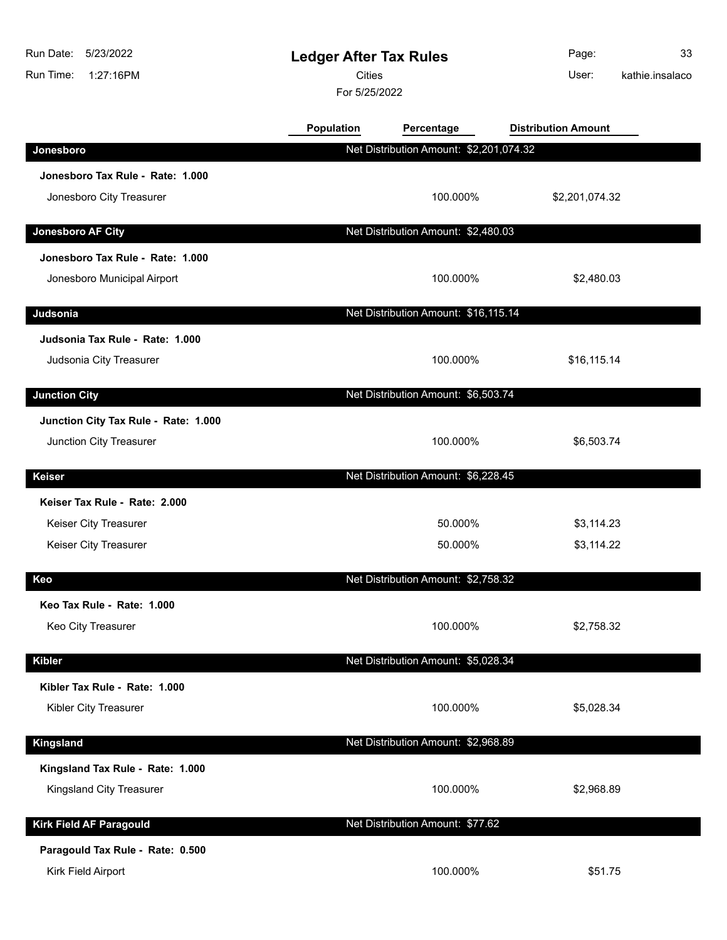| Run Date:<br>5/23/2022<br>1:27:16PM<br>Run Time:           | <b>Ledger After Tax Rules</b><br><b>Cities</b><br>For 5/25/2022 |                                         | Page:<br>User:             | 33<br>kathie.insalaco |
|------------------------------------------------------------|-----------------------------------------------------------------|-----------------------------------------|----------------------------|-----------------------|
|                                                            | Population                                                      | Percentage                              | <b>Distribution Amount</b> |                       |
| Jonesboro                                                  |                                                                 | Net Distribution Amount: \$2,201,074.32 |                            |                       |
| Jonesboro Tax Rule - Rate: 1.000                           |                                                                 |                                         |                            |                       |
| Jonesboro City Treasurer                                   |                                                                 | 100.000%                                | \$2,201,074.32             |                       |
| Jonesboro AF City                                          |                                                                 | Net Distribution Amount: \$2,480.03     |                            |                       |
| Jonesboro Tax Rule - Rate: 1.000                           |                                                                 |                                         |                            |                       |
| Jonesboro Municipal Airport                                |                                                                 | 100.000%                                | \$2,480.03                 |                       |
| Judsonia                                                   |                                                                 | Net Distribution Amount: \$16,115.14    |                            |                       |
| Judsonia Tax Rule - Rate: 1.000<br>Judsonia City Treasurer |                                                                 | 100.000%                                | \$16,115.14                |                       |
| <b>Junction City</b>                                       |                                                                 | Net Distribution Amount: \$6,503.74     |                            |                       |
| Junction City Tax Rule - Rate: 1.000                       |                                                                 |                                         |                            |                       |
| Junction City Treasurer                                    |                                                                 | 100.000%                                | \$6,503.74                 |                       |
| Keiser                                                     |                                                                 | Net Distribution Amount: \$6,228.45     |                            |                       |
| Keiser Tax Rule - Rate: 2.000                              |                                                                 |                                         |                            |                       |
| Keiser City Treasurer                                      |                                                                 | 50.000%                                 | \$3,114.23                 |                       |
| Keiser City Treasurer                                      |                                                                 | 50.000%                                 | \$3,114.22                 |                       |
| Keo                                                        |                                                                 | Net Distribution Amount: \$2,758.32     |                            |                       |
| Keo Tax Rule - Rate: 1.000                                 |                                                                 |                                         |                            |                       |
| Keo City Treasurer                                         |                                                                 | 100.000%                                | \$2,758.32                 |                       |
| <b>Kibler</b>                                              |                                                                 | Net Distribution Amount: \$5,028.34     |                            |                       |
| Kibler Tax Rule - Rate: 1.000                              |                                                                 |                                         |                            |                       |
| Kibler City Treasurer                                      |                                                                 | 100.000%                                | \$5,028.34                 |                       |
| <b>Kingsland</b>                                           |                                                                 | Net Distribution Amount: \$2,968.89     |                            |                       |
| Kingsland Tax Rule - Rate: 1.000                           |                                                                 |                                         |                            |                       |
| Kingsland City Treasurer                                   |                                                                 | 100.000%                                | \$2,968.89                 |                       |
| <b>Kirk Field AF Paragould</b>                             |                                                                 | Net Distribution Amount: \$77.62        |                            |                       |
| Paragould Tax Rule - Rate: 0.500                           |                                                                 |                                         |                            |                       |
| Kirk Field Airport                                         |                                                                 | 100.000%                                | \$51.75                    |                       |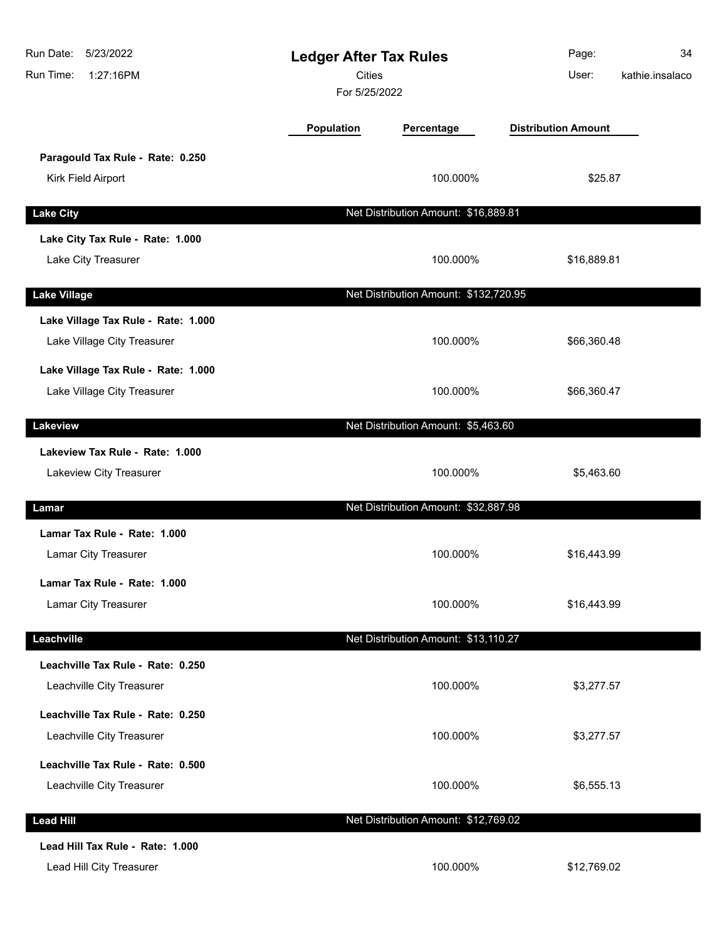| Run Date:<br>5/23/2022<br>Run Time:<br>1:27:16PM                   | <b>Ledger After Tax Rules</b><br><b>Cities</b><br>For 5/25/2022 |                                       | Page:<br>User:             | 34<br>kathie.insalaco |
|--------------------------------------------------------------------|-----------------------------------------------------------------|---------------------------------------|----------------------------|-----------------------|
|                                                                    | Population                                                      | Percentage                            | <b>Distribution Amount</b> |                       |
| Paragould Tax Rule - Rate: 0.250<br>Kirk Field Airport             |                                                                 | 100.000%                              | \$25.87                    |                       |
| <b>Lake City</b>                                                   |                                                                 | Net Distribution Amount: \$16,889.81  |                            |                       |
| Lake City Tax Rule - Rate: 1.000<br>Lake City Treasurer            |                                                                 | 100.000%                              | \$16,889.81                |                       |
| <b>Lake Village</b>                                                |                                                                 | Net Distribution Amount: \$132,720.95 |                            |                       |
| Lake Village Tax Rule - Rate: 1.000<br>Lake Village City Treasurer |                                                                 | 100.000%                              | \$66,360.48                |                       |
| Lake Village Tax Rule - Rate: 1.000<br>Lake Village City Treasurer |                                                                 | 100.000%                              | \$66,360.47                |                       |
| Lakeview                                                           |                                                                 | Net Distribution Amount: \$5,463.60   |                            |                       |
| Lakeview Tax Rule - Rate: 1.000<br>Lakeview City Treasurer         |                                                                 | 100.000%                              | \$5,463.60                 |                       |
| Lamar                                                              |                                                                 | Net Distribution Amount: \$32,887.98  |                            |                       |
| Lamar Tax Rule - Rate: 1.000<br>Lamar City Treasurer               |                                                                 | 100.000%                              | \$16,443.99                |                       |
| Lamar Tax Rule - Rate: 1.000<br><b>Lamar City Treasurer</b>        |                                                                 | 100.000%                              | \$16,443.99                |                       |
| Leachville                                                         |                                                                 | Net Distribution Amount: \$13,110.27  |                            |                       |
| Leachville Tax Rule - Rate: 0.250<br>Leachville City Treasurer     |                                                                 | 100.000%                              | \$3,277.57                 |                       |
| Leachville Tax Rule - Rate: 0.250<br>Leachville City Treasurer     |                                                                 | 100.000%                              | \$3,277.57                 |                       |
| Leachville Tax Rule - Rate: 0.500<br>Leachville City Treasurer     |                                                                 | 100.000%                              | \$6,555.13                 |                       |
| <b>Lead Hill</b>                                                   |                                                                 | Net Distribution Amount: \$12,769.02  |                            |                       |
| Lead Hill Tax Rule - Rate: 1.000<br>Lead Hill City Treasurer       |                                                                 | 100.000%                              | \$12,769.02                |                       |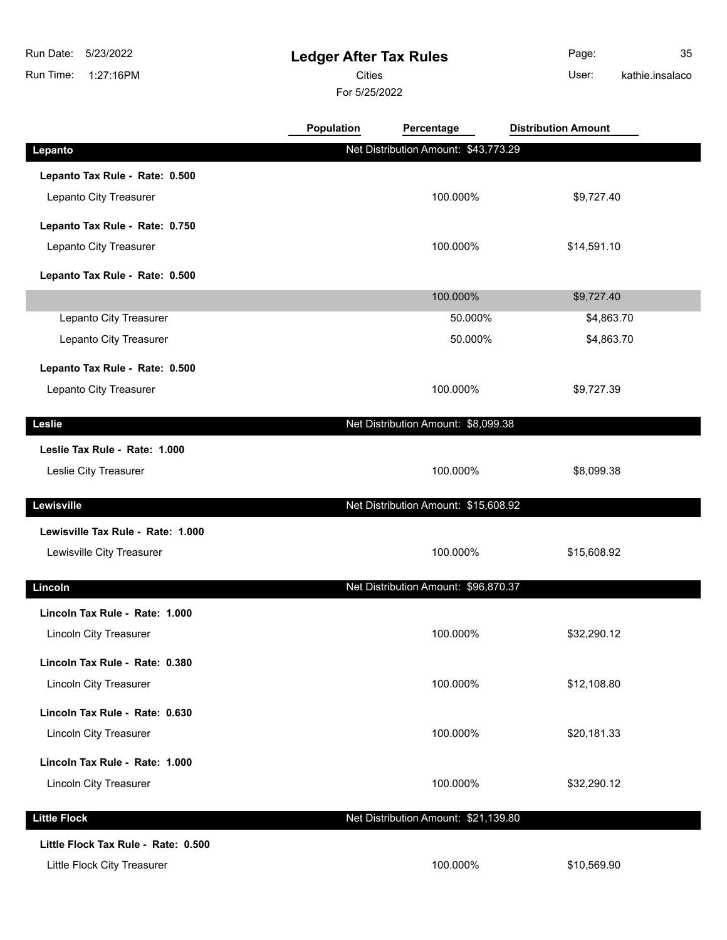# **Ledger After Tax Rules**

Cities User:

For 5/25/2022

Page: 35 kathie.insalaco

|                                     | <b>Population</b> | Percentage                           | <b>Distribution Amount</b> |  |
|-------------------------------------|-------------------|--------------------------------------|----------------------------|--|
| Lepanto                             |                   | Net Distribution Amount: \$43,773.29 |                            |  |
| Lepanto Tax Rule - Rate: 0.500      |                   |                                      |                            |  |
| Lepanto City Treasurer              |                   | 100.000%                             | \$9,727.40                 |  |
| Lepanto Tax Rule - Rate: 0.750      |                   |                                      |                            |  |
| Lepanto City Treasurer              |                   | 100.000%                             | \$14,591.10                |  |
| Lepanto Tax Rule - Rate: 0.500      |                   |                                      |                            |  |
|                                     |                   | 100.000%                             | \$9,727.40                 |  |
| Lepanto City Treasurer              |                   | 50.000%                              | \$4,863.70                 |  |
| Lepanto City Treasurer              |                   | 50.000%                              | \$4,863.70                 |  |
| Lepanto Tax Rule - Rate: 0.500      |                   |                                      |                            |  |
| Lepanto City Treasurer              |                   | 100.000%                             | \$9,727.39                 |  |
| Leslie                              |                   | Net Distribution Amount: \$8,099.38  |                            |  |
| Leslie Tax Rule - Rate: 1.000       |                   |                                      |                            |  |
| Leslie City Treasurer               |                   | 100.000%                             | \$8,099.38                 |  |
| Lewisville                          |                   | Net Distribution Amount: \$15,608.92 |                            |  |
| Lewisville Tax Rule - Rate: 1.000   |                   |                                      |                            |  |
| Lewisville City Treasurer           |                   | 100.000%                             | \$15,608.92                |  |
| Lincoln                             |                   | Net Distribution Amount: \$96,870.37 |                            |  |
| Lincoln Tax Rule - Rate: 1.000      |                   |                                      |                            |  |
| Lincoln City Treasurer              |                   | 100.000%                             | \$32,290.12                |  |
| Lincoln Tax Rule - Rate: 0.380      |                   |                                      |                            |  |
| <b>Lincoln City Treasurer</b>       |                   | 100.000%                             | \$12,108.80                |  |
| Lincoln Tax Rule - Rate: 0.630      |                   |                                      |                            |  |
| Lincoln City Treasurer              |                   | 100.000%                             | \$20,181.33                |  |
| Lincoln Tax Rule - Rate: 1.000      |                   |                                      |                            |  |
| Lincoln City Treasurer              |                   | 100.000%                             | \$32,290.12                |  |
| <b>Little Flock</b>                 |                   | Net Distribution Amount: \$21,139.80 |                            |  |
| Little Flock Tax Rule - Rate: 0.500 |                   |                                      |                            |  |
| Little Flock City Treasurer         |                   | 100.000%                             | \$10,569.90                |  |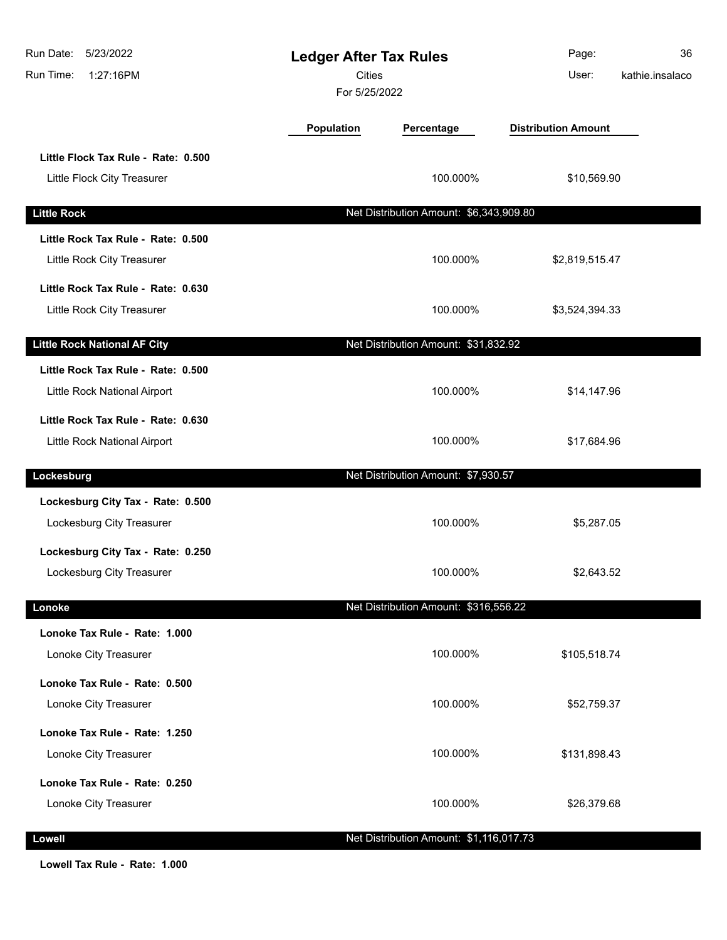| Run Date:<br>5/23/2022<br>Run Time:<br>1:27:16PM                   | <b>Ledger After Tax Rules</b><br><b>Cities</b><br>For 5/25/2022 |                                         | Page:<br>User:             | 36<br>kathie.insalaco |
|--------------------------------------------------------------------|-----------------------------------------------------------------|-----------------------------------------|----------------------------|-----------------------|
|                                                                    | <b>Population</b>                                               | Percentage                              | <b>Distribution Amount</b> |                       |
| Little Flock Tax Rule - Rate: 0.500<br>Little Flock City Treasurer |                                                                 | 100.000%                                | \$10,569.90                |                       |
| <b>Little Rock</b>                                                 |                                                                 | Net Distribution Amount: \$6,343,909.80 |                            |                       |
| Little Rock Tax Rule - Rate: 0.500<br>Little Rock City Treasurer   |                                                                 | 100.000%                                | \$2,819,515.47             |                       |
| Little Rock Tax Rule - Rate: 0.630<br>Little Rock City Treasurer   |                                                                 | 100.000%                                | \$3,524,394.33             |                       |
| <b>Little Rock National AF City</b>                                |                                                                 | Net Distribution Amount: \$31,832.92    |                            |                       |
| Little Rock Tax Rule - Rate: 0.500<br>Little Rock National Airport |                                                                 | 100.000%                                | \$14,147.96                |                       |
| Little Rock Tax Rule - Rate: 0.630<br>Little Rock National Airport |                                                                 | 100.000%                                | \$17,684.96                |                       |
| Lockesburg                                                         |                                                                 | Net Distribution Amount: \$7,930.57     |                            |                       |
| Lockesburg City Tax - Rate: 0.500<br>Lockesburg City Treasurer     |                                                                 | 100.000%                                | \$5,287.05                 |                       |
| Lockesburg City Tax - Rate: 0.250<br>Lockesburg City Treasurer     |                                                                 | 100.000%                                | \$2,643.52                 |                       |
| Lonoke                                                             |                                                                 | Net Distribution Amount: \$316,556.22   |                            |                       |
| Lonoke Tax Rule - Rate: 1.000<br>Lonoke City Treasurer             |                                                                 | 100.000%                                | \$105,518.74               |                       |
| Lonoke Tax Rule - Rate: 0.500<br>Lonoke City Treasurer             |                                                                 | 100.000%                                | \$52,759.37                |                       |
| Lonoke Tax Rule - Rate: 1.250<br>Lonoke City Treasurer             |                                                                 | 100.000%                                | \$131,898.43               |                       |
| Lonoke Tax Rule - Rate: 0.250<br>Lonoke City Treasurer             |                                                                 | 100.000%                                | \$26,379.68                |                       |
| Lowell                                                             |                                                                 | Net Distribution Amount: \$1,116,017.73 |                            |                       |

**Lowell Tax Rule - Rate: 1.000**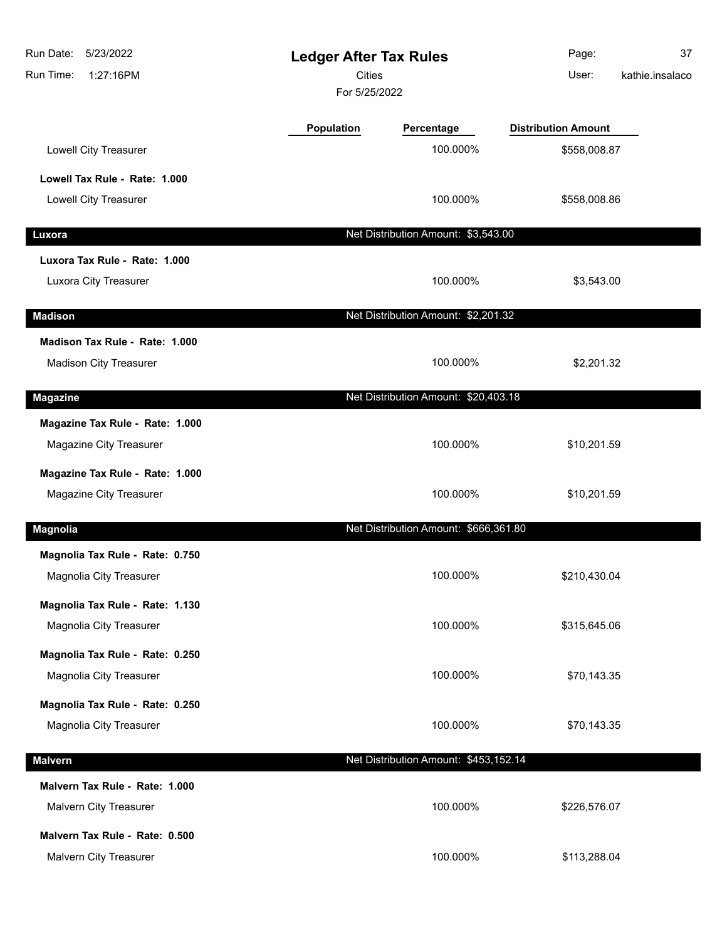| 5/23/2022<br>Run Date:<br>Run Time:<br>1:27:16PM | <b>Ledger After Tax Rules</b><br><b>Cities</b><br>For 5/25/2022 |                                       | Page:<br>User:             | 37<br>kathie.insalaco |
|--------------------------------------------------|-----------------------------------------------------------------|---------------------------------------|----------------------------|-----------------------|
|                                                  | Population                                                      | Percentage                            | <b>Distribution Amount</b> |                       |
| Lowell City Treasurer                            |                                                                 | 100.000%                              | \$558,008.87               |                       |
| Lowell Tax Rule - Rate: 1.000                    |                                                                 |                                       |                            |                       |
| Lowell City Treasurer                            |                                                                 | 100.000%                              | \$558,008.86               |                       |
| Luxora                                           |                                                                 | Net Distribution Amount: \$3,543.00   |                            |                       |
| Luxora Tax Rule - Rate: 1.000                    |                                                                 |                                       |                            |                       |
| Luxora City Treasurer                            |                                                                 | 100.000%                              | \$3,543.00                 |                       |
| <b>Madison</b>                                   |                                                                 | Net Distribution Amount: \$2,201.32   |                            |                       |
| Madison Tax Rule - Rate: 1.000                   |                                                                 |                                       |                            |                       |
| <b>Madison City Treasurer</b>                    |                                                                 | 100.000%                              | \$2,201.32                 |                       |
| <b>Magazine</b>                                  |                                                                 | Net Distribution Amount: \$20,403.18  |                            |                       |
| Magazine Tax Rule - Rate: 1.000                  |                                                                 |                                       |                            |                       |
| Magazine City Treasurer                          |                                                                 | 100.000%                              | \$10,201.59                |                       |
| Magazine Tax Rule - Rate: 1.000                  |                                                                 |                                       |                            |                       |
| Magazine City Treasurer                          |                                                                 | 100.000%                              | \$10,201.59                |                       |
| <b>Magnolia</b>                                  |                                                                 | Net Distribution Amount: \$666,361.80 |                            |                       |
| Magnolia Tax Rule - Rate: 0.750                  |                                                                 |                                       |                            |                       |
| Magnolia City Treasurer                          |                                                                 | 100.000%                              | \$210,430.04               |                       |
| Magnolia Tax Rule - Rate: 1.130                  |                                                                 |                                       |                            |                       |
| Magnolia City Treasurer                          |                                                                 | 100.000%                              | \$315,645.06               |                       |
| Magnolia Tax Rule - Rate: 0.250                  |                                                                 |                                       |                            |                       |
| Magnolia City Treasurer                          |                                                                 | 100.000%                              | \$70,143.35                |                       |
| Magnolia Tax Rule - Rate: 0.250                  |                                                                 |                                       |                            |                       |
| Magnolia City Treasurer                          |                                                                 | 100.000%                              | \$70,143.35                |                       |
| <b>Malvern</b>                                   |                                                                 | Net Distribution Amount: \$453,152.14 |                            |                       |
| Malvern Tax Rule - Rate: 1.000                   |                                                                 |                                       |                            |                       |
| Malvern City Treasurer                           |                                                                 | 100.000%                              | \$226,576.07               |                       |
| Malvern Tax Rule - Rate: 0.500                   |                                                                 |                                       |                            |                       |
| Malvern City Treasurer                           |                                                                 | 100.000%                              | \$113,288.04               |                       |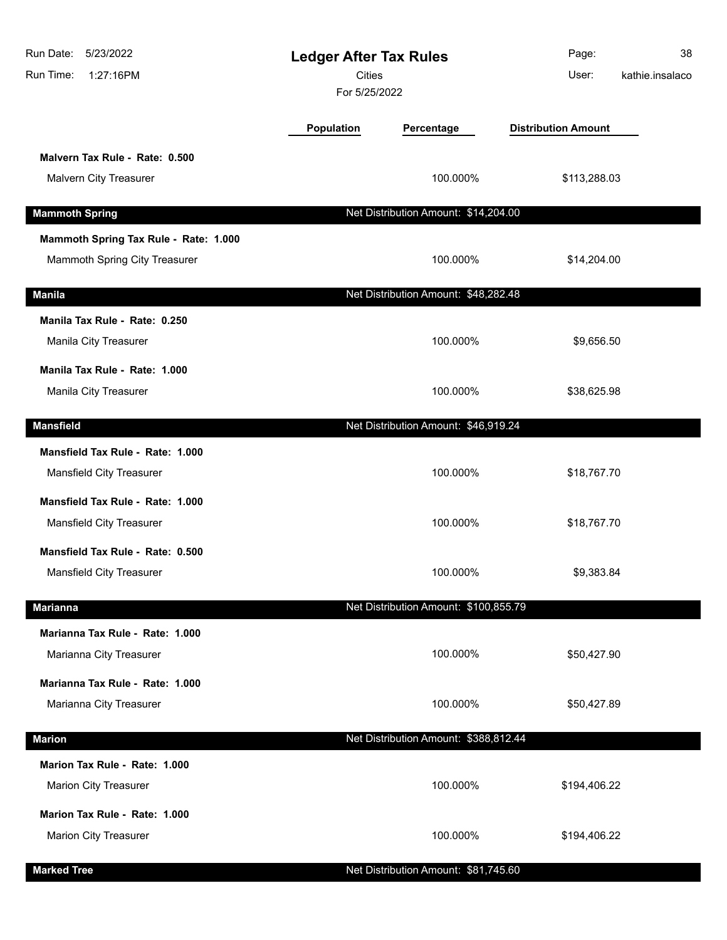| 5/23/2022<br>Run Date:<br>Run Time:<br>1:27:16PM                    | <b>Ledger After Tax Rules</b><br><b>Cities</b><br>For 5/25/2022 |                                       | Page:<br>User:             | 38<br>kathie.insalaco |
|---------------------------------------------------------------------|-----------------------------------------------------------------|---------------------------------------|----------------------------|-----------------------|
|                                                                     | Population                                                      | Percentage                            | <b>Distribution Amount</b> |                       |
| Malvern Tax Rule - Rate: 0.500<br>Malvern City Treasurer            |                                                                 | 100.000%                              | \$113,288.03               |                       |
| <b>Mammoth Spring</b>                                               |                                                                 | Net Distribution Amount: \$14,204.00  |                            |                       |
| Mammoth Spring Tax Rule - Rate: 1.000                               |                                                                 |                                       |                            |                       |
| Mammoth Spring City Treasurer                                       |                                                                 | 100.000%                              | \$14,204.00                |                       |
| <b>Manila</b>                                                       |                                                                 | Net Distribution Amount: \$48,282.48  |                            |                       |
| Manila Tax Rule - Rate: 0.250                                       |                                                                 |                                       |                            |                       |
| Manila City Treasurer                                               |                                                                 | 100.000%                              | \$9,656.50                 |                       |
| Manila Tax Rule - Rate: 1.000<br>Manila City Treasurer              |                                                                 | 100.000%                              | \$38,625.98                |                       |
| <b>Mansfield</b>                                                    |                                                                 | Net Distribution Amount: \$46,919.24  |                            |                       |
| Mansfield Tax Rule - Rate: 1.000                                    |                                                                 |                                       |                            |                       |
| Mansfield City Treasurer                                            |                                                                 | 100.000%                              | \$18,767.70                |                       |
| Mansfield Tax Rule - Rate: 1.000<br><b>Mansfield City Treasurer</b> |                                                                 | 100.000%                              | \$18,767.70                |                       |
| Mansfield Tax Rule - Rate: 0.500<br><b>Mansfield City Treasurer</b> |                                                                 | 100.000%                              | \$9,383.84                 |                       |
| <b>Marianna</b>                                                     |                                                                 | Net Distribution Amount: \$100,855.79 |                            |                       |
| Marianna Tax Rule - Rate: 1.000<br>Marianna City Treasurer          |                                                                 | 100.000%                              | \$50,427.90                |                       |
| Marianna Tax Rule - Rate: 1.000<br>Marianna City Treasurer          |                                                                 | 100.000%                              | \$50,427.89                |                       |
| <b>Marion</b>                                                       |                                                                 | Net Distribution Amount: \$388,812.44 |                            |                       |
| Marion Tax Rule - Rate: 1.000<br><b>Marion City Treasurer</b>       |                                                                 | 100.000%                              | \$194,406.22               |                       |
| Marion Tax Rule - Rate: 1.000<br><b>Marion City Treasurer</b>       |                                                                 | 100.000%                              | \$194,406.22               |                       |
| <b>Marked Tree</b>                                                  |                                                                 | Net Distribution Amount: \$81,745.60  |                            |                       |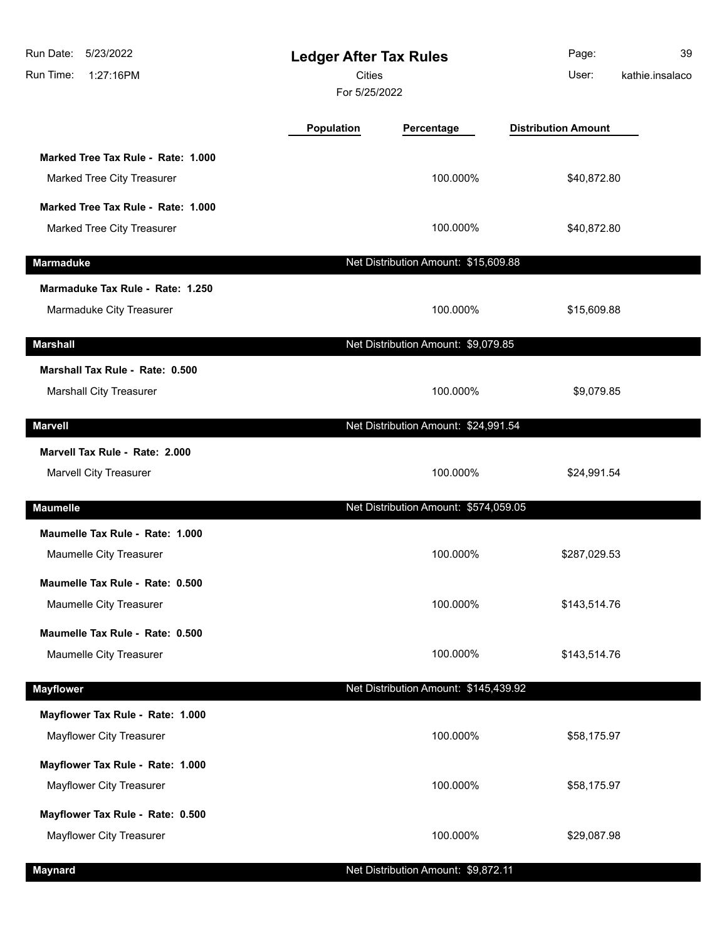| Run Date:<br>5/23/2022<br>1:27:16PM<br>Run Time:                  | <b>Ledger After Tax Rules</b><br><b>Cities</b><br>For 5/25/2022 |                                       | Page:<br>User:             | 39<br>kathie.insalaco |
|-------------------------------------------------------------------|-----------------------------------------------------------------|---------------------------------------|----------------------------|-----------------------|
|                                                                   | <b>Population</b>                                               | Percentage                            | <b>Distribution Amount</b> |                       |
| Marked Tree Tax Rule - Rate: 1.000<br>Marked Tree City Treasurer  |                                                                 | 100.000%                              | \$40,872.80                |                       |
| Marked Tree Tax Rule - Rate: 1.000<br>Marked Tree City Treasurer  |                                                                 | 100.000%                              | \$40,872.80                |                       |
| <b>Marmaduke</b>                                                  |                                                                 | Net Distribution Amount: \$15,609.88  |                            |                       |
| Marmaduke Tax Rule - Rate: 1.250<br>Marmaduke City Treasurer      |                                                                 | 100.000%                              | \$15,609.88                |                       |
| <b>Marshall</b>                                                   |                                                                 | Net Distribution Amount: \$9,079.85   |                            |                       |
| Marshall Tax Rule - Rate: 0.500<br><b>Marshall City Treasurer</b> |                                                                 | 100.000%                              | \$9,079.85                 |                       |
| <b>Marvell</b>                                                    |                                                                 | Net Distribution Amount: \$24,991.54  |                            |                       |
| Marvell Tax Rule - Rate: 2.000                                    |                                                                 |                                       |                            |                       |
| Marvell City Treasurer                                            |                                                                 | 100.000%                              | \$24,991.54                |                       |
| <b>Maumelle</b>                                                   |                                                                 | Net Distribution Amount: \$574,059.05 |                            |                       |
| Maumelle Tax Rule - Rate: 1.000<br>Maumelle City Treasurer        |                                                                 | 100.000%                              | \$287,029.53               |                       |
| Maumelle Tax Rule - Rate: 0.500<br>Maumelle City Treasurer        |                                                                 | 100.000%                              | \$143,514.76               |                       |
| Maumelle Tax Rule - Rate: 0.500<br>Maumelle City Treasurer        |                                                                 | 100.000%                              | \$143,514.76               |                       |
| <b>Mayflower</b>                                                  |                                                                 | Net Distribution Amount: \$145,439.92 |                            |                       |
| Mayflower Tax Rule - Rate: 1.000                                  |                                                                 |                                       |                            |                       |
| Mayflower City Treasurer                                          |                                                                 | 100.000%                              | \$58,175.97                |                       |
| Mayflower Tax Rule - Rate: 1.000<br>Mayflower City Treasurer      |                                                                 | 100.000%                              | \$58,175.97                |                       |
| Mayflower Tax Rule - Rate: 0.500                                  |                                                                 |                                       |                            |                       |
| Mayflower City Treasurer                                          |                                                                 | 100.000%                              | \$29,087.98                |                       |
| <b>Maynard</b>                                                    |                                                                 | Net Distribution Amount: \$9,872.11   |                            |                       |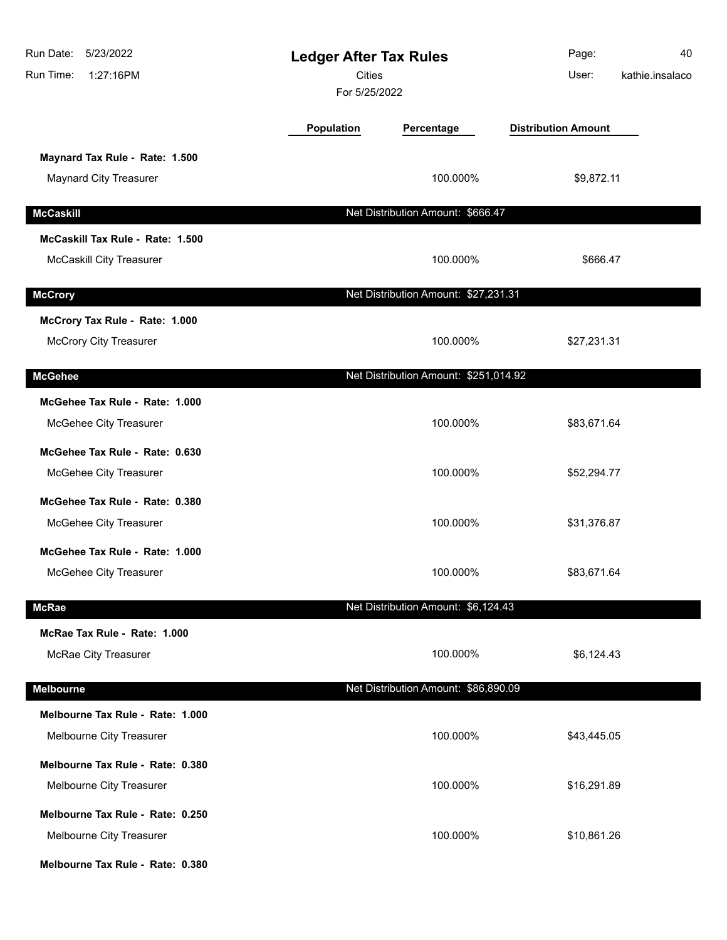| Run Date: 5/23/2022<br>Run Time:<br>1:27:16PM | <b>Ledger After Tax Rules</b><br><b>Cities</b><br>For 5/25/2022 |                                       | Page:<br>User:             | 40<br>kathie.insalaco |
|-----------------------------------------------|-----------------------------------------------------------------|---------------------------------------|----------------------------|-----------------------|
|                                               | Population                                                      | Percentage                            | <b>Distribution Amount</b> |                       |
| Maynard Tax Rule - Rate: 1.500                |                                                                 |                                       |                            |                       |
| <b>Maynard City Treasurer</b>                 |                                                                 | 100.000%                              | \$9,872.11                 |                       |
| <b>McCaskill</b>                              |                                                                 | Net Distribution Amount: \$666.47     |                            |                       |
| McCaskill Tax Rule - Rate: 1.500              |                                                                 |                                       |                            |                       |
| <b>McCaskill City Treasurer</b>               |                                                                 | 100.000%                              | \$666.47                   |                       |
| <b>McCrory</b>                                |                                                                 | Net Distribution Amount: \$27,231.31  |                            |                       |
| McCrory Tax Rule - Rate: 1.000                |                                                                 |                                       |                            |                       |
| <b>McCrory City Treasurer</b>                 |                                                                 | 100.000%                              | \$27,231.31                |                       |
| <b>McGehee</b>                                |                                                                 | Net Distribution Amount: \$251,014.92 |                            |                       |
| McGehee Tax Rule - Rate: 1.000                |                                                                 |                                       |                            |                       |
| McGehee City Treasurer                        |                                                                 | 100.000%                              | \$83,671.64                |                       |
| McGehee Tax Rule - Rate: 0.630                |                                                                 |                                       |                            |                       |
| McGehee City Treasurer                        |                                                                 | 100.000%                              | \$52,294.77                |                       |
| McGehee Tax Rule - Rate: 0.380                |                                                                 |                                       |                            |                       |
| McGehee City Treasurer                        |                                                                 | 100.000%                              | \$31,376.87                |                       |
| McGehee Tax Rule - Rate: 1.000                |                                                                 |                                       |                            |                       |
| McGehee City Treasurer                        |                                                                 | 100.000%                              | \$83,671.64                |                       |
| <b>McRae</b>                                  |                                                                 | Net Distribution Amount: \$6,124.43   |                            |                       |
| McRae Tax Rule - Rate: 1.000                  |                                                                 |                                       |                            |                       |
| McRae City Treasurer                          |                                                                 | 100.000%                              | \$6,124.43                 |                       |
| <b>Melbourne</b>                              |                                                                 | Net Distribution Amount: \$86,890.09  |                            |                       |
| Melbourne Tax Rule - Rate: 1.000              |                                                                 |                                       |                            |                       |
| Melbourne City Treasurer                      |                                                                 | 100.000%                              | \$43,445.05                |                       |
| Melbourne Tax Rule - Rate: 0.380              |                                                                 |                                       |                            |                       |
| Melbourne City Treasurer                      |                                                                 | 100.000%                              | \$16,291.89                |                       |
| Melbourne Tax Rule - Rate: 0.250              |                                                                 |                                       |                            |                       |
| Melbourne City Treasurer                      |                                                                 | 100.000%                              | \$10,861.26                |                       |
| Melbourne Tax Rule - Rate: 0.380              |                                                                 |                                       |                            |                       |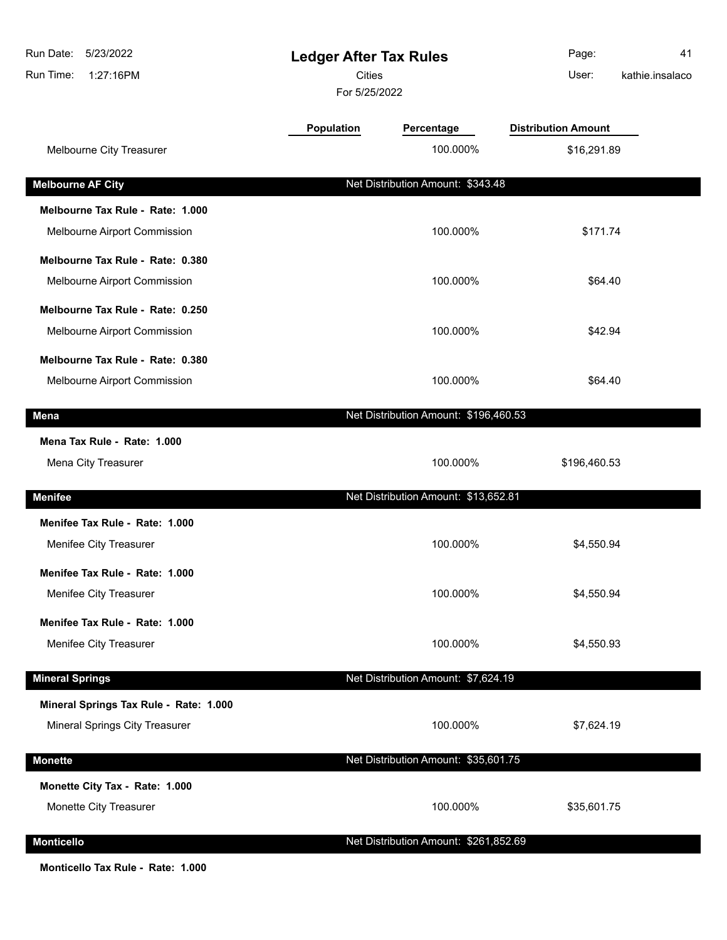| Run Date:<br>5/23/2022<br>1:27:16PM<br>Run Time: | <b>Ledger After Tax Rules</b><br><b>Cities</b><br>For 5/25/2022 |                                       | Page:<br>User:             | 41<br>kathie.insalaco |
|--------------------------------------------------|-----------------------------------------------------------------|---------------------------------------|----------------------------|-----------------------|
|                                                  | <b>Population</b>                                               | Percentage                            | <b>Distribution Amount</b> |                       |
| Melbourne City Treasurer                         |                                                                 | 100.000%                              | \$16,291.89                |                       |
| <b>Melbourne AF City</b>                         |                                                                 | Net Distribution Amount: \$343.48     |                            |                       |
| Melbourne Tax Rule - Rate: 1.000                 |                                                                 |                                       |                            |                       |
| Melbourne Airport Commission                     |                                                                 | 100.000%                              | \$171.74                   |                       |
| Melbourne Tax Rule - Rate: 0.380                 |                                                                 |                                       |                            |                       |
| Melbourne Airport Commission                     |                                                                 | 100.000%                              | \$64.40                    |                       |
| Melbourne Tax Rule - Rate: 0.250                 |                                                                 |                                       |                            |                       |
| Melbourne Airport Commission                     |                                                                 | 100.000%                              | \$42.94                    |                       |
| Melbourne Tax Rule - Rate: 0.380                 |                                                                 |                                       |                            |                       |
| Melbourne Airport Commission                     |                                                                 | 100.000%                              | \$64.40                    |                       |
| Mena                                             |                                                                 | Net Distribution Amount: \$196,460.53 |                            |                       |
| Mena Tax Rule - Rate: 1.000                      |                                                                 |                                       |                            |                       |
| Mena City Treasurer                              |                                                                 | 100.000%                              | \$196,460.53               |                       |
| <b>Menifee</b>                                   |                                                                 | Net Distribution Amount: \$13,652.81  |                            |                       |
| Menifee Tax Rule - Rate: 1.000                   |                                                                 |                                       |                            |                       |
| Menifee City Treasurer                           |                                                                 | 100.000%                              | \$4,550.94                 |                       |
| Menifee Tax Rule - Rate: 1.000                   |                                                                 |                                       |                            |                       |
| Menifee City Treasurer                           |                                                                 | 100.000%                              | \$4,550.94                 |                       |
| Menifee Tax Rule - Rate: 1.000                   |                                                                 |                                       |                            |                       |
| Menifee City Treasurer                           |                                                                 | 100.000%                              | \$4,550.93                 |                       |
| <b>Mineral Springs</b>                           |                                                                 | Net Distribution Amount: \$7,624.19   |                            |                       |
| Mineral Springs Tax Rule - Rate: 1.000           |                                                                 |                                       |                            |                       |
| Mineral Springs City Treasurer                   |                                                                 | 100.000%                              | \$7,624.19                 |                       |
| <b>Monette</b>                                   |                                                                 | Net Distribution Amount: \$35,601.75  |                            |                       |
| Monette City Tax - Rate: 1.000                   |                                                                 |                                       |                            |                       |
| Monette City Treasurer                           |                                                                 | 100.000%                              | \$35,601.75                |                       |
| <b>Monticello</b>                                |                                                                 | Net Distribution Amount: \$261,852.69 |                            |                       |

**Monticello Tax Rule - Rate: 1.000**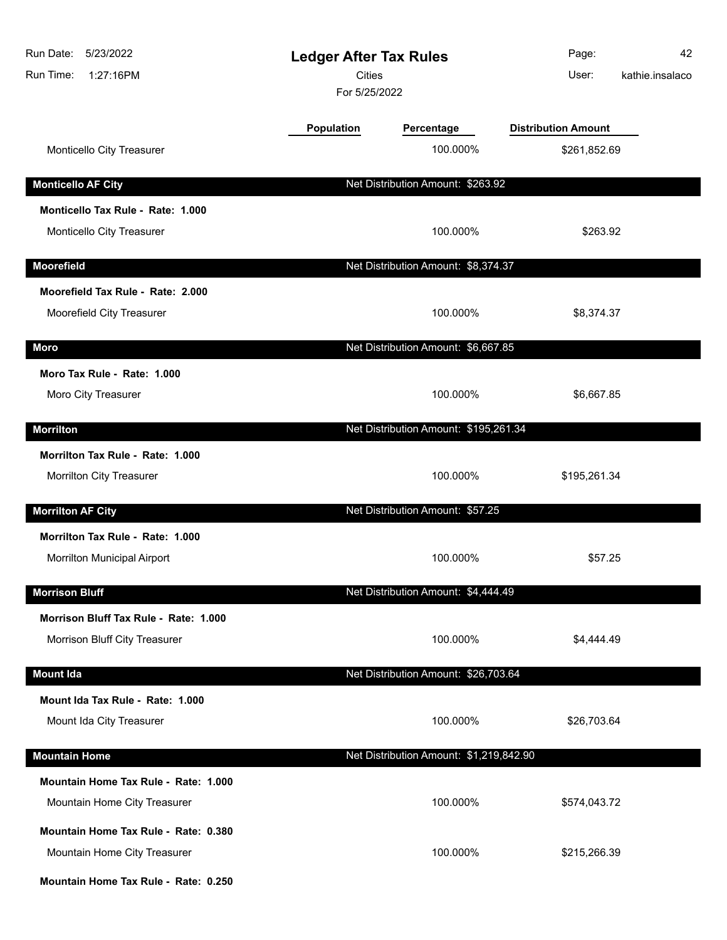| Run Date:<br>5/23/2022<br>Run Time:<br>1:27:16PM | <b>Ledger After Tax Rules</b><br><b>Cities</b><br>For 5/25/2022 |                                         | Page:<br>User:                             | 42<br>kathie.insalaco |
|--------------------------------------------------|-----------------------------------------------------------------|-----------------------------------------|--------------------------------------------|-----------------------|
| Monticello City Treasurer                        | Population                                                      | Percentage<br>100.000%                  | <b>Distribution Amount</b><br>\$261,852.69 |                       |
| <b>Monticello AF City</b>                        |                                                                 | Net Distribution Amount: \$263.92       |                                            |                       |
| Monticello Tax Rule - Rate: 1.000                |                                                                 |                                         |                                            |                       |
| Monticello City Treasurer                        |                                                                 | 100.000%                                | \$263.92                                   |                       |
| <b>Moorefield</b>                                |                                                                 | Net Distribution Amount: \$8,374.37     |                                            |                       |
| Moorefield Tax Rule - Rate: 2.000                |                                                                 |                                         |                                            |                       |
| Moorefield City Treasurer                        |                                                                 | 100.000%                                | \$8,374.37                                 |                       |
| Moro                                             |                                                                 | Net Distribution Amount: \$6,667.85     |                                            |                       |
| Moro Tax Rule - Rate: 1.000                      |                                                                 |                                         |                                            |                       |
| Moro City Treasurer                              |                                                                 | 100.000%                                | \$6,667.85                                 |                       |
| <b>Morrilton</b>                                 |                                                                 | Net Distribution Amount: \$195,261.34   |                                            |                       |
| Morrilton Tax Rule - Rate: 1.000                 |                                                                 |                                         |                                            |                       |
| Morrilton City Treasurer                         |                                                                 | 100.000%                                | \$195,261.34                               |                       |
| <b>Morrilton AF City</b>                         |                                                                 | Net Distribution Amount: \$57.25        |                                            |                       |
| Morrilton Tax Rule - Rate: 1.000                 |                                                                 |                                         |                                            |                       |
| Morrilton Municipal Airport                      |                                                                 | 100.000%                                | \$57.25                                    |                       |
| <b>Morrison Bluff</b>                            |                                                                 | Net Distribution Amount: \$4,444.49     |                                            |                       |
| Morrison Bluff Tax Rule - Rate: 1.000            |                                                                 |                                         |                                            |                       |
| Morrison Bluff City Treasurer                    |                                                                 | 100.000%                                | \$4,444.49                                 |                       |
| <b>Mount Ida</b>                                 |                                                                 | Net Distribution Amount: \$26,703.64    |                                            |                       |
| Mount Ida Tax Rule - Rate: 1.000                 |                                                                 |                                         |                                            |                       |
| Mount Ida City Treasurer                         |                                                                 | 100.000%                                | \$26,703.64                                |                       |
| <b>Mountain Home</b>                             |                                                                 | Net Distribution Amount: \$1,219,842.90 |                                            |                       |
| Mountain Home Tax Rule - Rate: 1.000             |                                                                 |                                         |                                            |                       |
| Mountain Home City Treasurer                     |                                                                 | 100.000%                                | \$574,043.72                               |                       |
| Mountain Home Tax Rule - Rate: 0.380             |                                                                 |                                         |                                            |                       |
| Mountain Home City Treasurer                     |                                                                 | 100.000%                                | \$215,266.39                               |                       |
| Mountain Home Tax Rule - Rate: 0.250             |                                                                 |                                         |                                            |                       |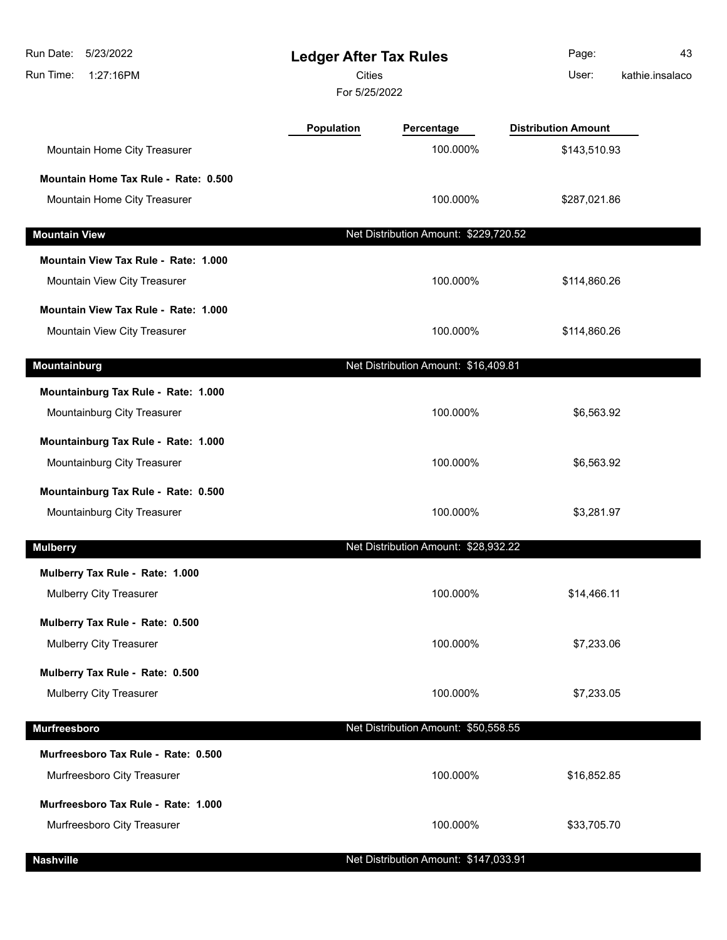| Run Date:<br>5/23/2022<br>Run Time:<br>1:27:16PM                   | <b>Ledger After Tax Rules</b><br><b>Cities</b><br>For 5/25/2022 |                                       | Page:<br>User:             | 43<br>kathie.insalaco |
|--------------------------------------------------------------------|-----------------------------------------------------------------|---------------------------------------|----------------------------|-----------------------|
|                                                                    | <b>Population</b>                                               | Percentage                            | <b>Distribution Amount</b> |                       |
| Mountain Home City Treasurer                                       |                                                                 | 100.000%                              | \$143,510.93               |                       |
| Mountain Home Tax Rule - Rate: 0.500                               |                                                                 |                                       |                            |                       |
| Mountain Home City Treasurer                                       |                                                                 | 100.000%                              | \$287,021.86               |                       |
| <b>Mountain View</b>                                               |                                                                 | Net Distribution Amount: \$229,720.52 |                            |                       |
| Mountain View Tax Rule - Rate: 1.000                               |                                                                 |                                       |                            |                       |
| Mountain View City Treasurer                                       |                                                                 | 100.000%                              | \$114,860.26               |                       |
| Mountain View Tax Rule - Rate: 1.000                               |                                                                 |                                       |                            |                       |
| Mountain View City Treasurer                                       |                                                                 | 100.000%                              | \$114,860.26               |                       |
| Mountainburg                                                       |                                                                 | Net Distribution Amount: \$16,409.81  |                            |                       |
| Mountainburg Tax Rule - Rate: 1.000<br>Mountainburg City Treasurer |                                                                 | 100.000%                              | \$6,563.92                 |                       |
| Mountainburg Tax Rule - Rate: 1.000<br>Mountainburg City Treasurer |                                                                 | 100.000%                              | \$6,563.92                 |                       |
| Mountainburg Tax Rule - Rate: 0.500<br>Mountainburg City Treasurer |                                                                 | 100.000%                              | \$3,281.97                 |                       |
| <b>Mulberry</b>                                                    |                                                                 | Net Distribution Amount: \$28,932.22  |                            |                       |
| Mulberry Tax Rule - Rate: 1.000                                    |                                                                 |                                       |                            |                       |
| Mulberry City Treasurer                                            |                                                                 | 100.000%                              | \$14,466.11                |                       |
| Mulberry Tax Rule - Rate: 0.500<br>Mulberry City Treasurer         |                                                                 | 100.000%                              | \$7,233.06                 |                       |
| Mulberry Tax Rule - Rate: 0.500                                    |                                                                 |                                       |                            |                       |
| Mulberry City Treasurer                                            |                                                                 | 100.000%                              | \$7,233.05                 |                       |
| <b>Murfreesboro</b>                                                |                                                                 | Net Distribution Amount: \$50,558.55  |                            |                       |
| Murfreesboro Tax Rule - Rate: 0.500                                |                                                                 |                                       |                            |                       |
| Murfreesboro City Treasurer                                        |                                                                 | 100.000%                              | \$16,852.85                |                       |
| Murfreesboro Tax Rule - Rate: 1.000<br>Murfreesboro City Treasurer |                                                                 | 100.000%                              | \$33,705.70                |                       |

**Nashville** Net Distribution Amount: \$147,033.91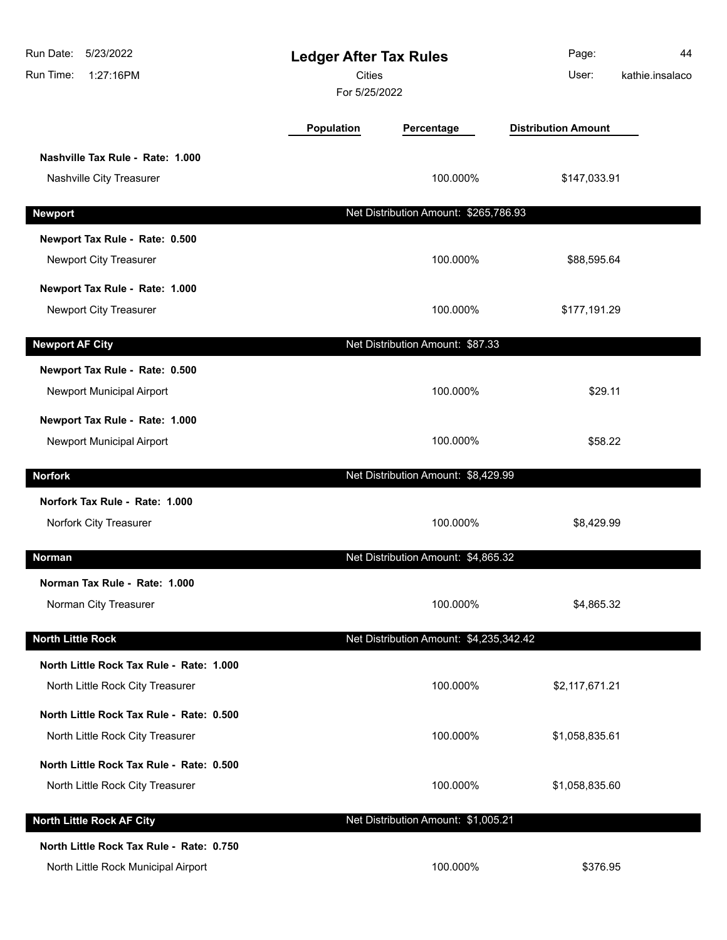| Run Date:<br>5/23/2022<br>Run Time:<br>1:27:16PM                                | <b>Ledger After Tax Rules</b><br><b>Cities</b><br>For 5/25/2022 |                                         | Page:<br>User:             | 44<br>kathie.insalaco |
|---------------------------------------------------------------------------------|-----------------------------------------------------------------|-----------------------------------------|----------------------------|-----------------------|
|                                                                                 | Population                                                      | Percentage                              | <b>Distribution Amount</b> |                       |
| Nashville Tax Rule - Rate: 1.000<br>Nashville City Treasurer                    |                                                                 | 100.000%                                | \$147,033.91               |                       |
| <b>Newport</b>                                                                  |                                                                 | Net Distribution Amount: \$265,786.93   |                            |                       |
| Newport Tax Rule - Rate: 0.500<br>Newport City Treasurer                        |                                                                 | 100.000%                                | \$88,595.64                |                       |
| Newport Tax Rule - Rate: 1.000<br>Newport City Treasurer                        |                                                                 | 100.000%                                | \$177,191.29               |                       |
| <b>Newport AF City</b>                                                          |                                                                 | Net Distribution Amount: \$87.33        |                            |                       |
| Newport Tax Rule - Rate: 0.500<br>Newport Municipal Airport                     |                                                                 | 100.000%                                | \$29.11                    |                       |
| Newport Tax Rule - Rate: 1.000<br>Newport Municipal Airport                     |                                                                 | 100.000%                                | \$58.22                    |                       |
| <b>Norfork</b>                                                                  |                                                                 | Net Distribution Amount: \$8,429.99     |                            |                       |
| Norfork Tax Rule - Rate: 1.000<br>Norfork City Treasurer                        |                                                                 | 100.000%                                | \$8,429.99                 |                       |
| Norman                                                                          |                                                                 | Net Distribution Amount: \$4,865.32     |                            |                       |
| Norman Tax Rule - Rate: 1.000<br>Norman City Treasurer                          |                                                                 | 100.000%                                | \$4,865.32                 |                       |
| <b>North Little Rock</b>                                                        |                                                                 | Net Distribution Amount: \$4,235,342.42 |                            |                       |
| North Little Rock Tax Rule - Rate: 1.000<br>North Little Rock City Treasurer    |                                                                 | 100.000%                                | \$2,117,671.21             |                       |
| North Little Rock Tax Rule - Rate: 0.500<br>North Little Rock City Treasurer    |                                                                 | 100.000%                                | \$1,058,835.61             |                       |
| North Little Rock Tax Rule - Rate: 0.500<br>North Little Rock City Treasurer    |                                                                 | 100.000%                                | \$1,058,835.60             |                       |
| <b>North Little Rock AF City</b>                                                |                                                                 | Net Distribution Amount: \$1,005.21     |                            |                       |
| North Little Rock Tax Rule - Rate: 0.750<br>North Little Rock Municipal Airport |                                                                 | 100.000%                                | \$376.95                   |                       |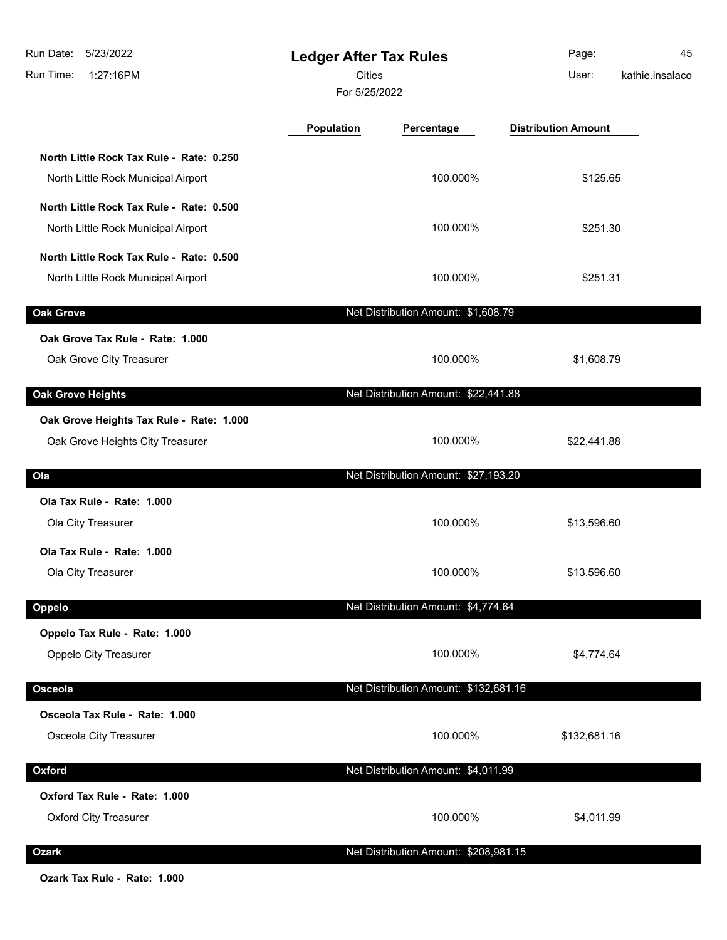| 5/23/2022<br>Run Date:<br>Run Time:<br>1:27:16PM                                | <b>Ledger After Tax Rules</b><br>Cities<br>For 5/25/2022 |                                       | Page:<br>User:             | 45<br>kathie.insalaco |
|---------------------------------------------------------------------------------|----------------------------------------------------------|---------------------------------------|----------------------------|-----------------------|
|                                                                                 | Population                                               | Percentage                            | <b>Distribution Amount</b> |                       |
| North Little Rock Tax Rule - Rate: 0.250<br>North Little Rock Municipal Airport |                                                          | 100.000%                              | \$125.65                   |                       |
| North Little Rock Tax Rule - Rate: 0.500<br>North Little Rock Municipal Airport |                                                          | 100.000%                              | \$251.30                   |                       |
| North Little Rock Tax Rule - Rate: 0.500<br>North Little Rock Municipal Airport |                                                          | 100.000%                              | \$251.31                   |                       |
| <b>Oak Grove</b>                                                                |                                                          | Net Distribution Amount: \$1,608.79   |                            |                       |
| Oak Grove Tax Rule - Rate: 1.000<br>Oak Grove City Treasurer                    |                                                          | 100.000%                              | \$1,608.79                 |                       |
| <b>Oak Grove Heights</b>                                                        |                                                          | Net Distribution Amount: \$22,441.88  |                            |                       |
| Oak Grove Heights Tax Rule - Rate: 1.000<br>Oak Grove Heights City Treasurer    |                                                          | 100.000%                              | \$22,441.88                |                       |
| Ola                                                                             |                                                          | Net Distribution Amount: \$27,193.20  |                            |                       |
| Ola Tax Rule - Rate: 1.000<br>Ola City Treasurer                                |                                                          | 100.000%                              | \$13,596.60                |                       |
| Ola Tax Rule - Rate: 1.000<br>Ola City Treasurer                                |                                                          | 100.000%                              | \$13,596.60                |                       |
| Oppelo                                                                          |                                                          | Net Distribution Amount: \$4,774.64   |                            |                       |
| Oppelo Tax Rule - Rate: 1.000<br>Oppelo City Treasurer                          |                                                          | 100.000%                              | \$4,774.64                 |                       |
| Osceola                                                                         |                                                          | Net Distribution Amount: \$132,681.16 |                            |                       |
| Osceola Tax Rule - Rate: 1.000<br>Osceola City Treasurer                        |                                                          | 100.000%                              | \$132,681.16               |                       |
| Oxford                                                                          |                                                          | Net Distribution Amount: \$4,011.99   |                            |                       |
| Oxford Tax Rule - Rate: 1.000<br><b>Oxford City Treasurer</b>                   |                                                          | 100.000%                              | \$4,011.99                 |                       |
| <b>Ozark</b>                                                                    |                                                          | Net Distribution Amount: \$208,981.15 |                            |                       |

**Ozark Tax Rule - Rate: 1.000**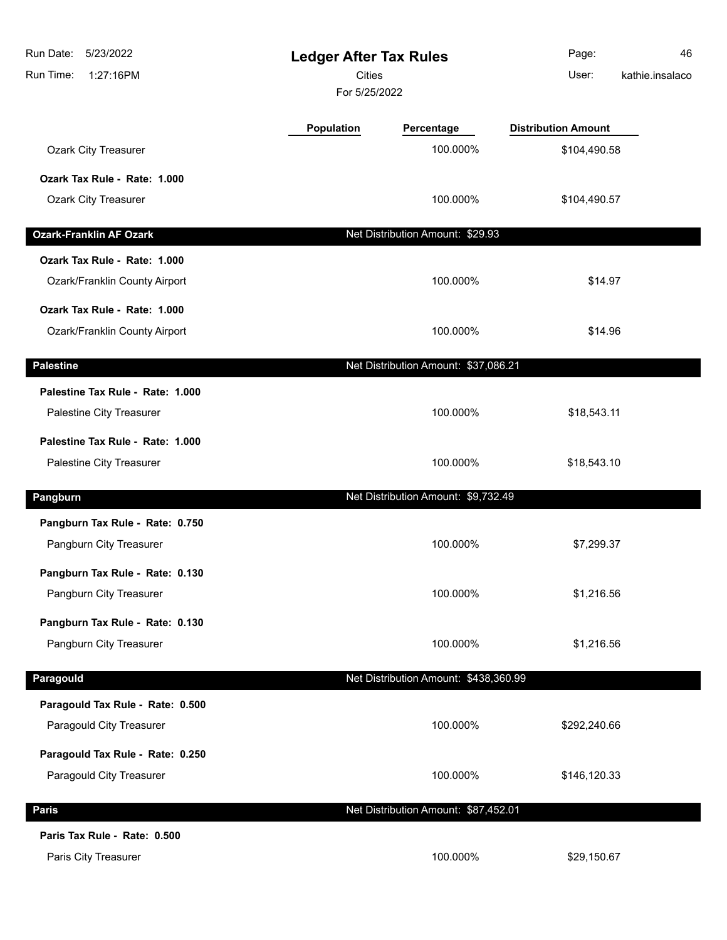| Run Date:<br>5/23/2022<br>Run Time:<br>1:27:16PM | <b>Ledger After Tax Rules</b><br><b>Cities</b><br>For 5/25/2022 |                                       | Page:<br>User:             | 46<br>kathie.insalaco |
|--------------------------------------------------|-----------------------------------------------------------------|---------------------------------------|----------------------------|-----------------------|
|                                                  | Population                                                      | Percentage                            | <b>Distribution Amount</b> |                       |
| Ozark City Treasurer                             |                                                                 | 100.000%                              | \$104,490.58               |                       |
| Ozark Tax Rule - Rate: 1.000                     |                                                                 |                                       |                            |                       |
| Ozark City Treasurer                             |                                                                 | 100.000%                              | \$104,490.57               |                       |
| <b>Ozark-Franklin AF Ozark</b>                   |                                                                 | Net Distribution Amount: \$29.93      |                            |                       |
| Ozark Tax Rule - Rate: 1.000                     |                                                                 |                                       |                            |                       |
| Ozark/Franklin County Airport                    |                                                                 | 100.000%                              | \$14.97                    |                       |
| Ozark Tax Rule - Rate: 1.000                     |                                                                 |                                       |                            |                       |
| Ozark/Franklin County Airport                    |                                                                 | 100.000%                              | \$14.96                    |                       |
| <b>Palestine</b>                                 |                                                                 | Net Distribution Amount: \$37,086.21  |                            |                       |
| Palestine Tax Rule - Rate: 1.000                 |                                                                 |                                       |                            |                       |
| Palestine City Treasurer                         |                                                                 | 100.000%                              | \$18,543.11                |                       |
| Palestine Tax Rule - Rate: 1.000                 |                                                                 |                                       |                            |                       |
| Palestine City Treasurer                         |                                                                 | 100.000%                              | \$18,543.10                |                       |
| Pangburn                                         |                                                                 | Net Distribution Amount: \$9,732.49   |                            |                       |
| Pangburn Tax Rule - Rate: 0.750                  |                                                                 |                                       |                            |                       |
| Pangburn City Treasurer                          |                                                                 | 100.000%                              | \$7,299.37                 |                       |
| Pangburn Tax Rule - Rate: 0.130                  |                                                                 |                                       |                            |                       |
| Pangburn City Treasurer                          |                                                                 | 100.000%                              | \$1,216.56                 |                       |
| Pangburn Tax Rule - Rate: 0.130                  |                                                                 |                                       |                            |                       |
| Pangburn City Treasurer                          |                                                                 | 100.000%                              | \$1,216.56                 |                       |
| Paragould                                        |                                                                 | Net Distribution Amount: \$438,360.99 |                            |                       |
| Paragould Tax Rule - Rate: 0.500                 |                                                                 |                                       |                            |                       |
| Paragould City Treasurer                         |                                                                 | 100.000%                              | \$292,240.66               |                       |
| Paragould Tax Rule - Rate: 0.250                 |                                                                 |                                       |                            |                       |
| Paragould City Treasurer                         |                                                                 | 100.000%                              | \$146,120.33               |                       |
| <b>Paris</b>                                     |                                                                 | Net Distribution Amount: \$87,452.01  |                            |                       |
| Paris Tax Rule - Rate: 0.500                     |                                                                 |                                       |                            |                       |
| Paris City Treasurer                             |                                                                 | 100.000%                              | \$29,150.67                |                       |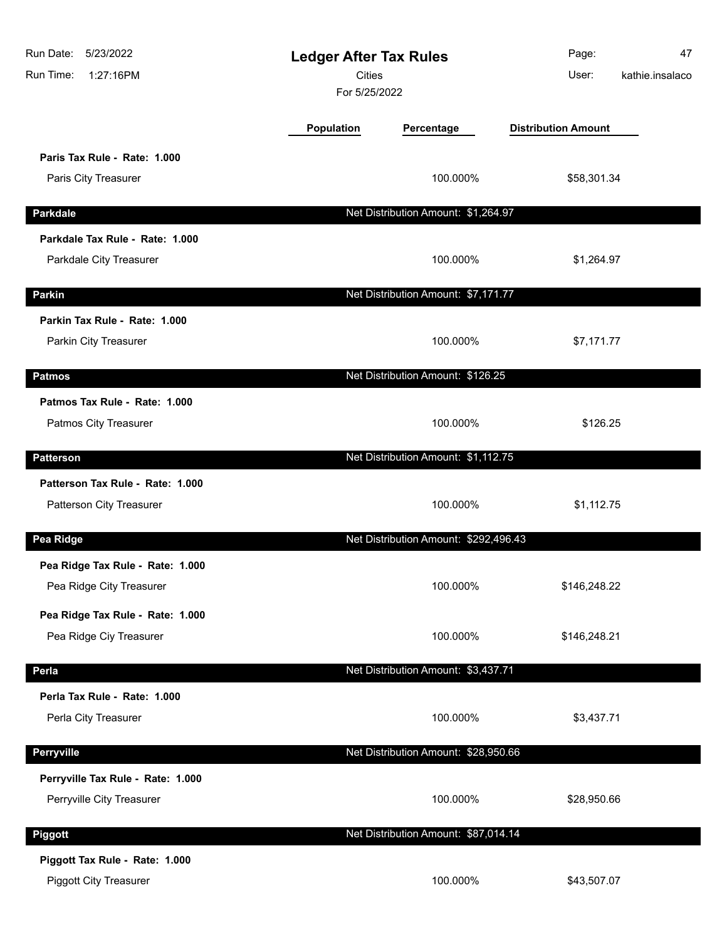| Run Date: 5/23/2022<br>Run Time:<br>1:27:16PM                   |            | <b>Ledger After Tax Rules</b><br><b>Cities</b><br>For 5/25/2022 |                            | 47<br>kathie.insalaco |
|-----------------------------------------------------------------|------------|-----------------------------------------------------------------|----------------------------|-----------------------|
|                                                                 | Population | Percentage                                                      | <b>Distribution Amount</b> |                       |
| Paris Tax Rule - Rate: 1.000<br>Paris City Treasurer            |            | 100.000%                                                        | \$58,301.34                |                       |
| <b>Parkdale</b>                                                 |            | Net Distribution Amount: \$1,264.97                             |                            |                       |
| Parkdale Tax Rule - Rate: 1.000<br>Parkdale City Treasurer      |            | 100.000%                                                        | \$1,264.97                 |                       |
| Parkin                                                          |            | Net Distribution Amount: \$7,171.77                             |                            |                       |
| Parkin Tax Rule - Rate: 1.000<br>Parkin City Treasurer          |            | 100.000%                                                        | \$7,171.77                 |                       |
| <b>Patmos</b>                                                   |            | Net Distribution Amount: \$126.25                               |                            |                       |
| Patmos Tax Rule - Rate: 1.000<br>Patmos City Treasurer          |            | 100.000%                                                        | \$126.25                   |                       |
| <b>Patterson</b>                                                |            | Net Distribution Amount: \$1,112.75                             |                            |                       |
| Patterson Tax Rule - Rate: 1.000<br>Patterson City Treasurer    |            | 100.000%                                                        | \$1,112.75                 |                       |
| Pea Ridge                                                       |            | Net Distribution Amount: \$292,496.43                           |                            |                       |
| Pea Ridge Tax Rule - Rate: 1.000<br>Pea Ridge City Treasurer    |            | 100.000%                                                        | \$146,248.22               |                       |
| Pea Ridge Tax Rule - Rate: 1.000<br>Pea Ridge Ciy Treasurer     |            | 100.000%                                                        | \$146,248.21               |                       |
| Perla                                                           |            | Net Distribution Amount: \$3,437.71                             |                            |                       |
| Perla Tax Rule - Rate: 1.000<br>Perla City Treasurer            |            | 100.000%                                                        | \$3,437.71                 |                       |
| <b>Perryville</b>                                               |            | Net Distribution Amount: \$28,950.66                            |                            |                       |
| Perryville Tax Rule - Rate: 1.000<br>Perryville City Treasurer  |            | 100.000%                                                        | \$28,950.66                |                       |
| Piggott                                                         |            | Net Distribution Amount: \$87,014.14                            |                            |                       |
| Piggott Tax Rule - Rate: 1.000<br><b>Piggott City Treasurer</b> |            | 100.000%                                                        | \$43,507.07                |                       |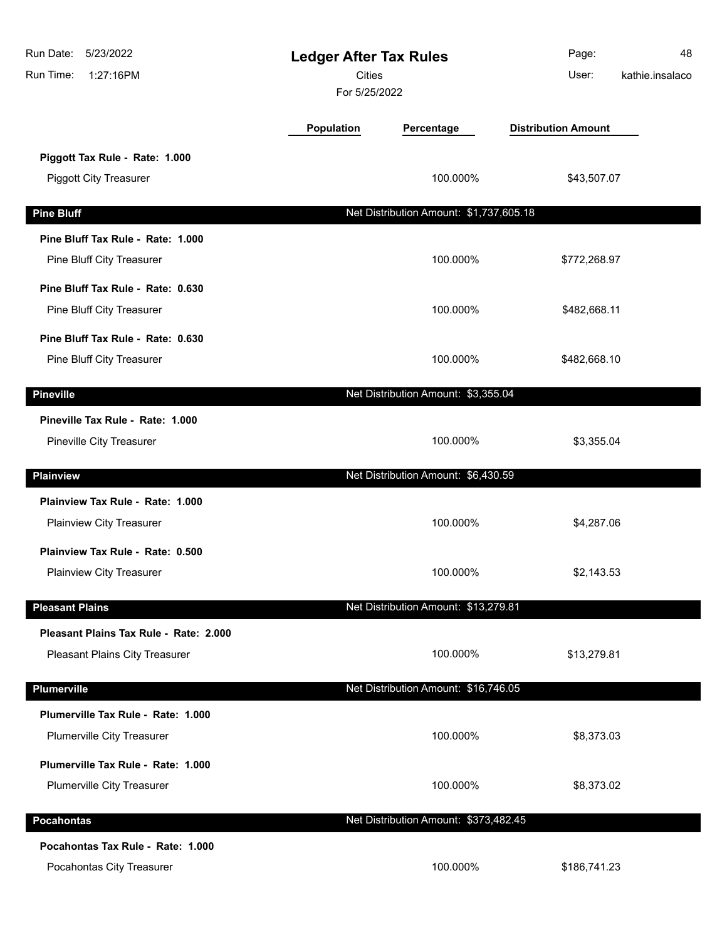| Run Date:<br>5/23/2022<br><b>Ledger After Tax Rules</b><br><b>Cities</b><br>Run Time:<br>1:27:16PM<br>For 5/25/2022 |                   |                                         | Page:<br>User:             | 48<br>kathie.insalaco |
|---------------------------------------------------------------------------------------------------------------------|-------------------|-----------------------------------------|----------------------------|-----------------------|
|                                                                                                                     | <b>Population</b> | Percentage                              | <b>Distribution Amount</b> |                       |
| Piggott Tax Rule - Rate: 1.000<br><b>Piggott City Treasurer</b>                                                     |                   | 100.000%                                | \$43,507.07                |                       |
| <b>Pine Bluff</b>                                                                                                   |                   | Net Distribution Amount: \$1,737,605.18 |                            |                       |
| Pine Bluff Tax Rule - Rate: 1.000                                                                                   |                   |                                         |                            |                       |
| Pine Bluff City Treasurer                                                                                           |                   | 100.000%                                | \$772,268.97               |                       |
| Pine Bluff Tax Rule - Rate: 0.630<br>Pine Bluff City Treasurer                                                      |                   | 100.000%                                | \$482,668.11               |                       |
| Pine Bluff Tax Rule - Rate: 0.630<br>Pine Bluff City Treasurer                                                      |                   | 100.000%                                | \$482,668.10               |                       |
| <b>Pineville</b>                                                                                                    |                   | Net Distribution Amount: \$3,355.04     |                            |                       |
| Pineville Tax Rule - Rate: 1.000<br>Pineville City Treasurer                                                        |                   | 100.000%                                | \$3,355.04                 |                       |
| <b>Plainview</b>                                                                                                    |                   | Net Distribution Amount: \$6,430.59     |                            |                       |
| Plainview Tax Rule - Rate: 1.000<br>Plainview City Treasurer                                                        |                   | 100.000%                                | \$4,287.06                 |                       |
| Plainview Tax Rule - Rate: 0.500<br>Plainview City Treasurer                                                        |                   | 100.000%                                | \$2,143.53                 |                       |
| <b>Pleasant Plains</b>                                                                                              |                   | Net Distribution Amount: \$13,279.81    |                            |                       |
| Pleasant Plains Tax Rule - Rate: 2.000<br>Pleasant Plains City Treasurer                                            |                   | 100.000%                                | \$13,279.81                |                       |
| Plumerville                                                                                                         |                   | Net Distribution Amount: \$16,746.05    |                            |                       |
| Plumerville Tax Rule - Rate: 1.000<br>Plumerville City Treasurer                                                    |                   | 100.000%                                | \$8,373.03                 |                       |
| Plumerville Tax Rule - Rate: 1.000<br>Plumerville City Treasurer                                                    |                   | 100.000%                                | \$8,373.02                 |                       |
| <b>Pocahontas</b>                                                                                                   |                   | Net Distribution Amount: \$373,482.45   |                            |                       |
| Pocahontas Tax Rule - Rate: 1.000<br>Pocahontas City Treasurer                                                      |                   | 100.000%                                | \$186,741.23               |                       |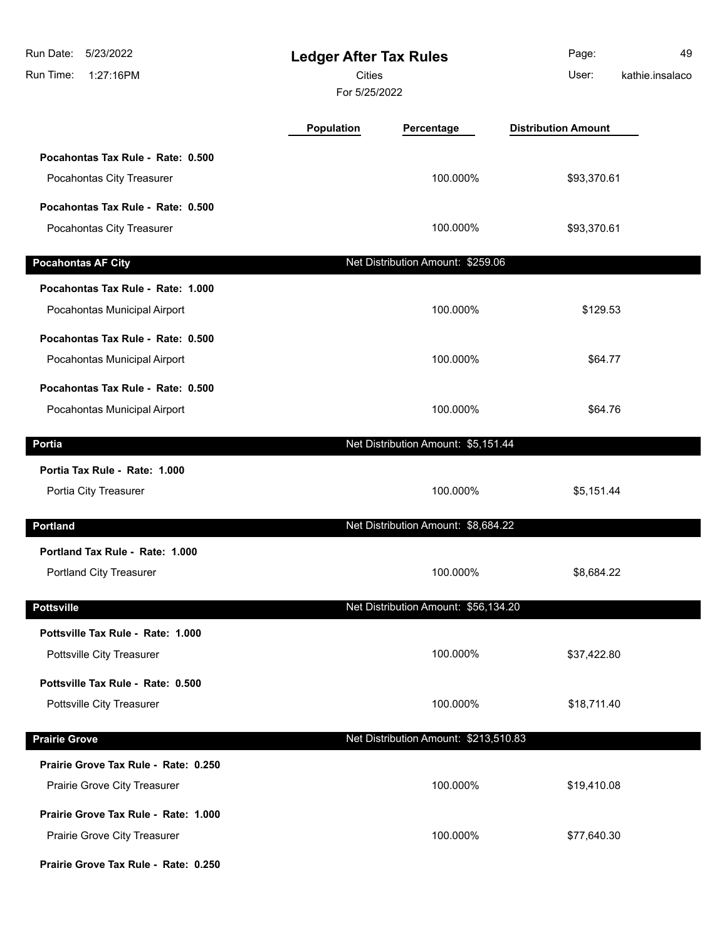| 5/23/2022<br>Run Date:<br>Run Time:<br>1:27:16PM                     | <b>Ledger After Tax Rules</b><br><b>Cities</b><br>For 5/25/2022 |                                       | Page:<br>User:             | 49<br>kathie.insalaco |
|----------------------------------------------------------------------|-----------------------------------------------------------------|---------------------------------------|----------------------------|-----------------------|
|                                                                      | <b>Population</b>                                               | Percentage                            | <b>Distribution Amount</b> |                       |
| Pocahontas Tax Rule - Rate: 0.500<br>Pocahontas City Treasurer       |                                                                 | 100.000%                              | \$93,370.61                |                       |
| Pocahontas Tax Rule - Rate: 0.500<br>Pocahontas City Treasurer       |                                                                 | 100.000%                              | \$93,370.61                |                       |
| <b>Pocahontas AF City</b>                                            |                                                                 | Net Distribution Amount: \$259.06     |                            |                       |
| Pocahontas Tax Rule - Rate: 1.000<br>Pocahontas Municipal Airport    |                                                                 | 100.000%                              | \$129.53                   |                       |
| Pocahontas Tax Rule - Rate: 0.500<br>Pocahontas Municipal Airport    |                                                                 | 100.000%                              | \$64.77                    |                       |
| Pocahontas Tax Rule - Rate: 0.500<br>Pocahontas Municipal Airport    |                                                                 | 100.000%                              | \$64.76                    |                       |
| Portia                                                               |                                                                 | Net Distribution Amount: \$5,151.44   |                            |                       |
| Portia Tax Rule - Rate: 1.000<br>Portia City Treasurer               |                                                                 | 100.000%                              | \$5,151.44                 |                       |
| <b>Portland</b>                                                      |                                                                 | Net Distribution Amount: \$8,684.22   |                            |                       |
| Portland Tax Rule - Rate: 1.000<br>Portland City Treasurer           |                                                                 | 100.000%                              | \$8,684.22                 |                       |
| <b>Pottsville</b>                                                    |                                                                 | Net Distribution Amount: \$56,134.20  |                            |                       |
| Pottsville Tax Rule - Rate: 1.000<br>Pottsville City Treasurer       |                                                                 | 100.000%                              | \$37,422.80                |                       |
| Pottsville Tax Rule - Rate: 0.500<br>Pottsville City Treasurer       |                                                                 | 100.000%                              | \$18,711.40                |                       |
| <b>Prairie Grove</b>                                                 |                                                                 | Net Distribution Amount: \$213,510.83 |                            |                       |
| Prairie Grove Tax Rule - Rate: 0.250<br>Prairie Grove City Treasurer |                                                                 | 100.000%                              | \$19,410.08                |                       |
| Prairie Grove Tax Rule - Rate: 1.000<br>Prairie Grove City Treasurer |                                                                 | 100.000%                              | \$77,640.30                |                       |
| Prairie Grove Tax Rule - Rate: 0.250                                 |                                                                 |                                       |                            |                       |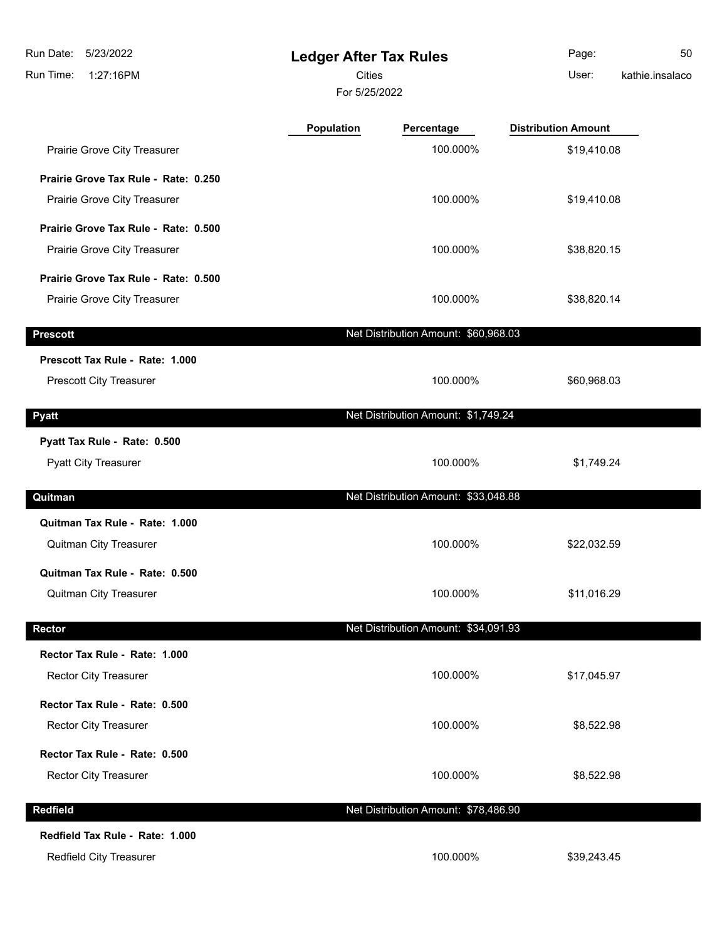**Ledger After Tax Rules** Run Time: 1:27:16PM 5/23/2022 Run Date: For 5/25/2022 **Cities Community Community Community** User: Page: 50 kathie.insalaco **Population Percentage Distribution Amount** Prairie Grove City Treasurer **100.000%** \$19,410.08 **Prairie Grove Tax Rule - Rate: 0.250** Prairie Grove City Treasurer **100.000%** \$19,410.08 **Prairie Grove Tax Rule - Rate: 0.500** Prairie Grove City Treasurer 100.000% \$38,820.15 **Prairie Grove Tax Rule - Rate: 0.500** Prairie Grove City Treasurer 100.000% \$38,820.14 **Prescott Net Distribution Amount: \$60,968.03 Prescott Tax Rule - Rate: 1.000** Prescott City Treasurer 100.000% \$60,968.03 **Pyatt Properties Amount: \$1,749.24 Pyatt Properties Amount: \$1,749.24 Pyatt Tax Rule - Rate: 0.500** Pyatt City Treasurer **100.000%** \$1,749.24 **Quitman Net Distribution Amount: \$33,048.88 Quitman Tax Rule - Rate: 1.000** Quitman City Treasurer 100.000% \$22,032.59 **Quitman Tax Rule - Rate: 0.500** Quitman City Treasurer 100.000% \$11,016.29 **Rector Rector Rector Rector Rector Rector Rector Rector Rector Rector Rector Rector Rector Rector Rector Rector Rector Rector Rector Rector Rep Rector Tax Rule - Rate: 1.000** Rector City Treasurer **100.000%** \$17,045.97 **Rector Tax Rule - Rate: 0.500**

Rector City Treasurer **100.000%** \$8,522.98

Rector City Treasurer **100.000%** \$8,522.98

**Redfield Redfield Net Distribution Amount: \$78,486.90** 

**Redfield Tax Rule - Rate: 1.000**

**Rector Tax Rule - Rate: 0.500**

Redfield City Treasurer 100.000% \$39,243.45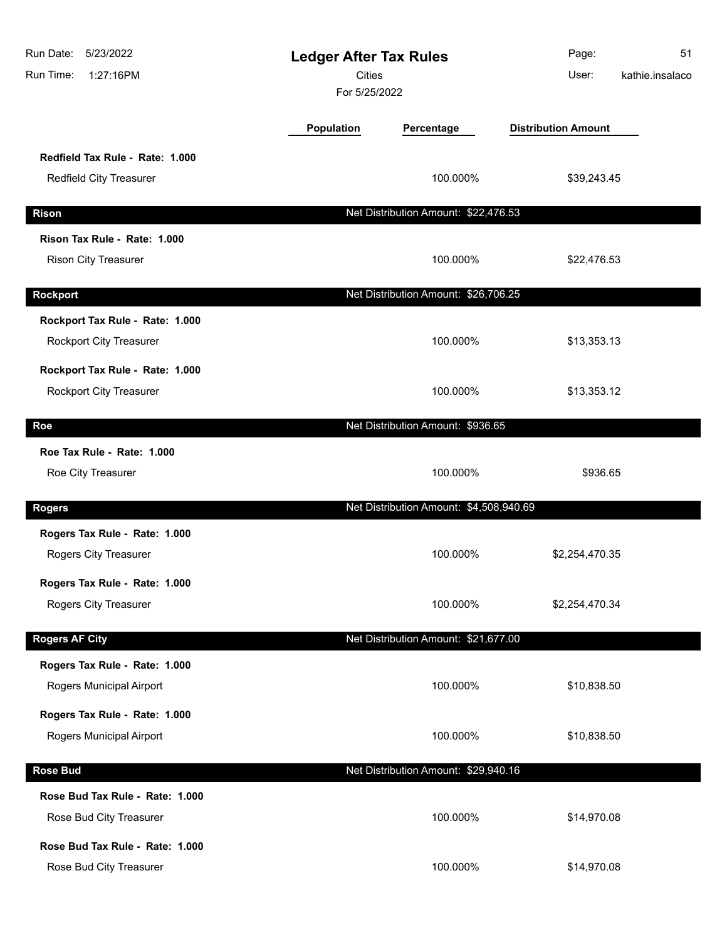| Run Date:<br>5/23/2022<br>Run Time:<br>1:27:16PM            | <b>Ledger After Tax Rules</b><br><b>Cities</b><br>For 5/25/2022 |                                         | Page:<br>User:             | 51<br>kathie.insalaco |
|-------------------------------------------------------------|-----------------------------------------------------------------|-----------------------------------------|----------------------------|-----------------------|
|                                                             | Population                                                      | Percentage                              | <b>Distribution Amount</b> |                       |
| Redfield Tax Rule - Rate: 1.000<br>Redfield City Treasurer  |                                                                 | 100.000%                                | \$39,243.45                |                       |
| <b>Rison</b>                                                |                                                                 | Net Distribution Amount: \$22,476.53    |                            |                       |
| Rison Tax Rule - Rate: 1.000<br><b>Rison City Treasurer</b> |                                                                 | 100.000%                                | \$22,476.53                |                       |
| <b>Rockport</b>                                             |                                                                 | Net Distribution Amount: \$26,706.25    |                            |                       |
| Rockport Tax Rule - Rate: 1.000<br>Rockport City Treasurer  |                                                                 | 100.000%                                | \$13,353.13                |                       |
| Rockport Tax Rule - Rate: 1.000<br>Rockport City Treasurer  |                                                                 | 100.000%                                | \$13,353.12                |                       |
| Roe                                                         |                                                                 | Net Distribution Amount: \$936.65       |                            |                       |
| Roe Tax Rule - Rate: 1.000<br>Roe City Treasurer            |                                                                 | 100.000%                                | \$936.65                   |                       |
| <b>Rogers</b>                                               |                                                                 | Net Distribution Amount: \$4,508,940.69 |                            |                       |
| Rogers Tax Rule - Rate: 1.000<br>Rogers City Treasurer      |                                                                 | 100.000%                                | \$2,254,470.35             |                       |
| Rogers Tax Rule - Rate: 1.000<br>Rogers City Treasurer      |                                                                 | 100.000%                                | \$2,254,470.34             |                       |
| <b>Rogers AF City</b>                                       |                                                                 | Net Distribution Amount: \$21,677.00    |                            |                       |
| Rogers Tax Rule - Rate: 1.000<br>Rogers Municipal Airport   |                                                                 | 100.000%                                | \$10,838.50                |                       |
| Rogers Tax Rule - Rate: 1.000<br>Rogers Municipal Airport   |                                                                 | 100.000%                                | \$10,838.50                |                       |
| <b>Rose Bud</b>                                             |                                                                 | Net Distribution Amount: \$29,940.16    |                            |                       |
| Rose Bud Tax Rule - Rate: 1.000<br>Rose Bud City Treasurer  |                                                                 | 100.000%                                | \$14,970.08                |                       |
| Rose Bud Tax Rule - Rate: 1.000<br>Rose Bud City Treasurer  |                                                                 | 100.000%                                | \$14,970.08                |                       |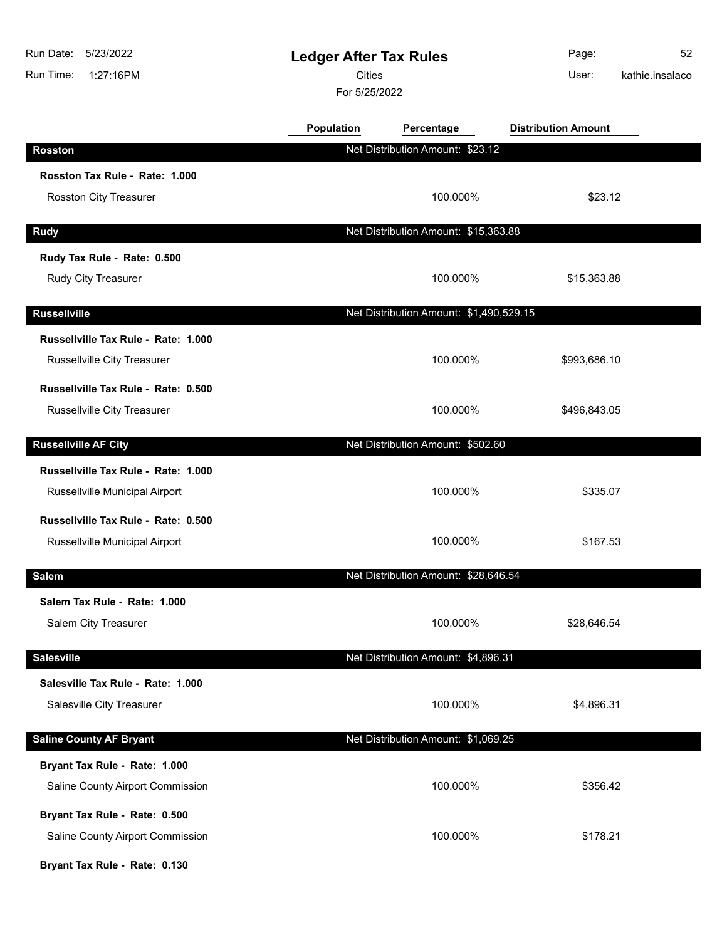| 5/23/2022<br>Run Date:<br>Run Time:<br>1:27:16PM | <b>Ledger After Tax Rules</b><br><b>Cities</b><br>For 5/25/2022 |                                         | Page:<br>User:             | 52<br>kathie.insalaco |
|--------------------------------------------------|-----------------------------------------------------------------|-----------------------------------------|----------------------------|-----------------------|
|                                                  | Population                                                      | Percentage                              | <b>Distribution Amount</b> |                       |
| <b>Rosston</b>                                   |                                                                 | Net Distribution Amount: \$23.12        |                            |                       |
| Rosston Tax Rule - Rate: 1.000                   |                                                                 |                                         |                            |                       |
| Rosston City Treasurer                           |                                                                 | 100.000%                                | \$23.12                    |                       |
| <b>Rudy</b>                                      |                                                                 | Net Distribution Amount: \$15,363.88    |                            |                       |
| Rudy Tax Rule - Rate: 0.500                      |                                                                 |                                         |                            |                       |
| Rudy City Treasurer                              |                                                                 | 100.000%                                | \$15,363.88                |                       |
| <b>Russellville</b>                              |                                                                 | Net Distribution Amount: \$1,490,529.15 |                            |                       |
| Russellville Tax Rule - Rate: 1.000              |                                                                 |                                         |                            |                       |
| <b>Russellville City Treasurer</b>               |                                                                 | 100.000%                                | \$993,686.10               |                       |
| Russellville Tax Rule - Rate: 0.500              |                                                                 |                                         |                            |                       |
| Russellville City Treasurer                      |                                                                 | 100.000%                                | \$496,843.05               |                       |
| <b>Russellville AF City</b>                      |                                                                 | Net Distribution Amount: \$502.60       |                            |                       |
| Russellville Tax Rule - Rate: 1.000              |                                                                 |                                         |                            |                       |
| Russellville Municipal Airport                   |                                                                 | 100.000%                                | \$335.07                   |                       |
| Russellville Tax Rule - Rate: 0.500              |                                                                 |                                         |                            |                       |
| Russellville Municipal Airport                   |                                                                 | 100.000%                                | \$167.53                   |                       |
| <b>Salem</b>                                     |                                                                 | Net Distribution Amount: \$28,646.54    |                            |                       |
| Salem Tax Rule - Rate: 1.000                     |                                                                 |                                         |                            |                       |
| Salem City Treasurer                             |                                                                 | 100.000%                                | \$28,646.54                |                       |
| <b>Salesville</b>                                |                                                                 | Net Distribution Amount: \$4,896.31     |                            |                       |
| Salesville Tax Rule - Rate: 1.000                |                                                                 |                                         |                            |                       |
| Salesville City Treasurer                        |                                                                 | 100.000%                                | \$4,896.31                 |                       |
| <b>Saline County AF Bryant</b>                   |                                                                 | Net Distribution Amount: \$1,069.25     |                            |                       |
| Bryant Tax Rule - Rate: 1.000                    |                                                                 |                                         |                            |                       |
| Saline County Airport Commission                 |                                                                 | 100.000%                                | \$356.42                   |                       |
| Bryant Tax Rule - Rate: 0.500                    |                                                                 |                                         |                            |                       |
| Saline County Airport Commission                 |                                                                 | 100.000%                                | \$178.21                   |                       |
| Bryant Tax Rule - Rate: 0.130                    |                                                                 |                                         |                            |                       |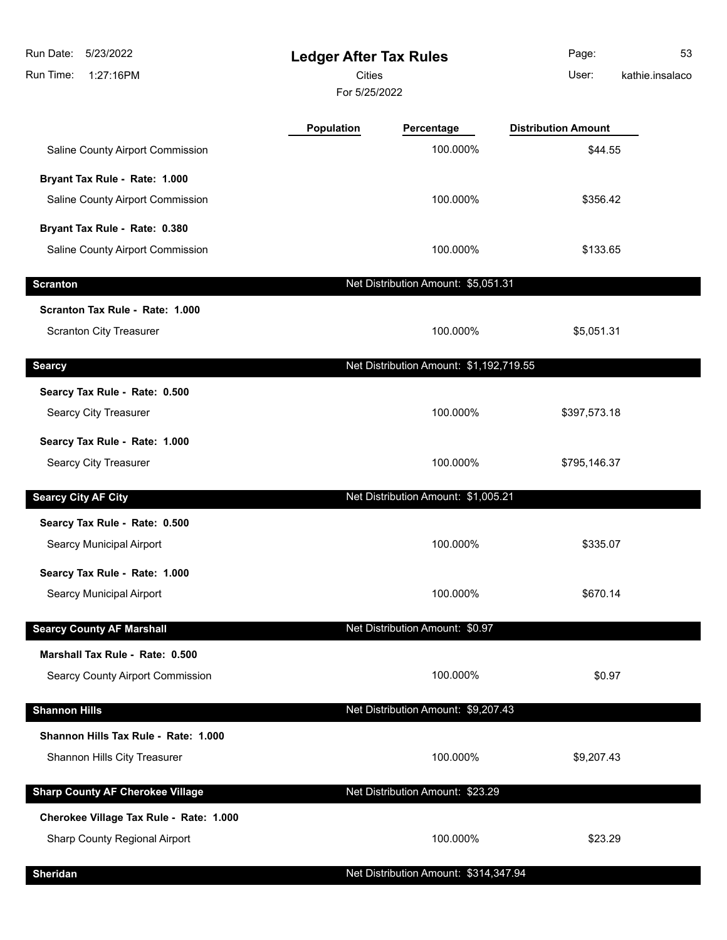| Run Date:<br>5/23/2022<br>Run Time:<br>1:27:16PM | <b>Ledger After Tax Rules</b><br><b>Cities</b><br>For 5/25/2022 |                                         | Page:<br>User:             | 53<br>kathie.insalaco |
|--------------------------------------------------|-----------------------------------------------------------------|-----------------------------------------|----------------------------|-----------------------|
|                                                  | Population                                                      | Percentage                              | <b>Distribution Amount</b> |                       |
| Saline County Airport Commission                 |                                                                 | 100.000%                                | \$44.55                    |                       |
| Bryant Tax Rule - Rate: 1.000                    |                                                                 |                                         |                            |                       |
| Saline County Airport Commission                 |                                                                 | 100.000%                                | \$356.42                   |                       |
| Bryant Tax Rule - Rate: 0.380                    |                                                                 |                                         |                            |                       |
| Saline County Airport Commission                 |                                                                 | 100.000%                                | \$133.65                   |                       |
| <b>Scranton</b>                                  |                                                                 | Net Distribution Amount: \$5,051.31     |                            |                       |
| Scranton Tax Rule - Rate: 1.000                  |                                                                 |                                         |                            |                       |
| <b>Scranton City Treasurer</b>                   |                                                                 | 100.000%                                | \$5,051.31                 |                       |
| <b>Searcy</b>                                    |                                                                 | Net Distribution Amount: \$1,192,719.55 |                            |                       |
| Searcy Tax Rule - Rate: 0.500                    |                                                                 |                                         |                            |                       |
| Searcy City Treasurer                            |                                                                 | 100.000%                                | \$397,573.18               |                       |
| Searcy Tax Rule - Rate: 1.000                    |                                                                 |                                         |                            |                       |
| Searcy City Treasurer                            |                                                                 | 100.000%                                | \$795,146.37               |                       |
| <b>Searcy City AF City</b>                       |                                                                 | Net Distribution Amount: \$1,005.21     |                            |                       |
| Searcy Tax Rule - Rate: 0.500                    |                                                                 |                                         |                            |                       |
| Searcy Municipal Airport                         |                                                                 | 100.000%                                | \$335.07                   |                       |
| Searcy Tax Rule - Rate: 1.000                    |                                                                 |                                         |                            |                       |
| Searcy Municipal Airport                         |                                                                 | 100.000%                                | \$670.14                   |                       |
| <b>Searcy County AF Marshall</b>                 |                                                                 | Net Distribution Amount: \$0.97         |                            |                       |
| Marshall Tax Rule - Rate: 0.500                  |                                                                 |                                         |                            |                       |
| Searcy County Airport Commission                 |                                                                 | 100.000%                                | \$0.97                     |                       |
| <b>Shannon Hills</b>                             |                                                                 | Net Distribution Amount: \$9,207.43     |                            |                       |
| Shannon Hills Tax Rule - Rate: 1.000             |                                                                 |                                         |                            |                       |
| Shannon Hills City Treasurer                     |                                                                 | 100.000%                                | \$9,207.43                 |                       |
| <b>Sharp County AF Cherokee Village</b>          |                                                                 | Net Distribution Amount: \$23.29        |                            |                       |
| Cherokee Village Tax Rule - Rate: 1.000          |                                                                 |                                         |                            |                       |
| Sharp County Regional Airport                    |                                                                 | 100.000%                                | \$23.29                    |                       |
| <b>Sheridan</b>                                  |                                                                 | Net Distribution Amount: \$314,347.94   |                            |                       |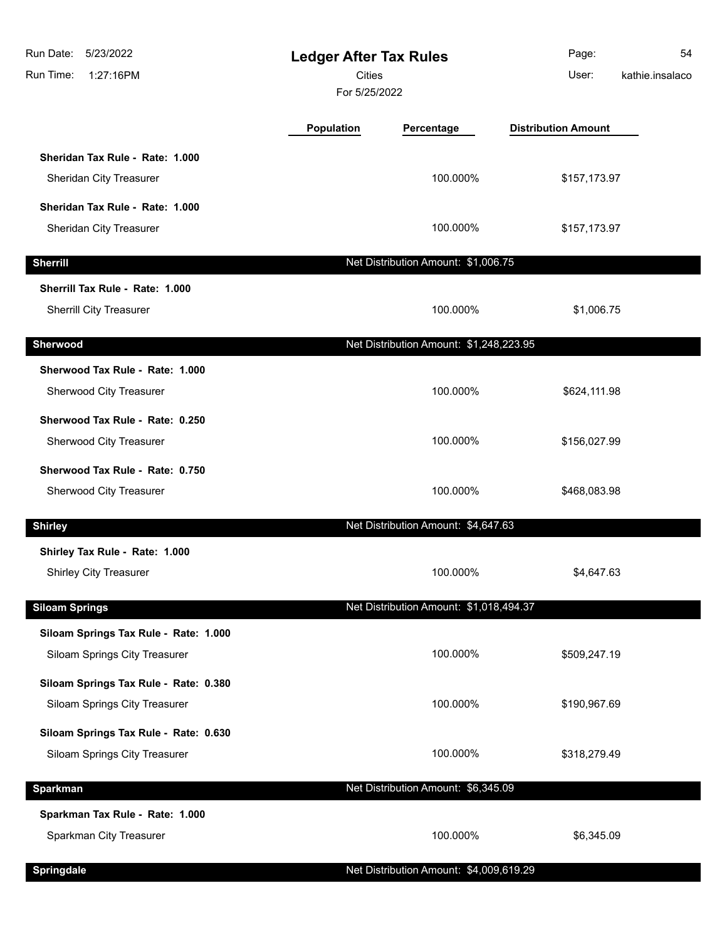| Run Date:<br>5/23/2022<br>Run Time:<br>1:27:16PM                       |            | <b>Ledger After Tax Rules</b><br><b>Cities</b><br>For 5/25/2022 |                            | 54<br>kathie.insalaco |
|------------------------------------------------------------------------|------------|-----------------------------------------------------------------|----------------------------|-----------------------|
|                                                                        | Population | Percentage                                                      | <b>Distribution Amount</b> |                       |
| Sheridan Tax Rule - Rate: 1.000<br>Sheridan City Treasurer             |            | 100.000%                                                        | \$157,173.97               |                       |
| Sheridan Tax Rule - Rate: 1.000<br>Sheridan City Treasurer             |            | 100.000%                                                        | \$157,173.97               |                       |
| <b>Sherrill</b>                                                        |            | Net Distribution Amount: \$1,006.75                             |                            |                       |
| Sherrill Tax Rule - Rate: 1.000<br>Sherrill City Treasurer             |            | 100.000%                                                        | \$1,006.75                 |                       |
| Sherwood                                                               |            | Net Distribution Amount: \$1,248,223.95                         |                            |                       |
| Sherwood Tax Rule - Rate: 1.000<br>Sherwood City Treasurer             |            | 100.000%                                                        | \$624,111.98               |                       |
| Sherwood Tax Rule - Rate: 0.250<br>Sherwood City Treasurer             |            | 100.000%                                                        | \$156,027.99               |                       |
| Sherwood Tax Rule - Rate: 0.750<br>Sherwood City Treasurer             |            | 100.000%                                                        | \$468,083.98               |                       |
| <b>Shirley</b>                                                         |            | Net Distribution Amount: \$4,647.63                             |                            |                       |
| Shirley Tax Rule - Rate: 1.000<br><b>Shirley City Treasurer</b>        |            | 100.000%                                                        | \$4,647.63                 |                       |
| <b>Siloam Springs</b>                                                  |            | Net Distribution Amount: \$1,018,494.37                         |                            |                       |
| Siloam Springs Tax Rule - Rate: 1.000<br>Siloam Springs City Treasurer |            | 100.000%                                                        | \$509,247.19               |                       |
| Siloam Springs Tax Rule - Rate: 0.380<br>Siloam Springs City Treasurer |            | 100.000%                                                        | \$190,967.69               |                       |
| Siloam Springs Tax Rule - Rate: 0.630<br>Siloam Springs City Treasurer |            | 100.000%                                                        | \$318,279.49               |                       |
| <b>Sparkman</b>                                                        |            | Net Distribution Amount: \$6,345.09                             |                            |                       |
| Sparkman Tax Rule - Rate: 1.000<br>Sparkman City Treasurer             |            | 100.000%                                                        | \$6,345.09                 |                       |
| <b>Springdale</b>                                                      |            | Net Distribution Amount: \$4,009,619.29                         |                            |                       |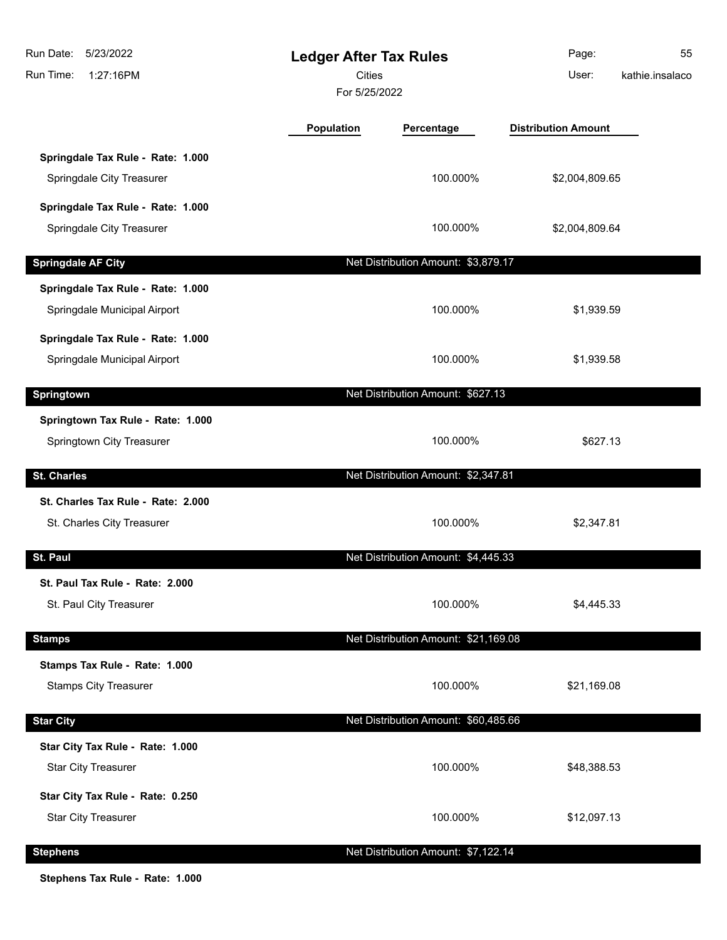| Run Date:<br>5/23/2022<br>Run Time:<br>1:27:16PM                  | <b>Ledger After Tax Rules</b><br><b>Cities</b><br>For 5/25/2022 |                                      | Page:<br>User:             | 55<br>kathie.insalaco |
|-------------------------------------------------------------------|-----------------------------------------------------------------|--------------------------------------|----------------------------|-----------------------|
|                                                                   | Population                                                      | Percentage                           | <b>Distribution Amount</b> |                       |
| Springdale Tax Rule - Rate: 1.000<br>Springdale City Treasurer    |                                                                 | 100.000%                             | \$2,004,809.65             |                       |
| Springdale Tax Rule - Rate: 1.000<br>Springdale City Treasurer    |                                                                 | 100.000%                             | \$2,004,809.64             |                       |
| <b>Springdale AF City</b>                                         |                                                                 | Net Distribution Amount: \$3,879.17  |                            |                       |
| Springdale Tax Rule - Rate: 1.000<br>Springdale Municipal Airport |                                                                 | 100.000%                             | \$1,939.59                 |                       |
| Springdale Tax Rule - Rate: 1.000<br>Springdale Municipal Airport |                                                                 | 100.000%                             | \$1,939.58                 |                       |
| Springtown                                                        |                                                                 | Net Distribution Amount: \$627.13    |                            |                       |
| Springtown Tax Rule - Rate: 1.000<br>Springtown City Treasurer    |                                                                 | 100.000%                             | \$627.13                   |                       |
| <b>St. Charles</b>                                                |                                                                 | Net Distribution Amount: \$2,347.81  |                            |                       |
| St. Charles Tax Rule - Rate: 2.000<br>St. Charles City Treasurer  |                                                                 | 100.000%                             | \$2,347.81                 |                       |
| St. Paul                                                          |                                                                 | Net Distribution Amount: \$4,445.33  |                            |                       |
| St. Paul Tax Rule - Rate: 2.000<br>St. Paul City Treasurer        |                                                                 | 100.000%                             | \$4,445.33                 |                       |
| <b>Stamps</b>                                                     |                                                                 | Net Distribution Amount: \$21,169.08 |                            |                       |
| Stamps Tax Rule - Rate: 1.000<br><b>Stamps City Treasurer</b>     |                                                                 | 100.000%                             | \$21,169.08                |                       |
| <b>Star City</b>                                                  |                                                                 | Net Distribution Amount: \$60,485.66 |                            |                       |
| Star City Tax Rule - Rate: 1.000<br><b>Star City Treasurer</b>    |                                                                 | 100.000%                             | \$48,388.53                |                       |
| Star City Tax Rule - Rate: 0.250<br><b>Star City Treasurer</b>    |                                                                 | 100.000%                             | \$12,097.13                |                       |
| <b>Stephens</b>                                                   |                                                                 | Net Distribution Amount: \$7,122.14  |                            |                       |

**Stephens Tax Rule - Rate: 1.000**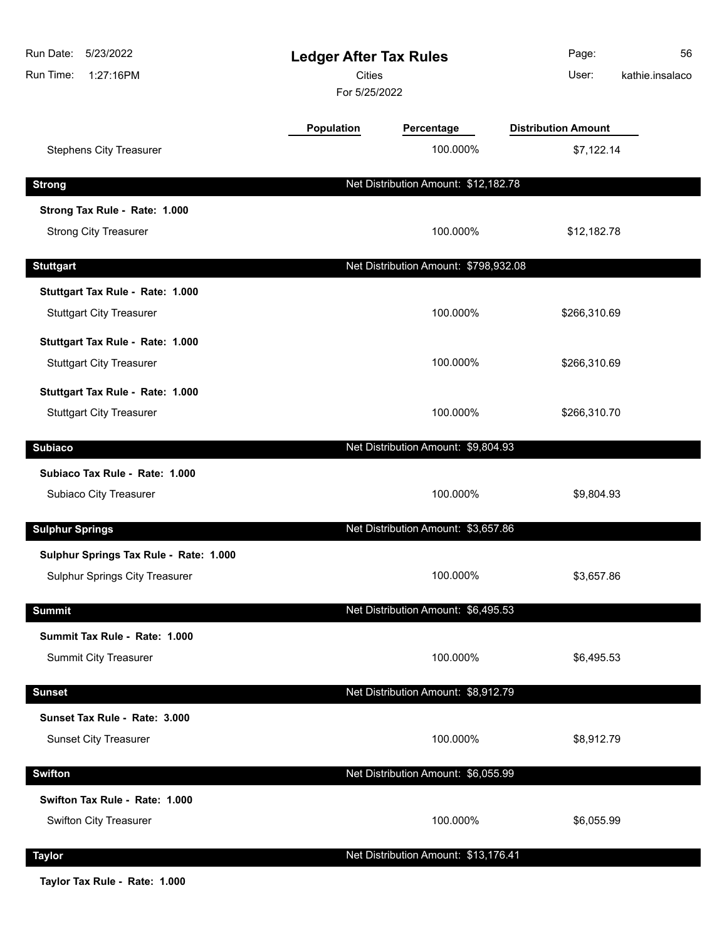| 5/23/2022<br>Run Date:<br>Run Time:<br>1:27:16PM | <b>Ledger After Tax Rules</b><br><b>Cities</b><br>For 5/25/2022 |                                       | Page:<br>User:             | 56<br>kathie.insalaco |
|--------------------------------------------------|-----------------------------------------------------------------|---------------------------------------|----------------------------|-----------------------|
|                                                  | Population                                                      | Percentage                            | <b>Distribution Amount</b> |                       |
| <b>Stephens City Treasurer</b>                   |                                                                 | 100.000%                              | \$7,122.14                 |                       |
| <b>Strong</b>                                    |                                                                 | Net Distribution Amount: \$12,182.78  |                            |                       |
| Strong Tax Rule - Rate: 1.000                    |                                                                 |                                       |                            |                       |
| <b>Strong City Treasurer</b>                     |                                                                 | 100.000%                              | \$12,182.78                |                       |
| <b>Stuttgart</b>                                 |                                                                 | Net Distribution Amount: \$798,932.08 |                            |                       |
| Stuttgart Tax Rule - Rate: 1.000                 |                                                                 |                                       |                            |                       |
| <b>Stuttgart City Treasurer</b>                  |                                                                 | 100.000%                              | \$266,310.69               |                       |
| Stuttgart Tax Rule - Rate: 1.000                 |                                                                 |                                       |                            |                       |
| <b>Stuttgart City Treasurer</b>                  |                                                                 | 100.000%                              | \$266,310.69               |                       |
| Stuttgart Tax Rule - Rate: 1.000                 |                                                                 |                                       |                            |                       |
| <b>Stuttgart City Treasurer</b>                  |                                                                 | 100.000%                              | \$266,310.70               |                       |
| <b>Subiaco</b>                                   |                                                                 | Net Distribution Amount: \$9,804.93   |                            |                       |
| Subiaco Tax Rule - Rate: 1.000                   |                                                                 |                                       |                            |                       |
| Subiaco City Treasurer                           |                                                                 | 100.000%                              | \$9,804.93                 |                       |
| <b>Sulphur Springs</b>                           |                                                                 | Net Distribution Amount: \$3,657.86   |                            |                       |
| Sulphur Springs Tax Rule - Rate: 1.000           |                                                                 |                                       |                            |                       |
| Sulphur Springs City Treasurer                   |                                                                 | 100.000%                              | \$3,657.86                 |                       |
| <b>Summit</b>                                    |                                                                 | Net Distribution Amount: \$6,495.53   |                            |                       |
| Summit Tax Rule - Rate: 1.000                    |                                                                 |                                       |                            |                       |
| Summit City Treasurer                            |                                                                 | 100.000%                              | \$6,495.53                 |                       |
| <b>Sunset</b>                                    |                                                                 | Net Distribution Amount: \$8,912.79   |                            |                       |
| Sunset Tax Rule - Rate: 3.000                    |                                                                 |                                       |                            |                       |
| <b>Sunset City Treasurer</b>                     |                                                                 | 100.000%                              | \$8,912.79                 |                       |
| <b>Swifton</b>                                   |                                                                 | Net Distribution Amount: \$6,055.99   |                            |                       |
| Swifton Tax Rule - Rate: 1.000                   |                                                                 |                                       |                            |                       |
| Swifton City Treasurer                           |                                                                 | 100.000%                              | \$6,055.99                 |                       |
| <b>Taylor</b>                                    |                                                                 | Net Distribution Amount: \$13,176.41  |                            |                       |

**Taylor Tax Rule - Rate: 1.000**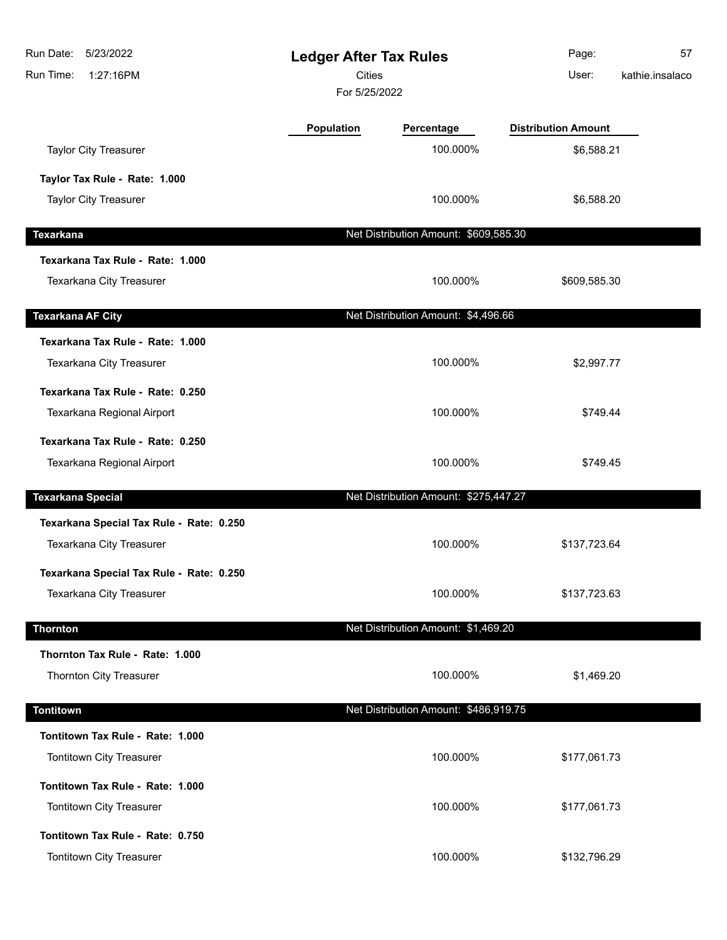| Run Date:<br>5/23/2022<br>Run Time:<br>1:27:16PM | <b>Ledger After Tax Rules</b><br><b>Cities</b><br>For 5/25/2022 |                                       | Page:<br>User:             | 57<br>kathie.insalaco |
|--------------------------------------------------|-----------------------------------------------------------------|---------------------------------------|----------------------------|-----------------------|
|                                                  | Population                                                      | Percentage                            | <b>Distribution Amount</b> |                       |
| <b>Taylor City Treasurer</b>                     |                                                                 | 100.000%                              | \$6,588.21                 |                       |
| Taylor Tax Rule - Rate: 1.000                    |                                                                 |                                       |                            |                       |
| <b>Taylor City Treasurer</b>                     |                                                                 | 100.000%                              | \$6,588.20                 |                       |
| <b>Texarkana</b>                                 |                                                                 | Net Distribution Amount: \$609,585.30 |                            |                       |
| Texarkana Tax Rule - Rate: 1.000                 |                                                                 |                                       |                            |                       |
| Texarkana City Treasurer                         |                                                                 | 100.000%                              | \$609,585.30               |                       |
| <b>Texarkana AF City</b>                         |                                                                 | Net Distribution Amount: \$4,496.66   |                            |                       |
| Texarkana Tax Rule - Rate: 1.000                 |                                                                 |                                       |                            |                       |
| Texarkana City Treasurer                         |                                                                 | 100.000%                              | \$2,997.77                 |                       |
| Texarkana Tax Rule - Rate: 0.250                 |                                                                 |                                       |                            |                       |
| Texarkana Regional Airport                       |                                                                 | 100.000%                              | \$749.44                   |                       |
| Texarkana Tax Rule - Rate: 0.250                 |                                                                 |                                       |                            |                       |
| Texarkana Regional Airport                       |                                                                 | 100.000%                              | \$749.45                   |                       |
| <b>Texarkana Special</b>                         |                                                                 | Net Distribution Amount: \$275,447.27 |                            |                       |
| Texarkana Special Tax Rule - Rate: 0.250         |                                                                 |                                       |                            |                       |
| Texarkana City Treasurer                         |                                                                 | 100.000%                              | \$137,723.64               |                       |
| Texarkana Special Tax Rule - Rate: 0.250         |                                                                 |                                       |                            |                       |
| Texarkana City Treasurer                         |                                                                 | 100.000%                              | \$137,723.63               |                       |
| <b>Thornton</b>                                  |                                                                 | Net Distribution Amount: \$1,469.20   |                            |                       |
| Thornton Tax Rule - Rate: 1.000                  |                                                                 |                                       |                            |                       |
| Thornton City Treasurer                          |                                                                 | 100.000%                              | \$1,469.20                 |                       |
| <b>Tontitown</b>                                 |                                                                 | Net Distribution Amount: \$486,919.75 |                            |                       |
| Tontitown Tax Rule - Rate: 1.000                 |                                                                 |                                       |                            |                       |
| Tontitown City Treasurer                         |                                                                 | 100.000%                              | \$177,061.73               |                       |
| Tontitown Tax Rule - Rate: 1.000                 |                                                                 |                                       |                            |                       |
| Tontitown City Treasurer                         |                                                                 | 100.000%                              | \$177,061.73               |                       |
| Tontitown Tax Rule - Rate: 0.750                 |                                                                 |                                       |                            |                       |
| Tontitown City Treasurer                         |                                                                 | 100.000%                              | \$132,796.29               |                       |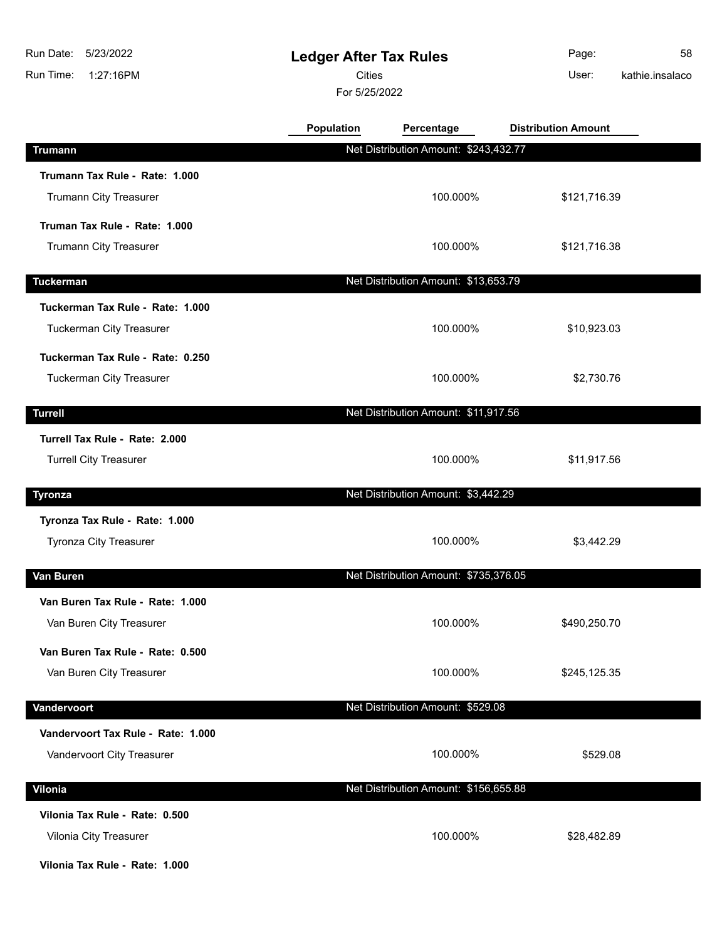## **Ledger After Tax Rules**

Cities **User:** 

For 5/25/2022

Page: 58 kathie.insalaco

|                                    | <b>Population</b> | Percentage                            | <b>Distribution Amount</b> |  |
|------------------------------------|-------------------|---------------------------------------|----------------------------|--|
| <b>Trumann</b>                     |                   | Net Distribution Amount: \$243,432.77 |                            |  |
| Trumann Tax Rule - Rate: 1.000     |                   |                                       |                            |  |
| Trumann City Treasurer             |                   | 100.000%                              | \$121,716.39               |  |
| Truman Tax Rule - Rate: 1.000      |                   |                                       |                            |  |
| Trumann City Treasurer             |                   | 100.000%                              | \$121,716.38               |  |
| <b>Tuckerman</b>                   |                   | Net Distribution Amount: \$13,653.79  |                            |  |
| Tuckerman Tax Rule - Rate: 1.000   |                   |                                       |                            |  |
| Tuckerman City Treasurer           |                   | 100.000%                              | \$10,923.03                |  |
| Tuckerman Tax Rule - Rate: 0.250   |                   |                                       |                            |  |
| <b>Tuckerman City Treasurer</b>    |                   | 100.000%                              | \$2,730.76                 |  |
| <b>Turrell</b>                     |                   | Net Distribution Amount: \$11,917.56  |                            |  |
| Turrell Tax Rule - Rate: 2.000     |                   |                                       |                            |  |
| <b>Turrell City Treasurer</b>      |                   | 100.000%                              | \$11,917.56                |  |
| Tyronza                            |                   | Net Distribution Amount: \$3,442.29   |                            |  |
| Tyronza Tax Rule - Rate: 1.000     |                   |                                       |                            |  |
| Tyronza City Treasurer             |                   | 100.000%                              | \$3,442.29                 |  |
| Van Buren                          |                   | Net Distribution Amount: \$735,376.05 |                            |  |
| Van Buren Tax Rule - Rate: 1.000   |                   |                                       |                            |  |
| Van Buren City Treasurer           |                   | 100.000%                              | \$490,250.70               |  |
| Van Buren Tax Rule - Rate: 0.500   |                   |                                       |                            |  |
| Van Buren City Treasurer           |                   | 100.000%                              | \$245,125.35               |  |
| Vandervoort                        |                   | Net Distribution Amount: \$529.08     |                            |  |
| Vandervoort Tax Rule - Rate: 1.000 |                   |                                       |                            |  |
| Vandervoort City Treasurer         |                   | 100.000%                              | \$529.08                   |  |
| Vilonia                            |                   | Net Distribution Amount: \$156,655.88 |                            |  |
| Vilonia Tax Rule - Rate: 0.500     |                   |                                       |                            |  |
| Vilonia City Treasurer             |                   | 100.000%                              | \$28,482.89                |  |
|                                    |                   |                                       |                            |  |

**Vilonia Tax Rule - Rate: 1.000**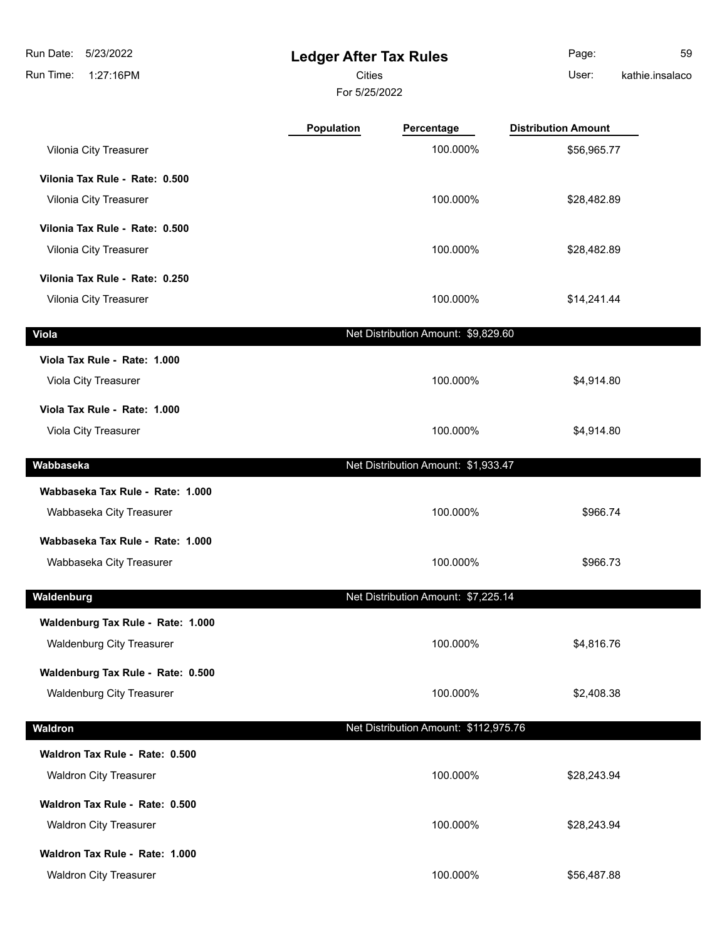**Ledger After Tax Rules** Run Time: 1:27:16PM 5/23/2022 Run Date: For 5/25/2022 Cities User:

Page: 59

kathie.insalaco

|                                   | Population | Percentage                            | <b>Distribution Amount</b> |  |
|-----------------------------------|------------|---------------------------------------|----------------------------|--|
| Vilonia City Treasurer            |            | 100.000%                              | \$56,965.77                |  |
| Vilonia Tax Rule - Rate: 0.500    |            |                                       |                            |  |
| Vilonia City Treasurer            |            | 100.000%                              | \$28,482.89                |  |
| Vilonia Tax Rule - Rate: 0.500    |            |                                       |                            |  |
| Vilonia City Treasurer            |            | 100.000%                              | \$28,482.89                |  |
| Vilonia Tax Rule - Rate: 0.250    |            |                                       |                            |  |
| Vilonia City Treasurer            |            | 100.000%                              | \$14,241.44                |  |
| <b>Viola</b>                      |            | Net Distribution Amount: \$9,829.60   |                            |  |
| Viola Tax Rule - Rate: 1.000      |            |                                       |                            |  |
| Viola City Treasurer              |            | 100.000%                              | \$4,914.80                 |  |
| Viola Tax Rule - Rate: 1.000      |            |                                       |                            |  |
| Viola City Treasurer              |            | 100.000%                              | \$4,914.80                 |  |
| Wabbaseka                         |            | Net Distribution Amount: \$1,933.47   |                            |  |
| Wabbaseka Tax Rule - Rate: 1.000  |            |                                       |                            |  |
| Wabbaseka City Treasurer          |            | 100.000%                              | \$966.74                   |  |
| Wabbaseka Tax Rule - Rate: 1.000  |            |                                       |                            |  |
| Wabbaseka City Treasurer          |            | 100.000%                              | \$966.73                   |  |
| Waldenburg                        |            | Net Distribution Amount: \$7,225.14   |                            |  |
| Waldenburg Tax Rule - Rate: 1.000 |            |                                       |                            |  |
| <b>Waldenburg City Treasurer</b>  |            | 100.000%                              | \$4,816.76                 |  |
| Waldenburg Tax Rule - Rate: 0.500 |            |                                       |                            |  |
| <b>Waldenburg City Treasurer</b>  |            | 100.000%                              | \$2,408.38                 |  |
| Waldron                           |            | Net Distribution Amount: \$112,975.76 |                            |  |
| Waldron Tax Rule - Rate: 0.500    |            |                                       |                            |  |
| <b>Waldron City Treasurer</b>     |            | 100.000%                              | \$28,243.94                |  |
| Waldron Tax Rule - Rate: 0.500    |            |                                       |                            |  |
| <b>Waldron City Treasurer</b>     |            | 100.000%                              | \$28,243.94                |  |
| Waldron Tax Rule - Rate: 1.000    |            |                                       |                            |  |
| <b>Waldron City Treasurer</b>     |            | 100.000%                              | \$56,487.88                |  |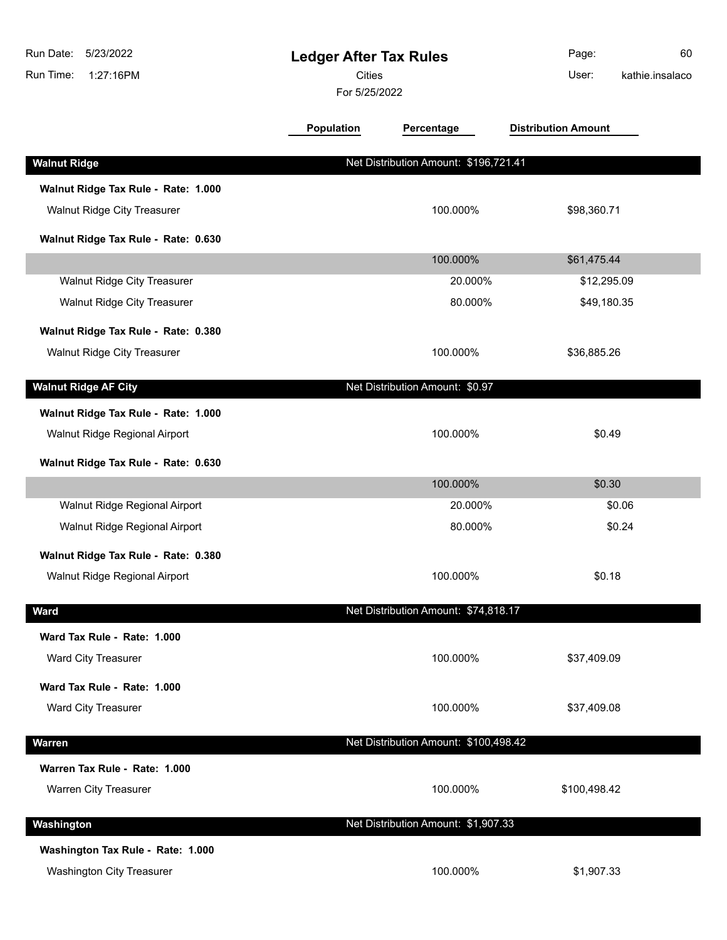| Run Date:<br>5/23/2022<br>Run Time:<br>1:27:16PM | <b>Ledger After Tax Rules</b><br><b>Cities</b><br>For 5/25/2022 |                                       | Page:<br>60<br>kathie.insalaco<br>User: |
|--------------------------------------------------|-----------------------------------------------------------------|---------------------------------------|-----------------------------------------|
|                                                  | <b>Population</b>                                               | Percentage                            | <b>Distribution Amount</b>              |
| <b>Walnut Ridge</b>                              |                                                                 | Net Distribution Amount: \$196,721.41 |                                         |
| Walnut Ridge Tax Rule - Rate: 1.000              |                                                                 |                                       |                                         |
| Walnut Ridge City Treasurer                      |                                                                 | 100.000%                              | \$98,360.71                             |
| Walnut Ridge Tax Rule - Rate: 0.630              |                                                                 |                                       |                                         |
|                                                  |                                                                 | 100.000%                              | \$61,475.44                             |
| Walnut Ridge City Treasurer                      |                                                                 | 20.000%                               | \$12,295.09                             |
| Walnut Ridge City Treasurer                      |                                                                 | 80.000%                               | \$49,180.35                             |
| Walnut Ridge Tax Rule - Rate: 0.380              |                                                                 |                                       |                                         |
| <b>Walnut Ridge City Treasurer</b>               |                                                                 | 100.000%                              | \$36,885.26                             |
| <b>Walnut Ridge AF City</b>                      |                                                                 | Net Distribution Amount: \$0.97       |                                         |
| Walnut Ridge Tax Rule - Rate: 1.000              |                                                                 |                                       |                                         |
| Walnut Ridge Regional Airport                    |                                                                 | 100.000%                              | \$0.49                                  |
| Walnut Ridge Tax Rule - Rate: 0.630              |                                                                 |                                       |                                         |
|                                                  |                                                                 | 100.000%                              | \$0.30                                  |
| Walnut Ridge Regional Airport                    |                                                                 | 20.000%                               | \$0.06                                  |
| Walnut Ridge Regional Airport                    |                                                                 | 80.000%                               | \$0.24                                  |
| Walnut Ridge Tax Rule - Rate: 0.380              |                                                                 |                                       |                                         |
| Walnut Ridge Regional Airport                    |                                                                 | 100.000%                              | \$0.18                                  |
| <b>Ward</b>                                      |                                                                 | Net Distribution Amount: \$74,818.17  |                                         |
| Ward Tax Rule - Rate: 1.000                      |                                                                 |                                       |                                         |
| Ward City Treasurer                              |                                                                 | 100.000%                              | \$37,409.09                             |
| Ward Tax Rule - Rate: 1.000                      |                                                                 |                                       |                                         |
| Ward City Treasurer                              |                                                                 | 100.000%                              | \$37,409.08                             |
| Warren                                           |                                                                 | Net Distribution Amount: \$100,498.42 |                                         |
| Warren Tax Rule - Rate: 1.000                    |                                                                 |                                       |                                         |
| Warren City Treasurer                            |                                                                 | 100.000%                              | \$100,498.42                            |
| Washington                                       |                                                                 | Net Distribution Amount: \$1,907.33   |                                         |
| Washington Tax Rule - Rate: 1.000                |                                                                 |                                       |                                         |
| <b>Washington City Treasurer</b>                 |                                                                 | 100.000%                              | \$1,907.33                              |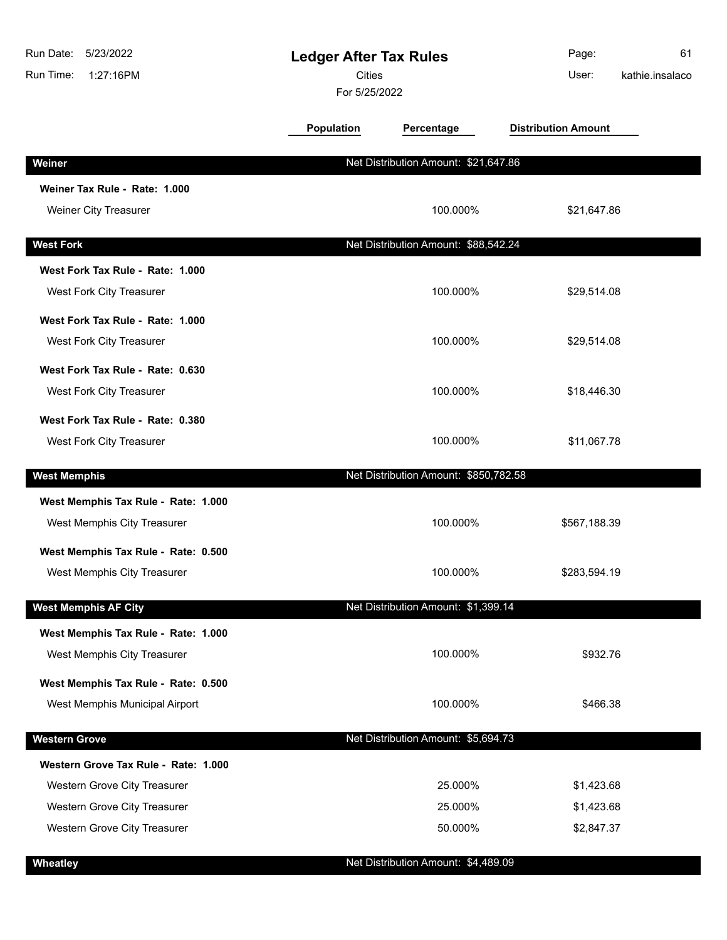| Run Date:<br>5/23/2022<br>Run Time:<br>1:27:16PM | <b>Ledger After Tax Rules</b><br><b>Cities</b><br>For 5/25/2022 |                                       | Page:<br>User:             | 61<br>kathie.insalaco |
|--------------------------------------------------|-----------------------------------------------------------------|---------------------------------------|----------------------------|-----------------------|
|                                                  | <b>Population</b>                                               | Percentage                            | <b>Distribution Amount</b> |                       |
| Weiner                                           |                                                                 | Net Distribution Amount: \$21,647.86  |                            |                       |
| Weiner Tax Rule - Rate: 1.000                    |                                                                 |                                       |                            |                       |
| Weiner City Treasurer                            |                                                                 | 100.000%                              | \$21,647.86                |                       |
| <b>West Fork</b>                                 |                                                                 | Net Distribution Amount: \$88,542.24  |                            |                       |
| West Fork Tax Rule - Rate: 1.000                 |                                                                 |                                       |                            |                       |
| West Fork City Treasurer                         |                                                                 | 100.000%                              | \$29,514.08                |                       |
| West Fork Tax Rule - Rate: 1.000                 |                                                                 |                                       |                            |                       |
| West Fork City Treasurer                         |                                                                 | 100.000%                              | \$29,514.08                |                       |
| West Fork Tax Rule - Rate: 0.630                 |                                                                 |                                       |                            |                       |
| West Fork City Treasurer                         |                                                                 | 100.000%                              | \$18,446.30                |                       |
| West Fork Tax Rule - Rate: 0.380                 |                                                                 |                                       |                            |                       |
| West Fork City Treasurer                         |                                                                 | 100.000%                              | \$11,067.78                |                       |
| <b>West Memphis</b>                              |                                                                 | Net Distribution Amount: \$850,782.58 |                            |                       |
| West Memphis Tax Rule - Rate: 1.000              |                                                                 |                                       |                            |                       |
| West Memphis City Treasurer                      |                                                                 | 100.000%                              | \$567,188.39               |                       |
| West Memphis Tax Rule - Rate: 0.500              |                                                                 |                                       |                            |                       |
| West Memphis City Treasurer                      |                                                                 | 100.000%                              | \$283,594.19               |                       |
| <b>West Memphis AF City</b>                      |                                                                 | Net Distribution Amount: \$1,399.14   |                            |                       |
| West Memphis Tax Rule - Rate: 1.000              |                                                                 |                                       |                            |                       |
| West Memphis City Treasurer                      |                                                                 | 100.000%                              | \$932.76                   |                       |
| West Memphis Tax Rule - Rate: 0.500              |                                                                 |                                       |                            |                       |
| West Memphis Municipal Airport                   |                                                                 | 100.000%                              | \$466.38                   |                       |
| <b>Western Grove</b>                             |                                                                 | Net Distribution Amount: \$5,694.73   |                            |                       |
| Western Grove Tax Rule - Rate: 1.000             |                                                                 |                                       |                            |                       |
| Western Grove City Treasurer                     |                                                                 | 25.000%                               | \$1,423.68                 |                       |
| Western Grove City Treasurer                     |                                                                 | 25.000%                               | \$1,423.68                 |                       |
| Western Grove City Treasurer                     |                                                                 | 50.000%                               | \$2,847.37                 |                       |
| Wheatley                                         |                                                                 | Net Distribution Amount: \$4,489.09   |                            |                       |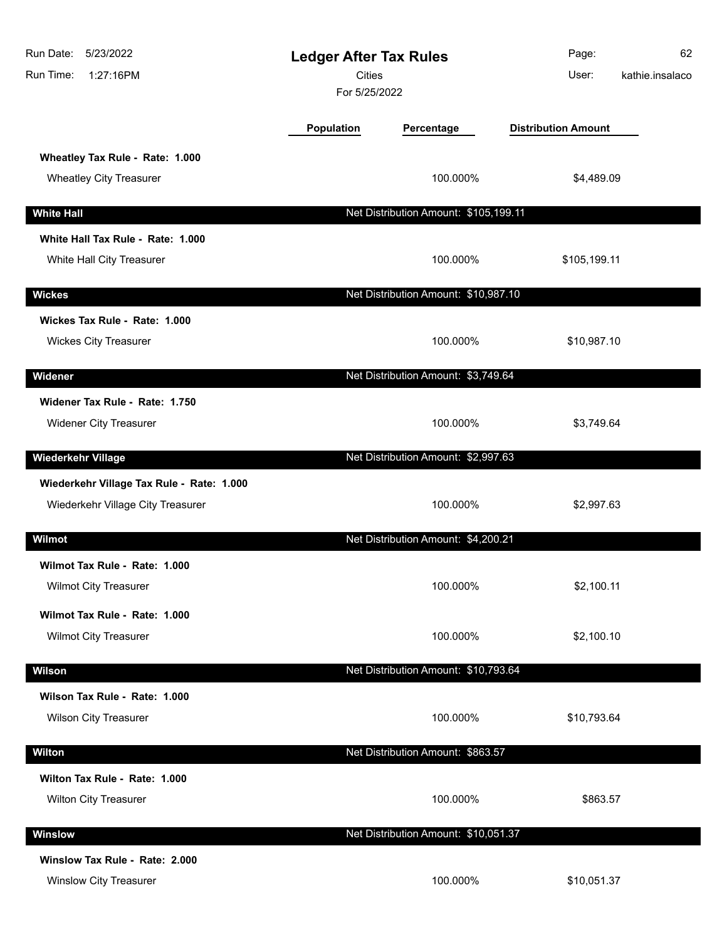| Run Date: 5/23/2022<br>1:27:16PM<br>Run Time:                                  | <b>Ledger After Tax Rules</b><br><b>Cities</b><br>For 5/25/2022 |                                       | Page:<br>User:             | 62<br>kathie.insalaco |
|--------------------------------------------------------------------------------|-----------------------------------------------------------------|---------------------------------------|----------------------------|-----------------------|
|                                                                                | <b>Population</b>                                               | Percentage                            | <b>Distribution Amount</b> |                       |
| Wheatley Tax Rule - Rate: 1.000<br><b>Wheatley City Treasurer</b>              |                                                                 | 100.000%                              | \$4,489.09                 |                       |
| <b>White Hall</b>                                                              |                                                                 | Net Distribution Amount: \$105,199.11 |                            |                       |
| White Hall Tax Rule - Rate: 1.000<br>White Hall City Treasurer                 |                                                                 | 100.000%                              | \$105,199.11               |                       |
| <b>Wickes</b>                                                                  |                                                                 | Net Distribution Amount: \$10,987.10  |                            |                       |
| Wickes Tax Rule - Rate: 1.000<br><b>Wickes City Treasurer</b>                  |                                                                 | 100.000%                              | \$10,987.10                |                       |
| Widener                                                                        |                                                                 | Net Distribution Amount: \$3,749.64   |                            |                       |
| Widener Tax Rule - Rate: 1.750<br><b>Widener City Treasurer</b>                |                                                                 | 100.000%                              | \$3,749.64                 |                       |
| <b>Wiederkehr Village</b>                                                      |                                                                 | Net Distribution Amount: \$2,997.63   |                            |                       |
| Wiederkehr Village Tax Rule - Rate: 1.000<br>Wiederkehr Village City Treasurer |                                                                 | 100.000%                              | \$2,997.63                 |                       |
| Wilmot                                                                         |                                                                 | Net Distribution Amount: \$4,200.21   |                            |                       |
| Wilmot Tax Rule - Rate: 1.000<br><b>Wilmot City Treasurer</b>                  |                                                                 | 100.000%                              | \$2,100.11                 |                       |
| Wilmot Tax Rule - Rate: 1.000<br><b>Wilmot City Treasurer</b>                  |                                                                 | 100.000%                              | \$2,100.10                 |                       |
| Wilson                                                                         |                                                                 | Net Distribution Amount: \$10,793.64  |                            |                       |
| Wilson Tax Rule - Rate: 1.000<br><b>Wilson City Treasurer</b>                  |                                                                 | 100.000%                              | \$10,793.64                |                       |
| <b>Wilton</b>                                                                  |                                                                 | Net Distribution Amount: \$863.57     |                            |                       |
| Wilton Tax Rule - Rate: 1.000<br>Wilton City Treasurer                         |                                                                 | 100.000%                              | \$863.57                   |                       |
| Winslow                                                                        |                                                                 | Net Distribution Amount: \$10,051.37  |                            |                       |
| Winslow Tax Rule - Rate: 2.000<br><b>Winslow City Treasurer</b>                |                                                                 | 100.000%                              | \$10,051.37                |                       |